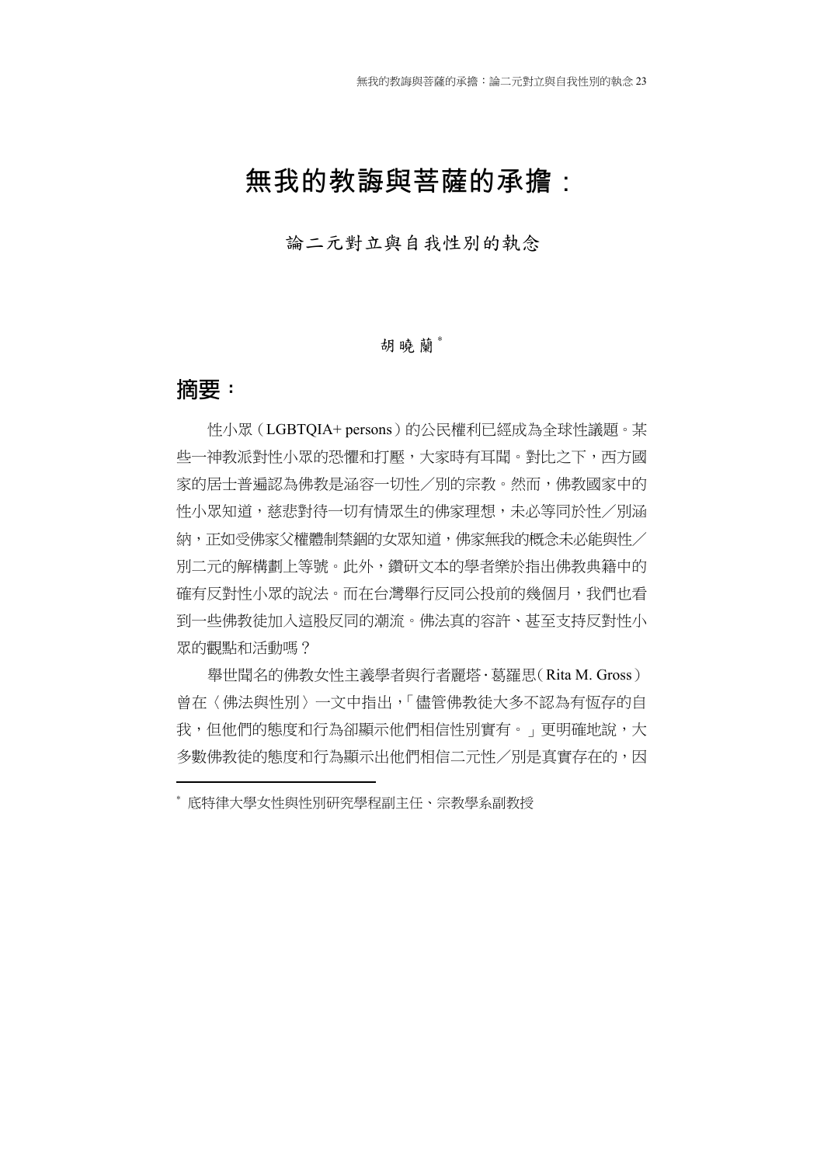# 無我的教誨與菩薩的承擔:

論二元對立與自我性別的執念

### 胡曉蘭\*

### **摘要:**

1

性小眾(LGBTQIA+ persons)的公民權利已經成為全球性議題。某 些一神教派對性小眾的恐懼和打壓,大家時有耳聞。對比之下,西方國 家的居士普遍認為佛教是涵容一切性/別的宗教。然而,佛教國家中的 性小眾知道,慈悲對待一切有情眾生的佛家理想,未必等同於性/別涵 納,正如受佛家父權體制禁錮的女眾知道,佛家無我的概念未必能與性/ 別二元的解構劃上等號。此外,鑽研文本的學者樂於指出佛教典籍中的 確有反對性小眾的說法。而在台灣舉行反同公投前的幾個月,我們也看 到一些佛教徒加入這股反同的潮流。佛法真的容許、甚至支持反對性小 眾的觀點和活動嗎?

舉世聞名的佛教女性主義學者與行者麗塔.葛羅思(Rita M. Gross) 曾在〈佛法與性別〉一文中指出,「儘管佛教徒大多不認為有恆存的自 我,但他們的態度和行為卻顯示他們相信性別實有。」更明確地說,大 多數佛教徒的態度和行為顯示出他們相信二元性/別是真實存在的,因

<sup>∗</sup> 底特律大學女性與性別研究學程副主任、宗教學系副教授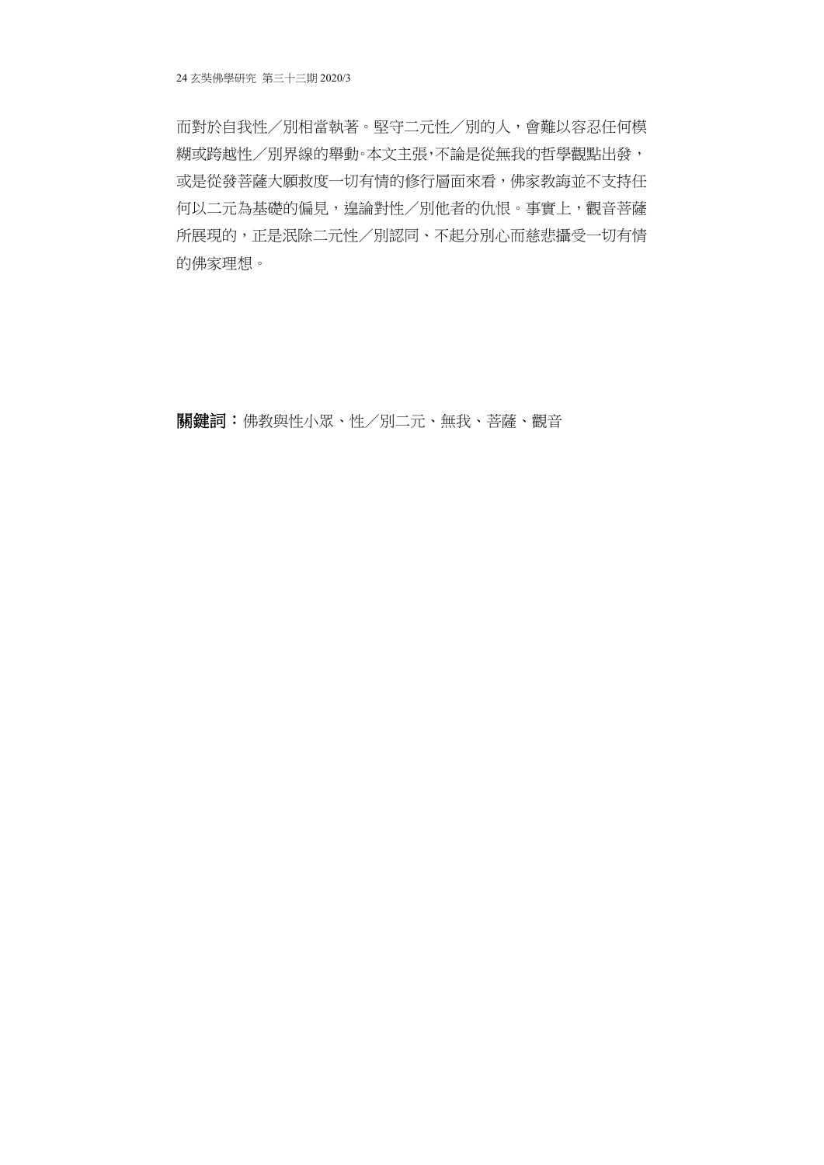而對於自我性/別相當執著。堅守二元性/別的人,會難以容忍任何模 糊或跨越性/別界線的舉動。本文主張,不論是從無我的哲學觀點出發, 或是從發菩薩大願救度一切有情的修行層面來看,佛家教誨並不支持任 何以二元為基礎的偏見,遑論對性/別他者的仇恨。事實上,觀音菩薩 所展現的,正是泯除二元性/別認同、不起分別心而慈悲攝受一切有情 的佛家理想。

關鍵詞:佛教與性小眾、性/別二元、無我、菩薩、觀音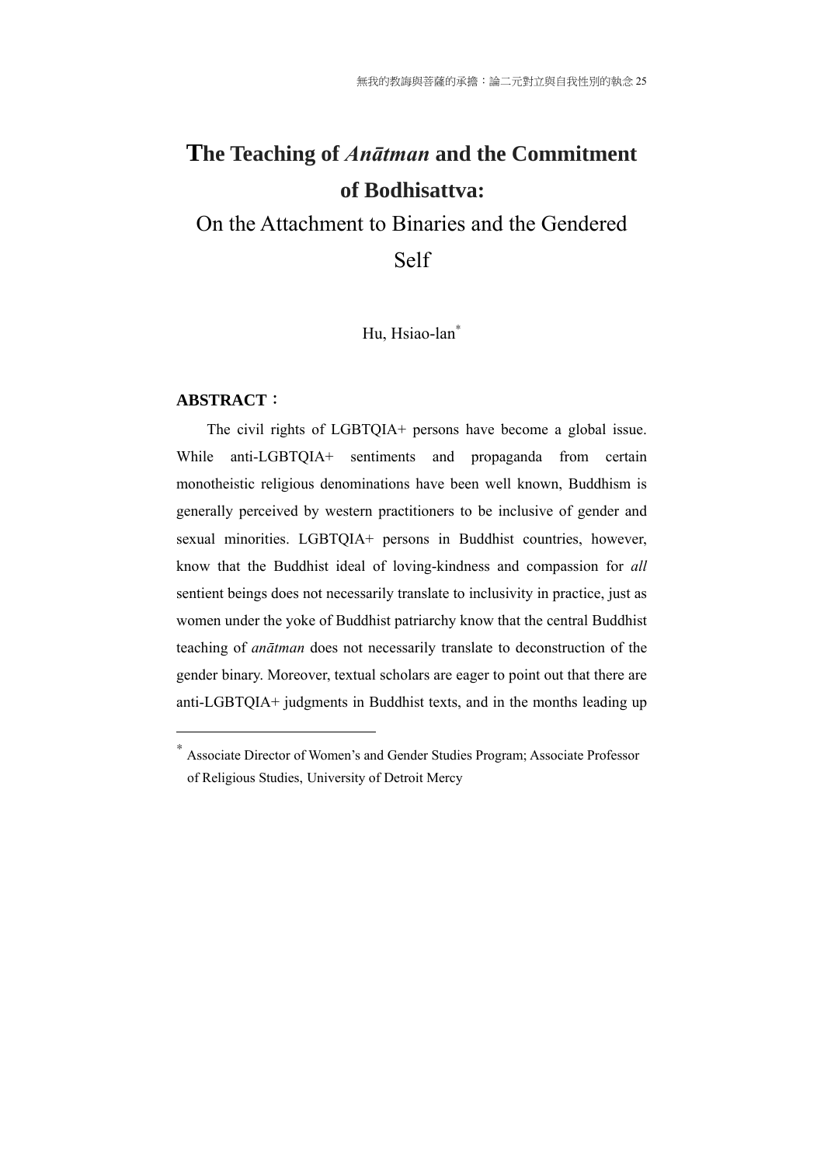# **The Teaching of** *Anātman* **and the Commitment of Bodhisattva:**

On the Attachment to Binaries and the Gendered Self

Hu, Hsiao-lan<sup>\*</sup>

#### **ABSTRACT**:

1

The civil rights of LGBTQIA+ persons have become a global issue. While anti-LGBTQIA+ sentiments and propaganda from certain monotheistic religious denominations have been well known, Buddhism is generally perceived by western practitioners to be inclusive of gender and sexual minorities. LGBTQIA+ persons in Buddhist countries, however, know that the Buddhist ideal of loving-kindness and compassion for *all* sentient beings does not necessarily translate to inclusivity in practice, just as women under the yoke of Buddhist patriarchy know that the central Buddhist teaching of *anātman* does not necessarily translate to deconstruction of the gender binary. Moreover, textual scholars are eager to point out that there are anti-LGBTQIA+ judgments in Buddhist texts, and in the months leading up

<sup>∗</sup> Associate Director of Women's and Gender Studies Program; Associate Professor of Religious Studies, University of Detroit Mercy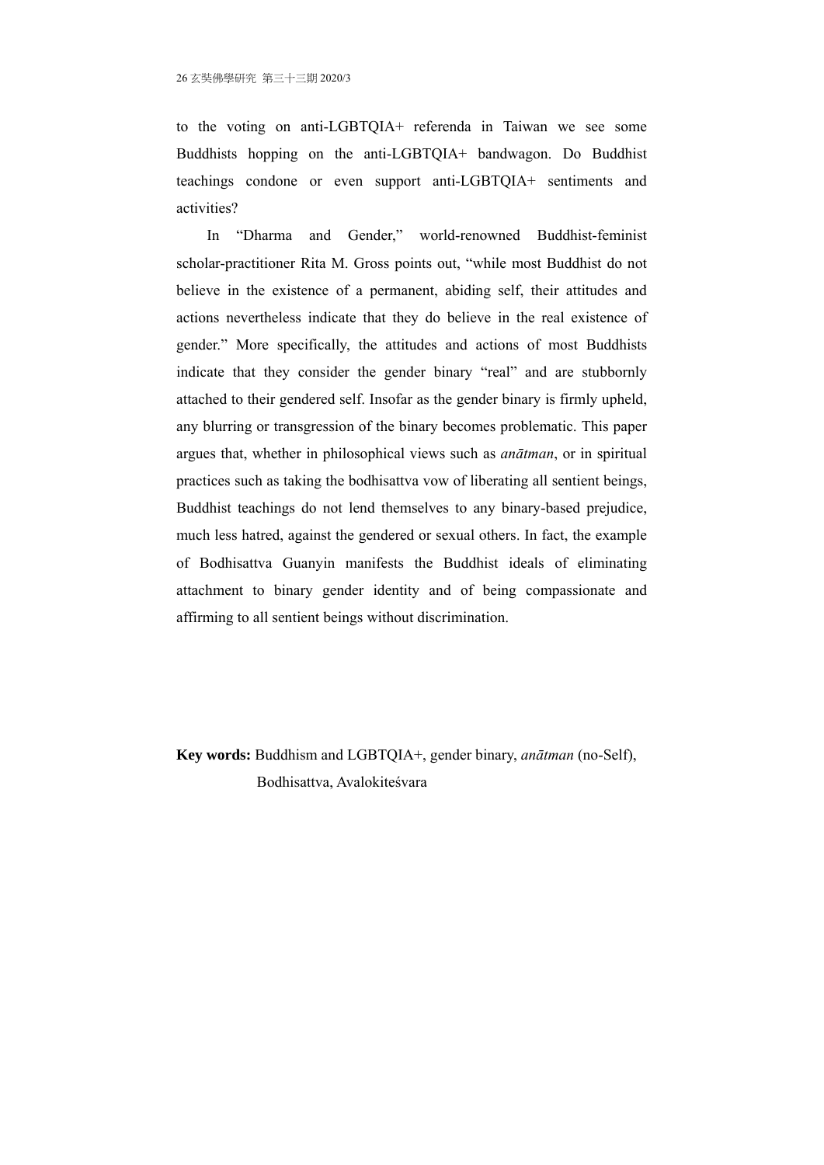to the voting on anti-LGBTQIA+ referenda in Taiwan we see some Buddhists hopping on the anti-LGBTQIA+ bandwagon. Do Buddhist teachings condone or even support anti-LGBTQIA+ sentiments and activities?

In "Dharma and Gender," world-renowned Buddhist-feminist scholar-practitioner Rita M. Gross points out, "while most Buddhist do not believe in the existence of a permanent, abiding self, their attitudes and actions nevertheless indicate that they do believe in the real existence of gender." More specifically, the attitudes and actions of most Buddhists indicate that they consider the gender binary "real" and are stubbornly attached to their gendered self. Insofar as the gender binary is firmly upheld, any blurring or transgression of the binary becomes problematic. This paper argues that, whether in philosophical views such as *anātman*, or in spiritual practices such as taking the bodhisattva vow of liberating all sentient beings, Buddhist teachings do not lend themselves to any binary-based prejudice, much less hatred, against the gendered or sexual others. In fact, the example of Bodhisattva Guanyin manifests the Buddhist ideals of eliminating attachment to binary gender identity and of being compassionate and affirming to all sentient beings without discrimination.

**Key words:** Buddhism and LGBTQIA+, gender binary, *anātman* (no-Self), Bodhisattva, Avalokiteśvara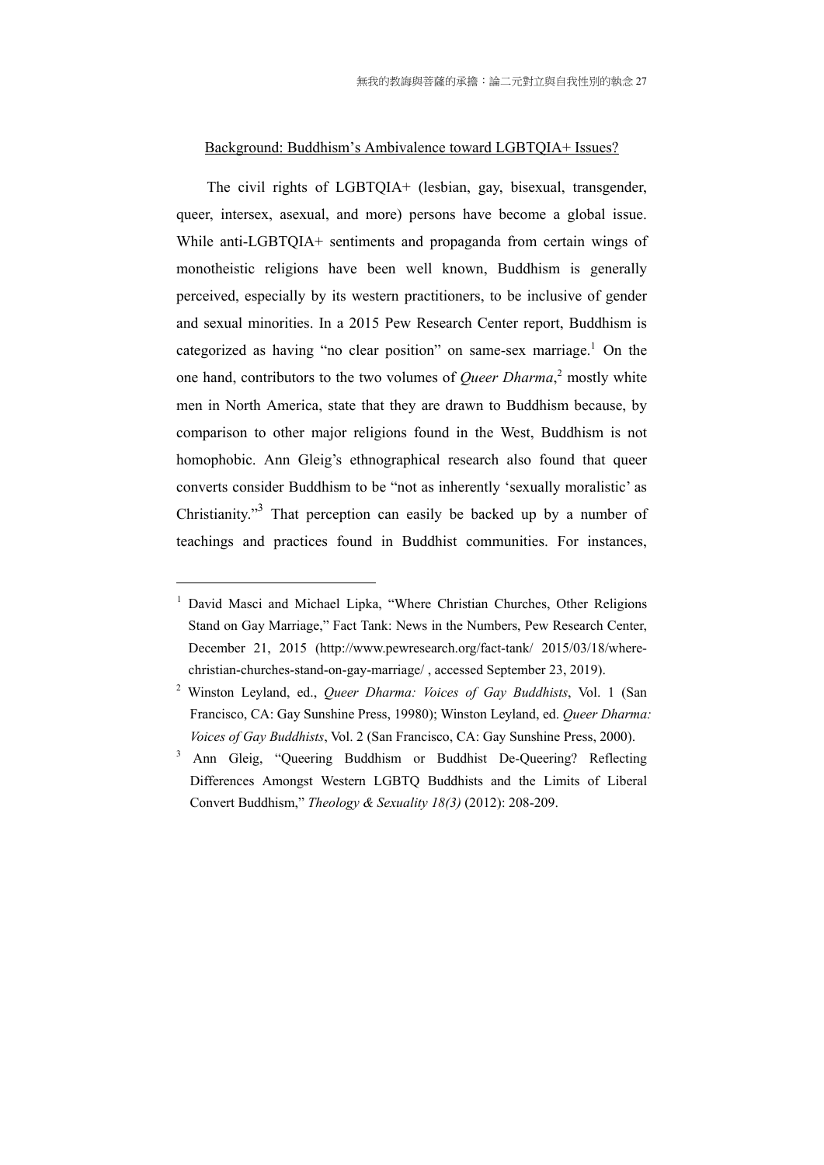### Background: Buddhism's Ambivalence toward LGBTQIA+ Issues?

The civil rights of LGBTQIA+ (lesbian, gay, bisexual, transgender, queer, intersex, asexual, and more) persons have become a global issue. While anti-LGBTQIA+ sentiments and propaganda from certain wings of monotheistic religions have been well known, Buddhism is generally perceived, especially by its western practitioners, to be inclusive of gender and sexual minorities. In a 2015 Pew Research Center report, Buddhism is categorized as having "no clear position" on same-sex marriage.<sup>1</sup> On the one hand, contributors to the two volumes of *Queer Dharma*, 2 mostly white men in North America, state that they are drawn to Buddhism because, by comparison to other major religions found in the West, Buddhism is not homophobic. Ann Gleig's ethnographical research also found that queer converts consider Buddhism to be "not as inherently 'sexually moralistic' as Christianity."<sup>3</sup> That perception can easily be backed up by a number of teachings and practices found in Buddhist communities. For instances,

<sup>1</sup> David Masci and Michael Lipka, "Where Christian Churches, Other Religions Stand on Gay Marriage," Fact Tank: News in the Numbers, Pew Research Center, December 21, 2015 (http://www.pewresearch.org/fact-tank/ 2015/03/18/wherechristian-churches-stand-on-gay-marriage/ , accessed September 23, 2019).

<sup>2</sup> Winston Leyland, ed., *Queer Dharma: Voices of Gay Buddhists*, Vol. 1 (San Francisco, CA: Gay Sunshine Press, 19980); Winston Leyland, ed. *Queer Dharma: Voices of Gay Buddhists*, Vol. 2 (San Francisco, CA: Gay Sunshine Press, 2000).

<sup>3</sup> Ann Gleig, "Queering Buddhism or Buddhist De-Queering? Reflecting Differences Amongst Western LGBTQ Buddhists and the Limits of Liberal Convert Buddhism," *Theology & Sexuality 18(3)* (2012): 208-209.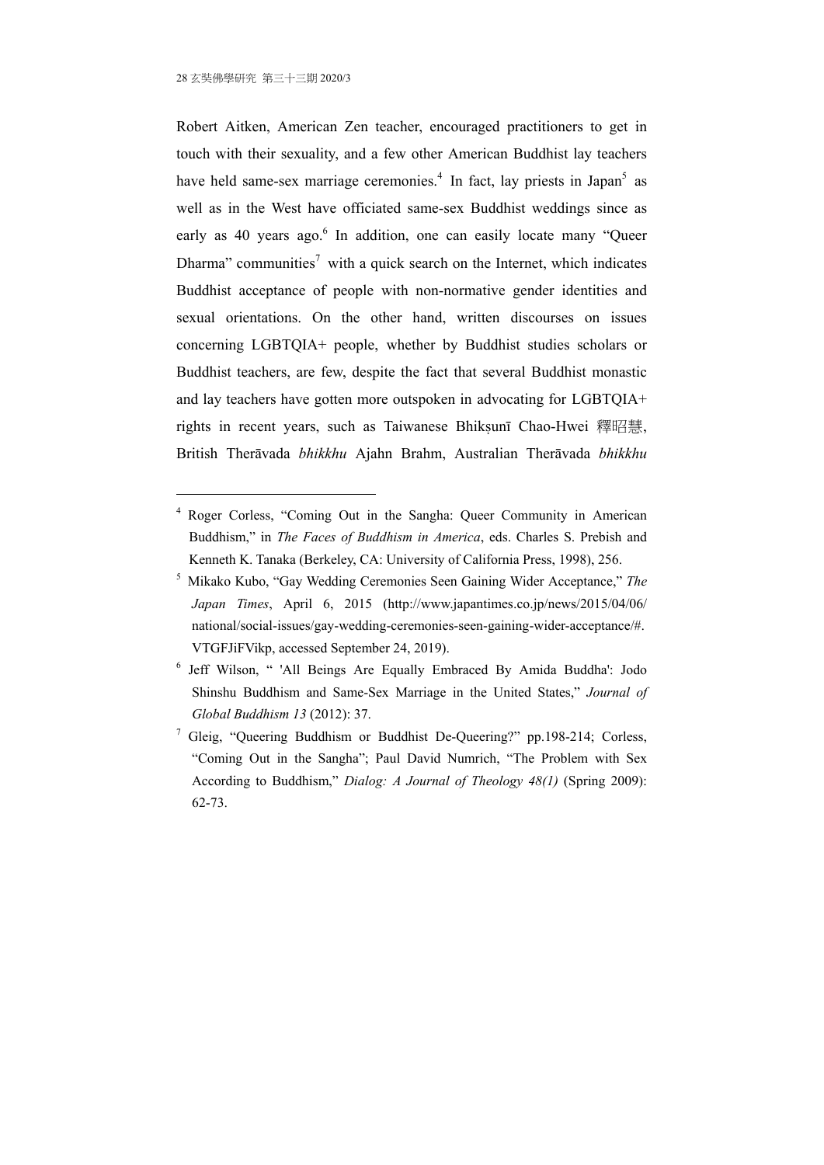1

Robert Aitken, American Zen teacher, encouraged practitioners to get in touch with their sexuality, and a few other American Buddhist lay teachers have held same-sex marriage ceremonies.<sup>4</sup> In fact, lay priests in Japan<sup>5</sup> as well as in the West have officiated same-sex Buddhist weddings since as early as 40 years ago.<sup>6</sup> In addition, one can easily locate many "Queer Dharma" communities<sup>7</sup> with a quick search on the Internet, which indicates Buddhist acceptance of people with non-normative gender identities and sexual orientations. On the other hand, written discourses on issues concerning LGBTQIA+ people, whether by Buddhist studies scholars or Buddhist teachers, are few, despite the fact that several Buddhist monastic and lay teachers have gotten more outspoken in advocating for LGBTQIA+ rights in recent years, such as Taiwanese Bhiksunī Chao-Hwei 釋昭慧, British Therāvada *bhikkhu* Ajahn Brahm, Australian Therāvada *bhikkhu*

<sup>4</sup> Roger Corless, "Coming Out in the Sangha: Queer Community in American Buddhism," in *The Faces of Buddhism in America*, eds. Charles S. Prebish and Kenneth K. Tanaka (Berkeley, CA: University of California Press, 1998), 256.

<sup>5</sup> Mikako Kubo, "Gay Wedding Ceremonies Seen Gaining Wider Acceptance," *The Japan Times*, April 6, 2015 (http://www.japantimes.co.jp/news/2015/04/06/ national/social-issues/gay-wedding-ceremonies-seen-gaining-wider-acceptance/#. VTGFJiFVikp, accessed September 24, 2019).

<sup>6</sup> Jeff Wilson, " 'All Beings Are Equally Embraced By Amida Buddha': Jodo Shinshu Buddhism and Same-Sex Marriage in the United States," *Journal of Global Buddhism 13* (2012): 37.

<sup>&</sup>lt;sup>7</sup> Gleig, "Queering Buddhism or Buddhist De-Queering?" pp.198-214; Corless, "Coming Out in the Sangha"; Paul David Numrich, "The Problem with Sex According to Buddhism," *Dialog: A Journal of Theology 48(1)* (Spring 2009): 62-73.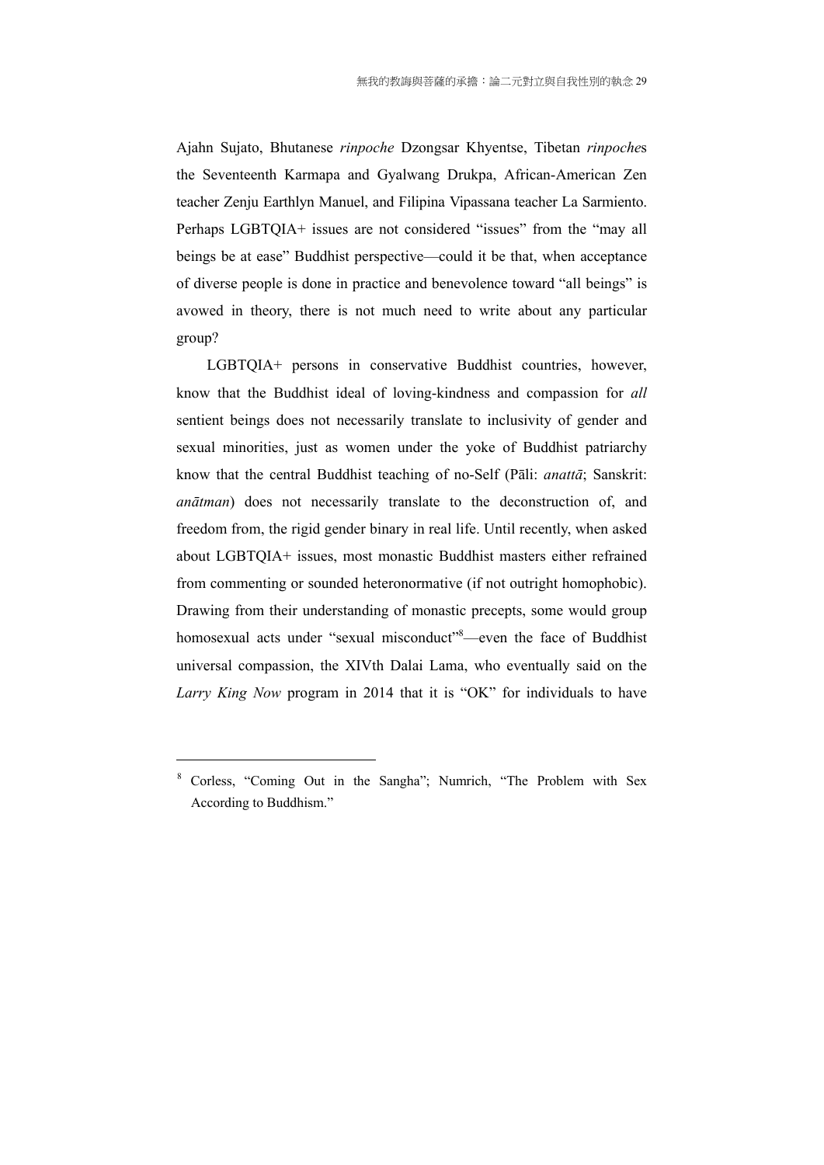Ajahn Sujato, Bhutanese *rinpoche* Dzongsar Khyentse, Tibetan *rinpoche*s the Seventeenth Karmapa and Gyalwang Drukpa, African-American Zen teacher Zenju Earthlyn Manuel, and Filipina Vipassana teacher La Sarmiento. Perhaps LGBTQIA+ issues are not considered "issues" from the "may all beings be at ease" Buddhist perspective—could it be that, when acceptance of diverse people is done in practice and benevolence toward "all beings" is avowed in theory, there is not much need to write about any particular group?

LGBTQIA+ persons in conservative Buddhist countries, however, know that the Buddhist ideal of loving-kindness and compassion for *all* sentient beings does not necessarily translate to inclusivity of gender and sexual minorities, just as women under the yoke of Buddhist patriarchy know that the central Buddhist teaching of no-Self (Pāli: *anattā*; Sanskrit: *anātman*) does not necessarily translate to the deconstruction of, and freedom from, the rigid gender binary in real life. Until recently, when asked about LGBTQIA+ issues, most monastic Buddhist masters either refrained from commenting or sounded heteronormative (if not outright homophobic). Drawing from their understanding of monastic precepts, some would group homosexual acts under "sexual misconduct"<sup>8</sup>—even the face of Buddhist universal compassion, the XIVth Dalai Lama, who eventually said on the *Larry King Now* program in 2014 that it is "OK" for individuals to have

<u>.</u>

<sup>8</sup> Corless, "Coming Out in the Sangha"; Numrich, "The Problem with Sex According to Buddhism."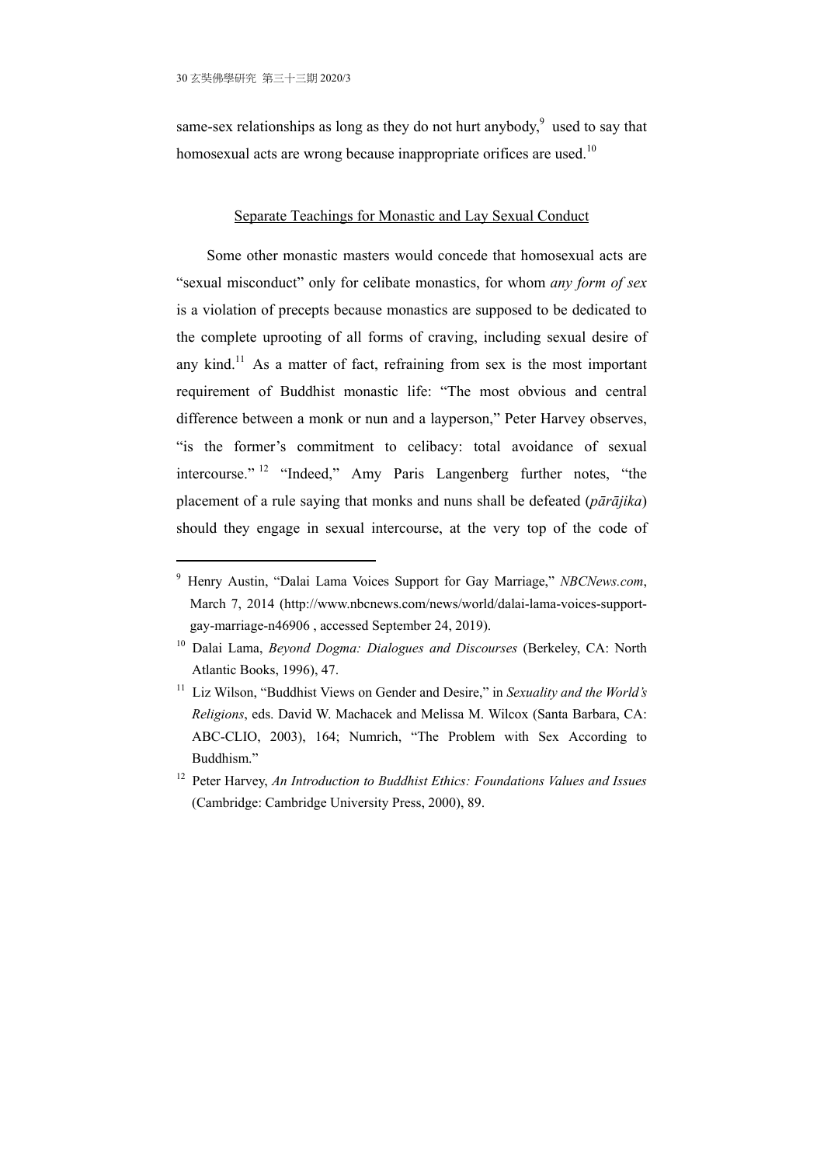1

same-sex relationships as long as they do not hurt anybody, $9$  used to say that homosexual acts are wrong because inappropriate orifices are used.<sup>10</sup>

#### Separate Teachings for Monastic and Lay Sexual Conduct

Some other monastic masters would concede that homosexual acts are "sexual misconduct" only for celibate monastics, for whom *any form of sex* is a violation of precepts because monastics are supposed to be dedicated to the complete uprooting of all forms of craving, including sexual desire of any kind.<sup>11</sup> As a matter of fact, refraining from sex is the most important requirement of Buddhist monastic life: "The most obvious and central difference between a monk or nun and a layperson," Peter Harvey observes, "is the former's commitment to celibacy: total avoidance of sexual intercourse." 12 "Indeed," Amy Paris Langenberg further notes, "the placement of a rule saying that monks and nuns shall be defeated (*pārājika*) should they engage in sexual intercourse, at the very top of the code of

<sup>9</sup> Henry Austin, "Dalai Lama Voices Support for Gay Marriage," *NBCNews.com*, March 7, 2014 (http://www.nbcnews.com/news/world/dalai-lama-voices-supportgay-marriage-n46906 , accessed September 24, 2019).

<sup>10</sup> Dalai Lama, *Beyond Dogma: Dialogues and Discourses* (Berkeley, CA: North Atlantic Books, 1996), 47.

<sup>&</sup>lt;sup>11</sup> Liz Wilson, "Buddhist Views on Gender and Desire," in *Sexuality and the World's Religions*, eds. David W. Machacek and Melissa M. Wilcox (Santa Barbara, CA: ABC-CLIO, 2003), 164; Numrich, "The Problem with Sex According to Buddhism."

<sup>12</sup> Peter Harvey, *An Introduction to Buddhist Ethics: Foundations Values and Issues* (Cambridge: Cambridge University Press, 2000), 89.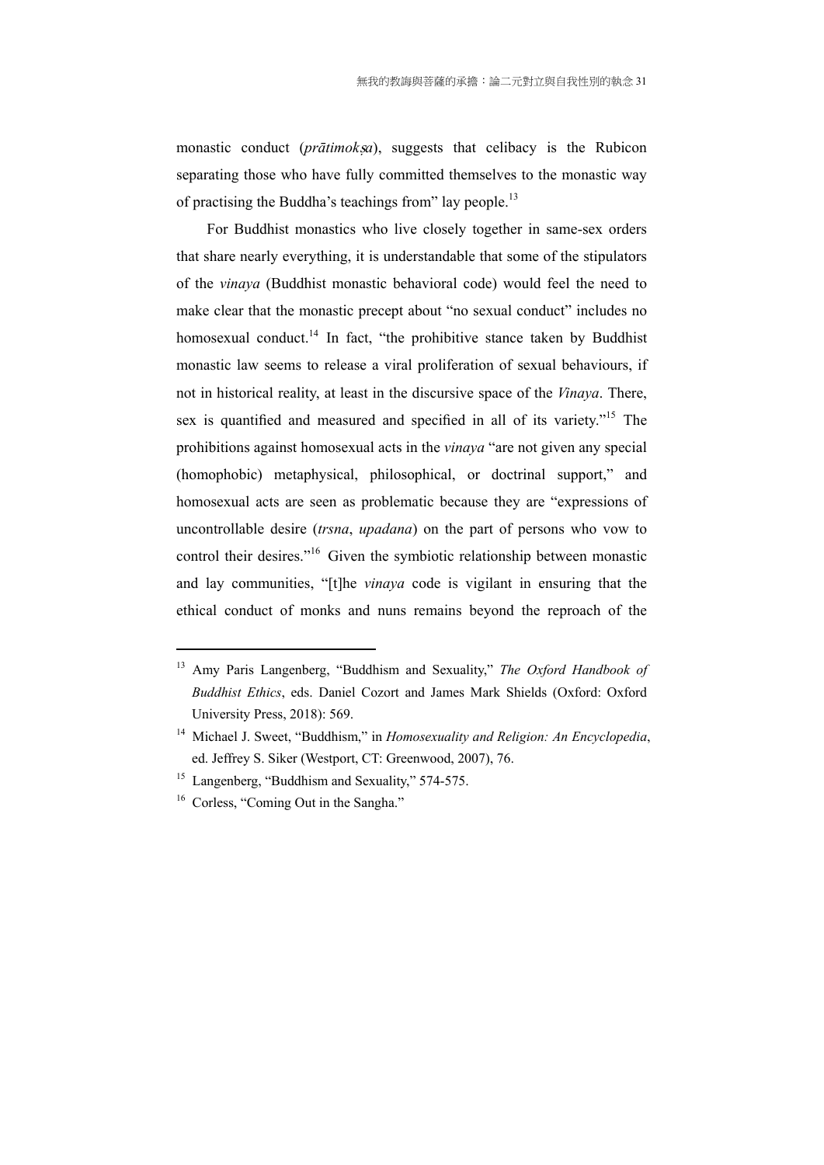monastic conduct (*prātimoksa*), suggests that celibacy is the Rubicon separating those who have fully committed themselves to the monastic way of practising the Buddha's teachings from" lay people.<sup>13</sup>

For Buddhist monastics who live closely together in same-sex orders that share nearly everything, it is understandable that some of the stipulators of the *vinaya* (Buddhist monastic behavioral code) would feel the need to make clear that the monastic precept about "no sexual conduct" includes no homosexual conduct.<sup>14</sup> In fact, "the prohibitive stance taken by Buddhist monastic law seems to release a viral proliferation of sexual behaviours, if not in historical reality, at least in the discursive space of the *Vinaya*. There, sex is quantified and measured and specified in all of its variety."<sup>15</sup> The prohibitions against homosexual acts in the *vinaya* "are not given any special (homophobic) metaphysical, philosophical, or doctrinal support," and homosexual acts are seen as problematic because they are "expressions of uncontrollable desire (*trsna*, *upadana*) on the part of persons who vow to control their desires."16 Given the symbiotic relationship between monastic and lay communities, "[t]he *vinaya* code is vigilant in ensuring that the ethical conduct of monks and nuns remains beyond the reproach of the

<sup>13</sup> Amy Paris Langenberg, "Buddhism and Sexuality," *The Oxford Handbook of Buddhist Ethics*, eds. Daniel Cozort and James Mark Shields (Oxford: Oxford University Press, 2018): 569.

<sup>14</sup> Michael J. Sweet, "Buddhism," in *Homosexuality and Religion: An Encyclopedia*, ed. Jeffrey S. Siker (Westport, CT: Greenwood, 2007), 76.

<sup>&</sup>lt;sup>15</sup> Langenberg, "Buddhism and Sexuality," 574-575.

<sup>&</sup>lt;sup>16</sup> Corless, "Coming Out in the Sangha."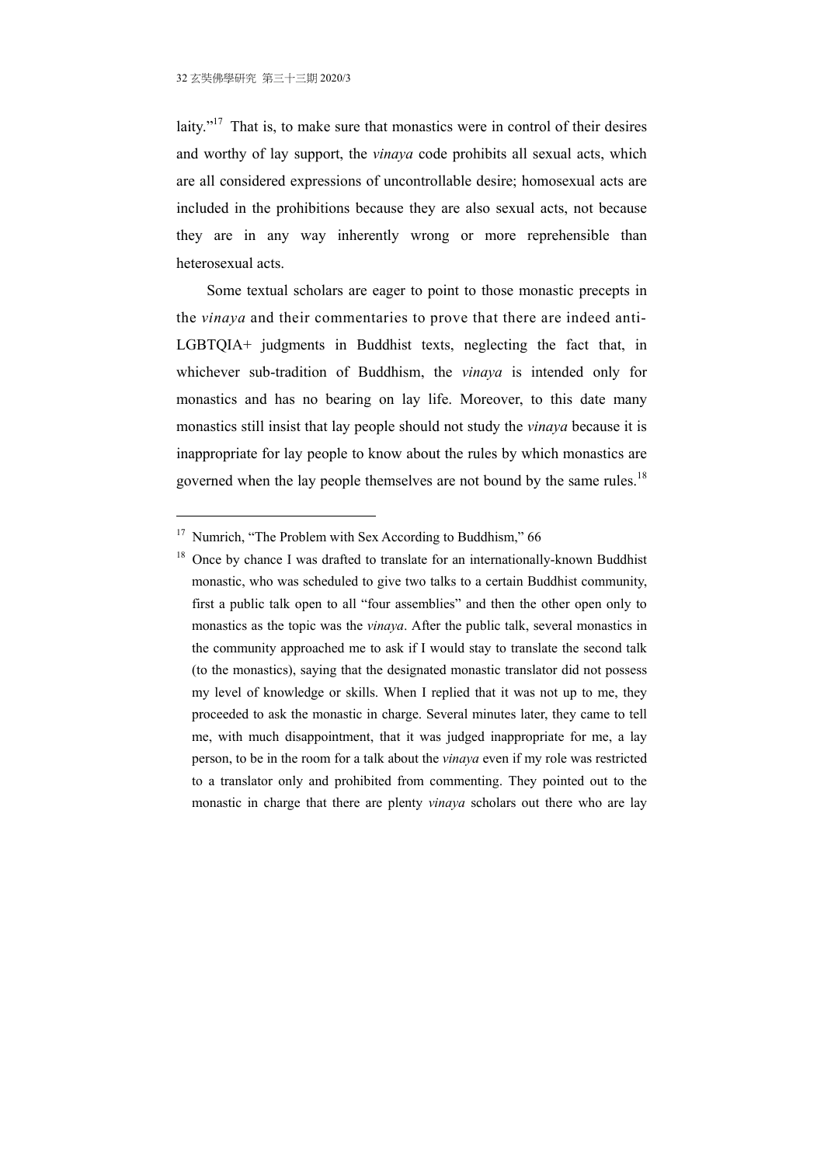1

laity."<sup>17</sup> That is, to make sure that monastics were in control of their desires and worthy of lay support, the *vinaya* code prohibits all sexual acts, which are all considered expressions of uncontrollable desire; homosexual acts are included in the prohibitions because they are also sexual acts, not because they are in any way inherently wrong or more reprehensible than heterosexual acts.

Some textual scholars are eager to point to those monastic precepts in the *vinaya* and their commentaries to prove that there are indeed anti-LGBTQIA+ judgments in Buddhist texts, neglecting the fact that, in whichever sub-tradition of Buddhism, the *vinaya* is intended only for monastics and has no bearing on lay life. Moreover, to this date many monastics still insist that lay people should not study the *vinaya* because it is inappropriate for lay people to know about the rules by which monastics are governed when the lay people themselves are not bound by the same rules.<sup>18</sup>

<sup>&</sup>lt;sup>17</sup> Numrich, "The Problem with Sex According to Buddhism," 66

 $18$  Once by chance I was drafted to translate for an internationally-known Buddhist monastic, who was scheduled to give two talks to a certain Buddhist community, first a public talk open to all "four assemblies" and then the other open only to monastics as the topic was the *vinaya*. After the public talk, several monastics in the community approached me to ask if I would stay to translate the second talk (to the monastics), saying that the designated monastic translator did not possess my level of knowledge or skills. When I replied that it was not up to me, they proceeded to ask the monastic in charge. Several minutes later, they came to tell me, with much disappointment, that it was judged inappropriate for me, a lay person, to be in the room for a talk about the *vinaya* even if my role was restricted to a translator only and prohibited from commenting. They pointed out to the monastic in charge that there are plenty *vinaya* scholars out there who are lay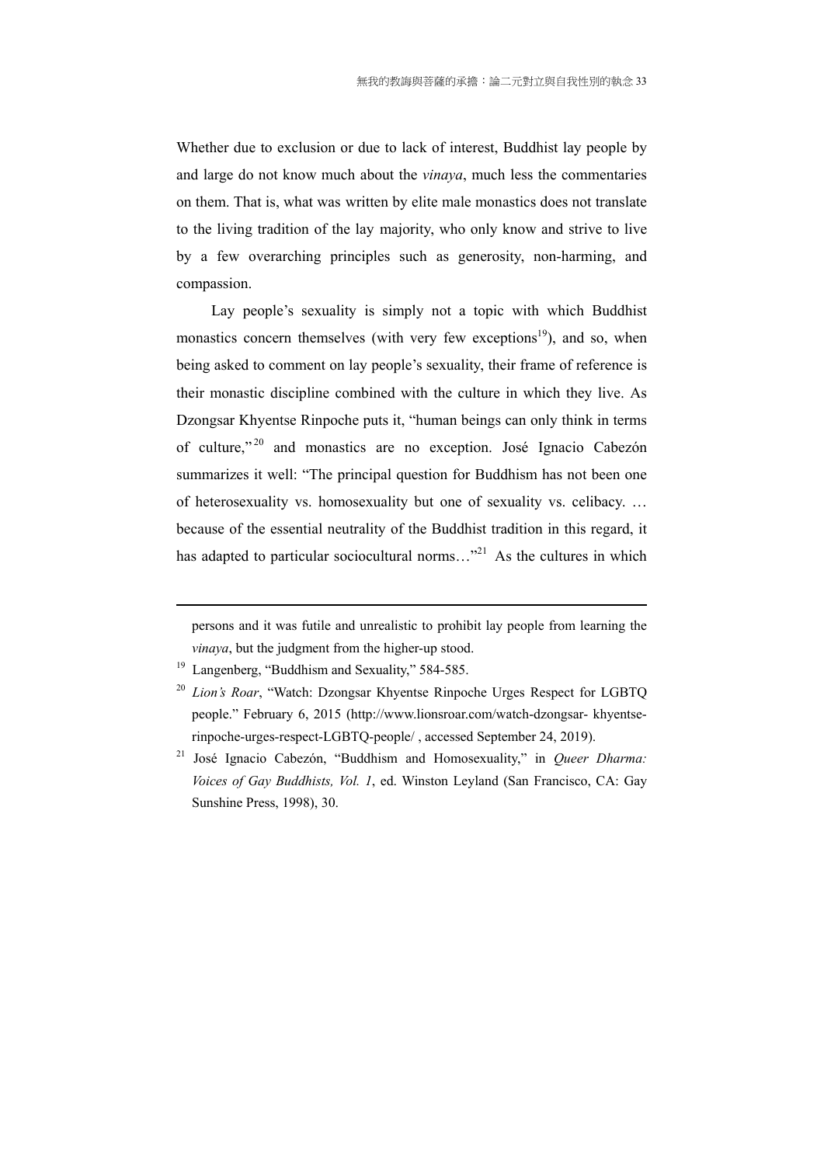Whether due to exclusion or due to lack of interest, Buddhist lay people by and large do not know much about the *vinaya*, much less the commentaries on them. That is, what was written by elite male monastics does not translate to the living tradition of the lay majority, who only know and strive to live by a few overarching principles such as generosity, non-harming, and compassion.

Lay people's sexuality is simply not a topic with which Buddhist monastics concern themselves (with very few exceptions<sup>19</sup>), and so, when being asked to comment on lay people's sexuality, their frame of reference is their monastic discipline combined with the culture in which they live. As Dzongsar Khyentse Rinpoche puts it, "human beings can only think in terms of culture," 20 and monastics are no exception. José Ignacio Cabezón summarizes it well: "The principal question for Buddhism has not been one of heterosexuality vs. homosexuality but one of sexuality vs. celibacy. … because of the essential neutrality of the Buddhist tradition in this regard, it has adapted to particular sociocultural norms..."<sup>21</sup> As the cultures in which

<u>.</u>

persons and it was futile and unrealistic to prohibit lay people from learning the *vinaya*, but the judgment from the higher-up stood.

<sup>19</sup> Langenberg, "Buddhism and Sexuality," 584-585.

<sup>20</sup> *Lion's Roar*, "Watch: Dzongsar Khyentse Rinpoche Urges Respect for LGBTQ people." February 6, 2015 (http://www.lionsroar.com/watch-dzongsar- khyentserinpoche-urges-respect-LGBTQ-people/ , accessed September 24, 2019).

<sup>&</sup>lt;sup>21</sup> José Ignacio Cabezón, "Buddhism and Homosexuality," in *Queer Dharma: Voices of Gay Buddhists, Vol. 1*, ed. Winston Leyland (San Francisco, CA: Gay Sunshine Press, 1998), 30.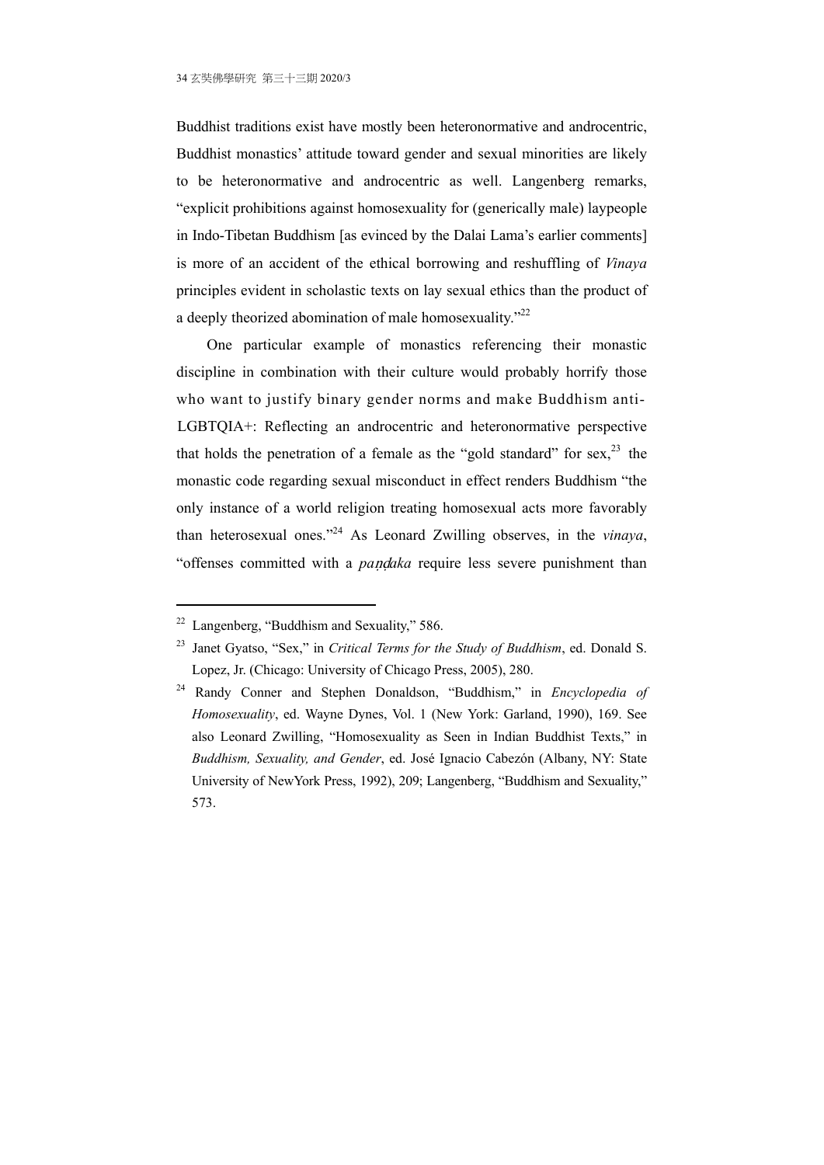Buddhist traditions exist have mostly been heteronormative and androcentric, Buddhist monastics' attitude toward gender and sexual minorities are likely to be heteronormative and androcentric as well. Langenberg remarks, "explicit prohibitions against homosexuality for (generically male) laypeople in Indo-Tibetan Buddhism [as evinced by the Dalai Lama's earlier comments] is more of an accident of the ethical borrowing and reshuffling of *Vinaya* principles evident in scholastic texts on lay sexual ethics than the product of a deeply theorized abomination of male homosexuality."<sup>22</sup>

One particular example of monastics referencing their monastic discipline in combination with their culture would probably horrify those who want to justify binary gender norms and make Buddhism anti-LGBTQIA+: Reflecting an androcentric and heteronormative perspective that holds the penetration of a female as the "gold standard" for sex,  $^{23}$  the monastic code regarding sexual misconduct in effect renders Buddhism "the only instance of a world religion treating homosexual acts more favorably than heterosexual ones."24 As Leonard Zwilling observes, in the *vinaya*, "offenses committed with a *pandaka* require less severe punishment than

<u>.</u>

 $22$  Langenberg, "Buddhism and Sexuality," 586.

<sup>23</sup> Janet Gyatso, "Sex," in *Critical Terms for the Study of Buddhism*, ed. Donald S. Lopez, Jr. (Chicago: University of Chicago Press, 2005), 280.

<sup>24</sup> Randy Conner and Stephen Donaldson, "Buddhism," in *Encyclopedia of Homosexuality*, ed. Wayne Dynes, Vol. 1 (New York: Garland, 1990), 169. See also Leonard Zwilling, "Homosexuality as Seen in Indian Buddhist Texts," in *Buddhism, Sexuality, and Gender*, ed. José Ignacio Cabezón (Albany, NY: State University of NewYork Press, 1992), 209; Langenberg, "Buddhism and Sexuality," 573.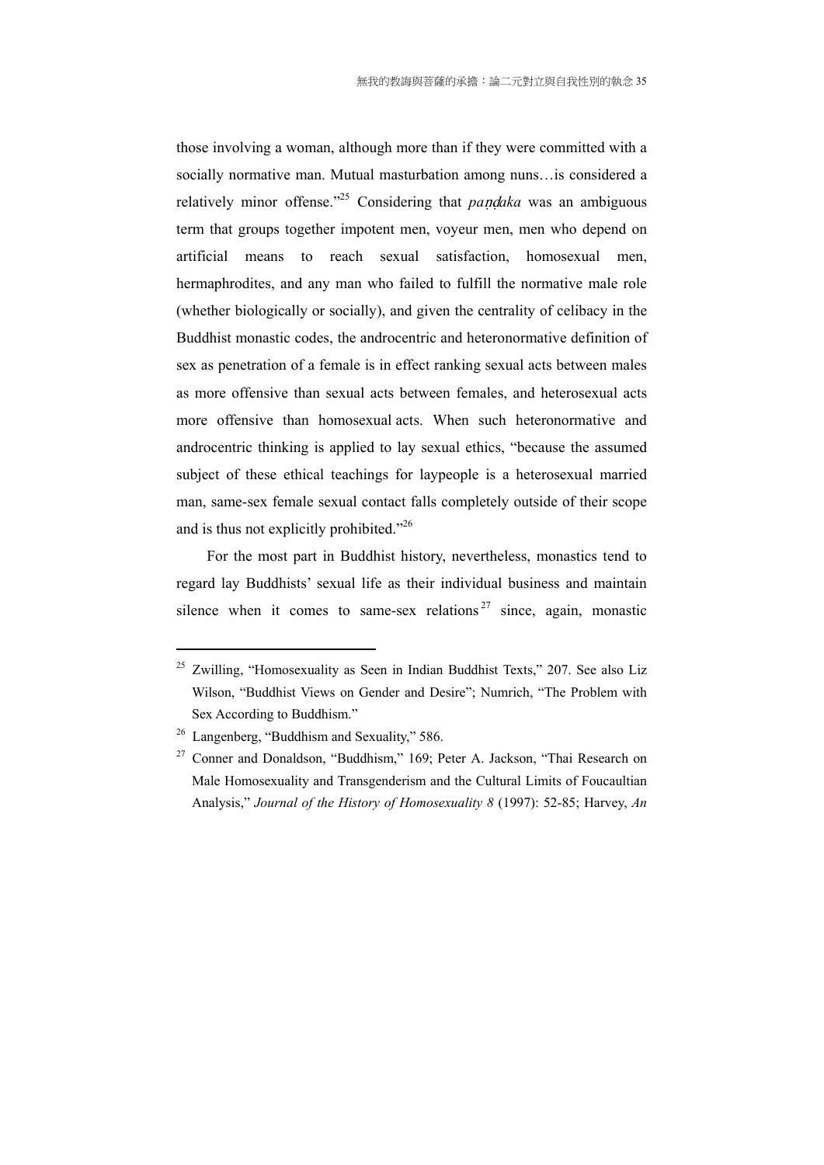those involving a woman, although more than if they were committed with a socially normative man. Mutual masturbation among nuns…is considered a relatively minor offense."<sup>25</sup> Considering that *pandaka* was an ambiguous term that groups together impotent men, voyeur men, men who depend on artificial means to reach sexual satisfaction, homosexual men, hermaphrodites, and any man who failed to fulfill the normative male role (whether biologically or socially), and given the centrality of celibacy in the Buddhist monastic codes, the androcentric and heteronormative definition of sex as penetration of a female is in effect ranking sexual acts between males as more offensive than sexual acts between females, and heterosexual acts more offensive than homosexual acts. When such heteronormative and androcentric thinking is applied to lay sexual ethics, "because the assumed subject of these ethical teachings for laypeople is a heterosexual married man, same-sex female sexual contact falls completely outside of their scope and is thus not explicitly prohibited."26

For the most part in Buddhist history, nevertheless, monastics tend to regard lay Buddhists' sexual life as their individual business and maintain silence when it comes to same-sex relations<sup>27</sup> since, again, monastic

 $25$  Zwilling, "Homosexuality as Seen in Indian Buddhist Texts," 207. See also Liz Wilson, "Buddhist Views on Gender and Desire"; Numrich, "The Problem with Sex According to Buddhism."

<sup>&</sup>lt;sup>26</sup> Langenberg, "Buddhism and Sexuality," 586.

<sup>&</sup>lt;sup>27</sup> Conner and Donaldson, "Buddhism," 169; Peter A. Jackson, "Thai Research on Male Homosexuality and Transgenderism and the Cultural Limits of Foucaultian Analysis," *Journal of the History of Homosexuality 8* (1997): 52-85; Harvey, *An*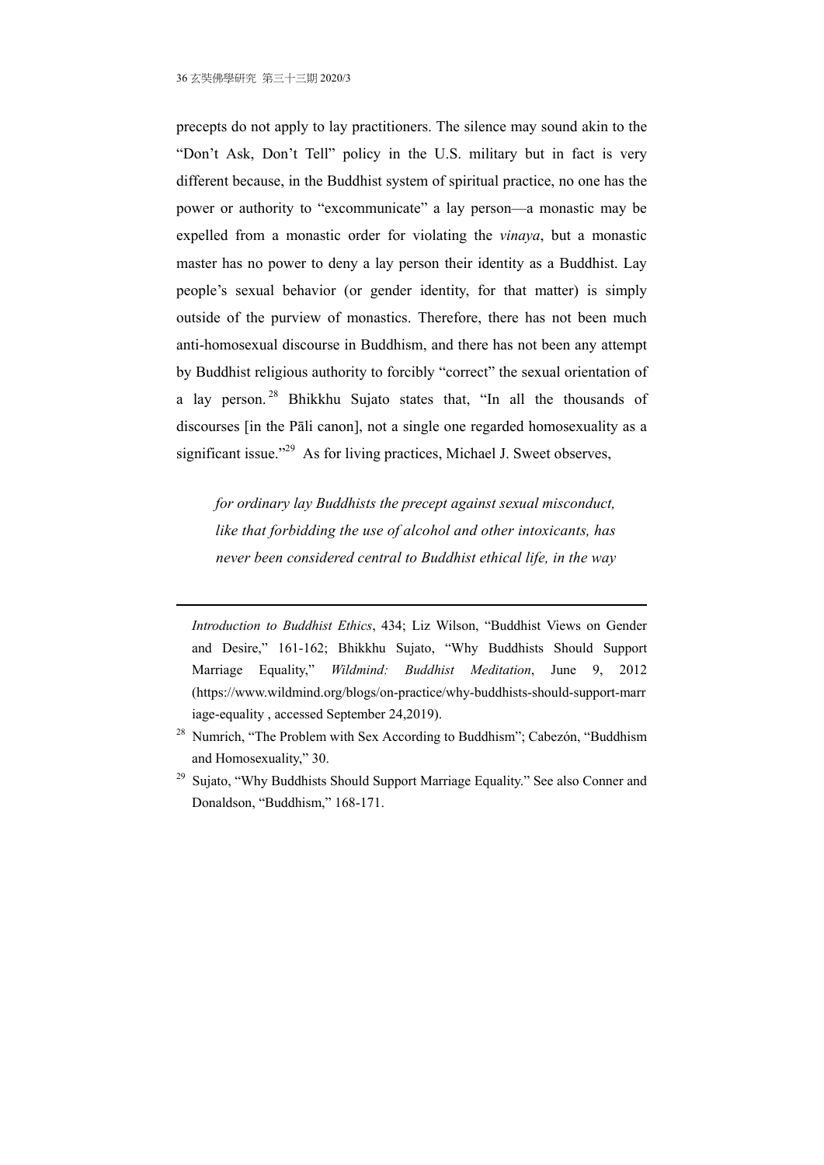<u>.</u>

precepts do not apply to lay practitioners. The silence may sound akin to the "Don't Ask, Don't Tell" policy in the U.S. military but in fact is very different because, in the Buddhist system of spiritual practice, no one has the power or authority to "excommunicate" a lay person—a monastic may be expelled from a monastic order for violating the *vinaya*, but a monastic master has no power to deny a lay person their identity as a Buddhist. Lay people's sexual behavior (or gender identity, for that matter) is simply outside of the purview of monastics. Therefore, there has not been much anti-homosexual discourse in Buddhism, and there has not been any attempt by Buddhist religious authority to forcibly "correct" the sexual orientation of a lay person. 28 Bhikkhu Sujato states that, "In all the thousands of discourses [in the Pāli canon], not a single one regarded homosexuality as a significant issue."<sup>29</sup> As for living practices, Michael J. Sweet observes,

*for ordinary lay Buddhists the precept against sexual misconduct, like that forbidding the use of alcohol and other intoxicants, has never been considered central to Buddhist ethical life, in the way* 

*Introduction to Buddhist Ethics*, 434; Liz Wilson, "Buddhist Views on Gender and Desire," 161-162; Bhikkhu Sujato, "Why Buddhists Should Support Marriage Equality," *Wildmind: Buddhist Meditation*, June 9, 2012 (https://www.wildmind.org/blogs/on-practice/why-buddhists-should-support-marr iage-equality , accessed September 24,2019).

<sup>&</sup>lt;sup>28</sup> Numrich, "The Problem with Sex According to Buddhism"; Cabezón, "Buddhism and Homosexuality," 30.

<sup>&</sup>lt;sup>29</sup> Suiato, "Why Buddhists Should Support Marriage Equality." See also Conner and Donaldson, "Buddhism," 168-171.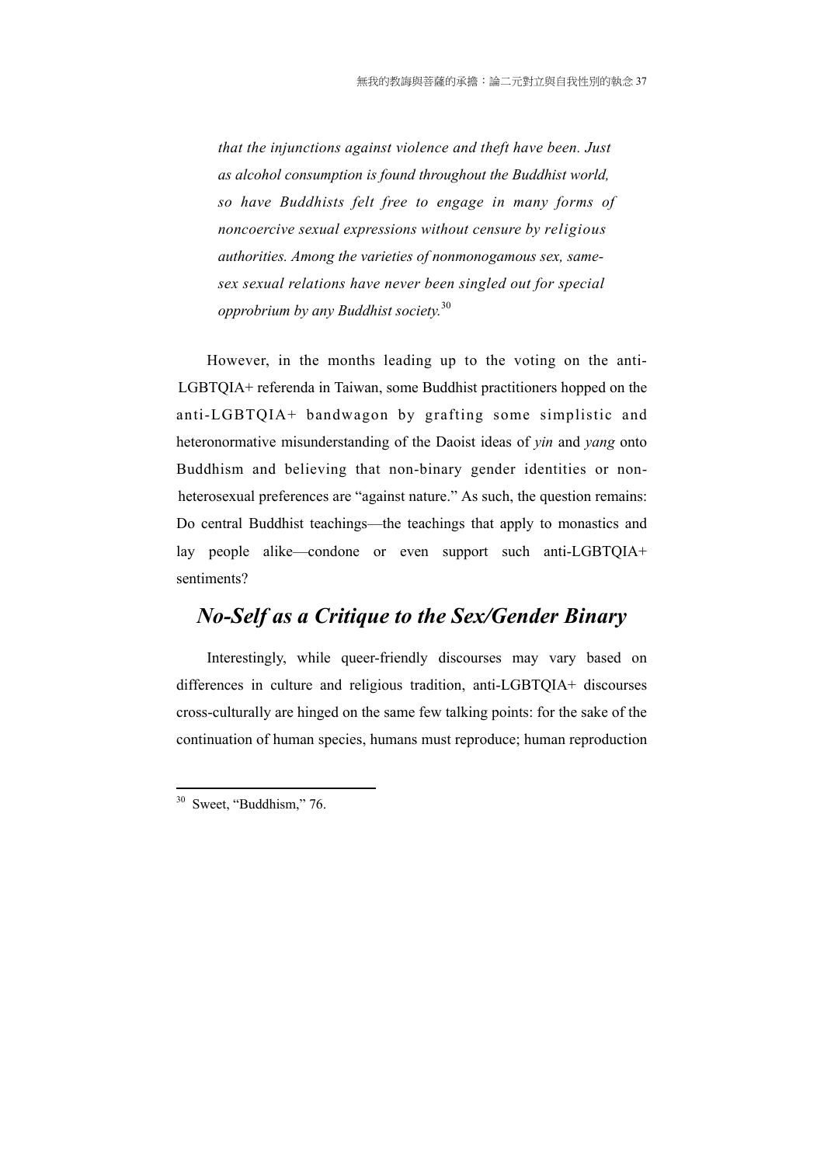*that the injunctions against violence and theft have been. Just as alcohol consumption is found throughout the Buddhist world, so have Buddhists felt free to engage in many forms of noncoercive sexual expressions without censure by religious authorities. Among the varieties of nonmonogamous sex, samesex sexual relations have never been singled out for special opprobrium by any Buddhist society.*30

However, in the months leading up to the voting on the anti-LGBTQIA+ referenda in Taiwan, some Buddhist practitioners hopped on the anti-LGBTQIA+ bandwagon by grafting some simplistic and heteronormative misunderstanding of the Daoist ideas of *yin* and *yang* onto Buddhism and believing that non-binary gender identities or nonheterosexual preferences are "against nature." As such, the question remains: Do central Buddhist teachings—the teachings that apply to monastics and lay people alike—condone or even support such anti-LGBTQIA+ sentiments?

# *No-Self as a Critique to the Sex/Gender Binary*

Interestingly, while queer-friendly discourses may vary based on differences in culture and religious tradition, anti-LGBTQIA+ discourses cross-culturally are hinged on the same few talking points: for the sake of the continuation of human species, humans must reproduce; human reproduction

 $30$  Sweet, "Buddhism," 76.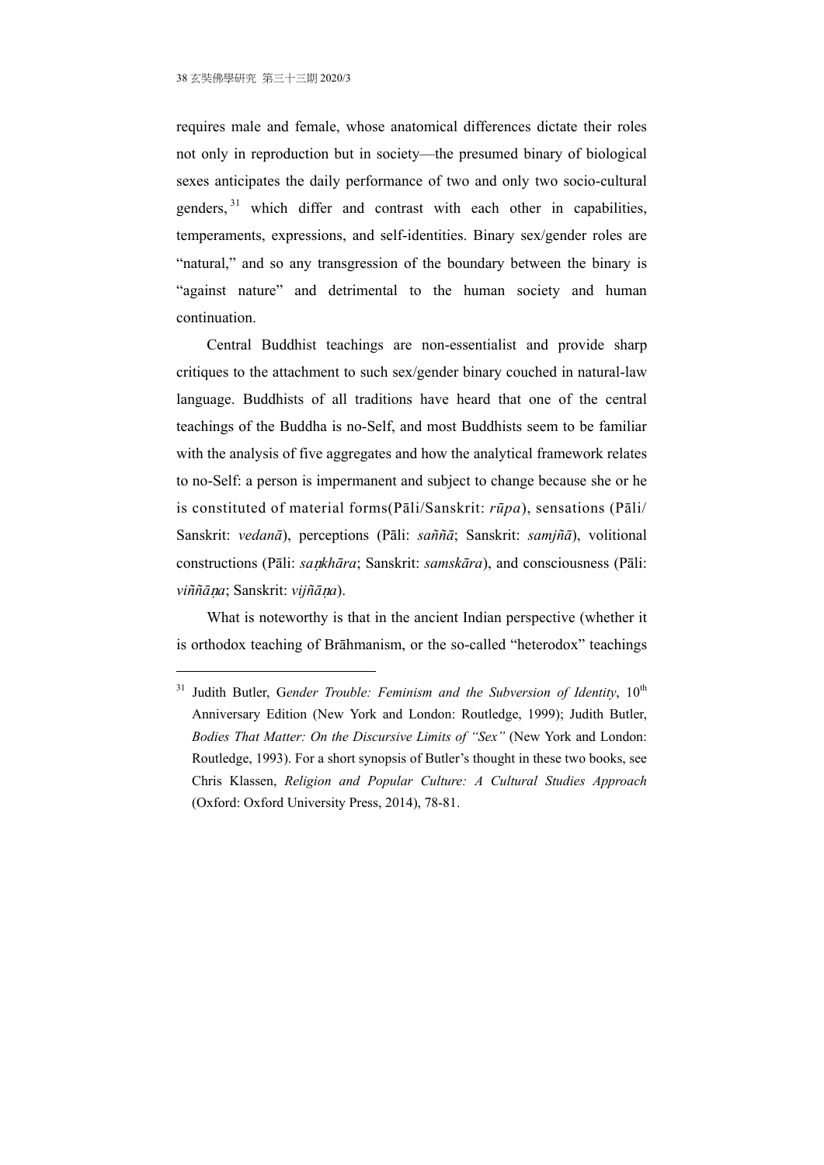<u>.</u>

requires male and female, whose anatomical differences dictate their roles not only in reproduction but in society—the presumed binary of biological sexes anticipates the daily performance of two and only two socio-cultural genders, 31 which differ and contrast with each other in capabilities, temperaments, expressions, and self-identities. Binary sex/gender roles are "natural," and so any transgression of the boundary between the binary is "against nature" and detrimental to the human society and human continuation.

Central Buddhist teachings are non-essentialist and provide sharp critiques to the attachment to such sex/gender binary couched in natural-law language. Buddhists of all traditions have heard that one of the central teachings of the Buddha is no-Self, and most Buddhists seem to be familiar with the analysis of five aggregates and how the analytical framework relates to no-Self: a person is impermanent and subject to change because she or he is constituted of material forms(Pāli/Sanskrit: *rūpa*), sensations (Pāli/ Sanskrit: *vedanā*), perceptions (Pāli: *saññā*; Sanskrit: *samjñā*), volitional constructions (Pāli: *sankhāra*; Sanskrit: *samskāra*), and consciousness (Pāli: *viññāna*; Sanskrit: *vijñāna*).

What is noteworthy is that in the ancient Indian perspective (whether it is orthodox teaching of Brāhmanism, or the so-called "heterodox" teachings

<sup>&</sup>lt;sup>31</sup> Judith Butler, Gender Trouble: Feminism and the Subversion of Identity,  $10^{th}$ Anniversary Edition (New York and London: Routledge, 1999); Judith Butler, *Bodies That Matter: On the Discursive Limits of "Sex"* (New York and London: Routledge, 1993). For a short synopsis of Butler's thought in these two books, see Chris Klassen, *Religion and Popular Culture: A Cultural Studies Approach* (Oxford: Oxford University Press, 2014), 78-81.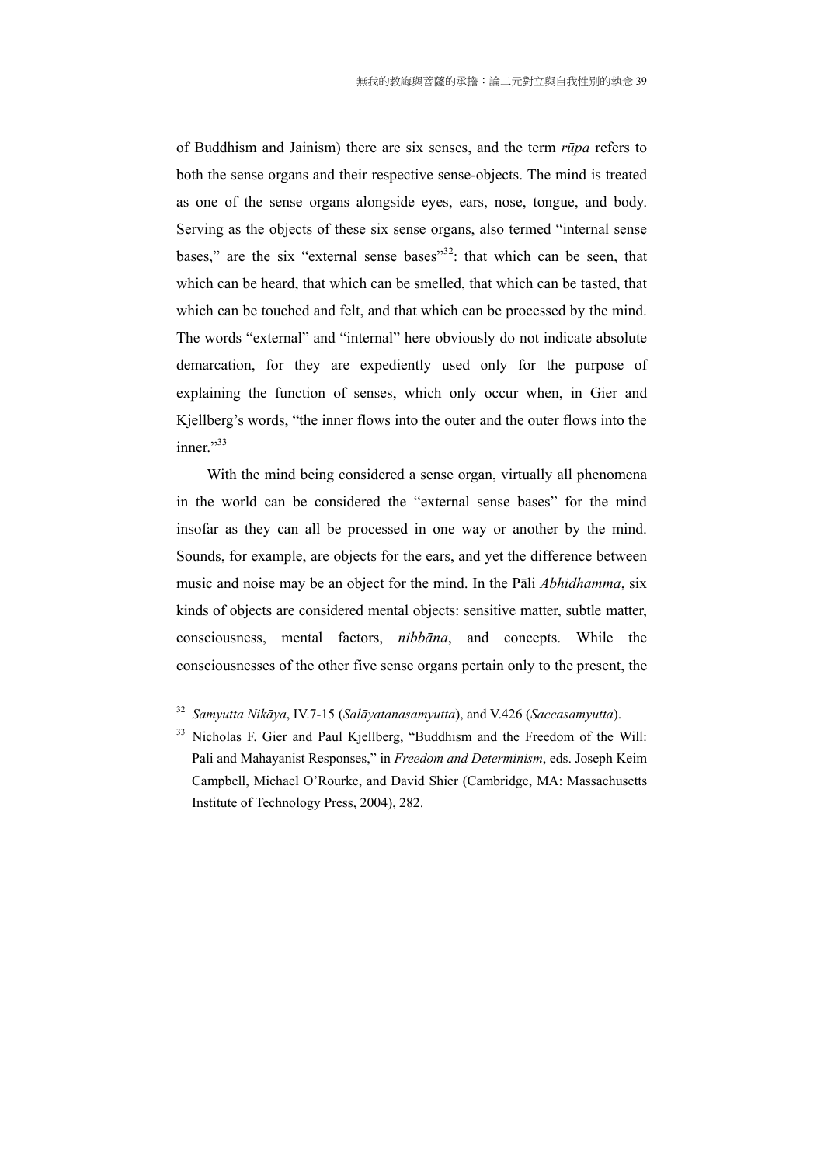of Buddhism and Jainism) there are six senses, and the term *rūpa* refers to both the sense organs and their respective sense-objects. The mind is treated as one of the sense organs alongside eyes, ears, nose, tongue, and body. Serving as the objects of these six sense organs, also termed "internal sense bases," are the six "external sense bases"<sup>32</sup>: that which can be seen, that which can be heard, that which can be smelled, that which can be tasted, that which can be touched and felt, and that which can be processed by the mind. The words "external" and "internal" here obviously do not indicate absolute demarcation, for they are expediently used only for the purpose of explaining the function of senses, which only occur when, in Gier and Kjellberg's words, "the inner flows into the outer and the outer flows into the inner." $33$ 

With the mind being considered a sense organ, virtually all phenomena in the world can be considered the "external sense bases" for the mind insofar as they can all be processed in one way or another by the mind. Sounds, for example, are objects for the ears, and yet the difference between music and noise may be an object for the mind. In the Pāli *Abhidhamma*, six kinds of objects are considered mental objects: sensitive matter, subtle matter, consciousness, mental factors, *nibbāna*, and concepts. While the consciousnesses of the other five sense organs pertain only to the present, the

<sup>32</sup> *Samyutta Nikāya*, IV.7-15 (*Salāyatanasamyutta*), and V.426 (*Saccasamyutta*).

<sup>&</sup>lt;sup>33</sup> Nicholas F. Gier and Paul Kiellberg, "Buddhism and the Freedom of the Will: Pali and Mahayanist Responses," in *Freedom and Determinism*, eds. Joseph Keim Campbell, Michael O'Rourke, and David Shier (Cambridge, MA: Massachusetts Institute of Technology Press, 2004), 282.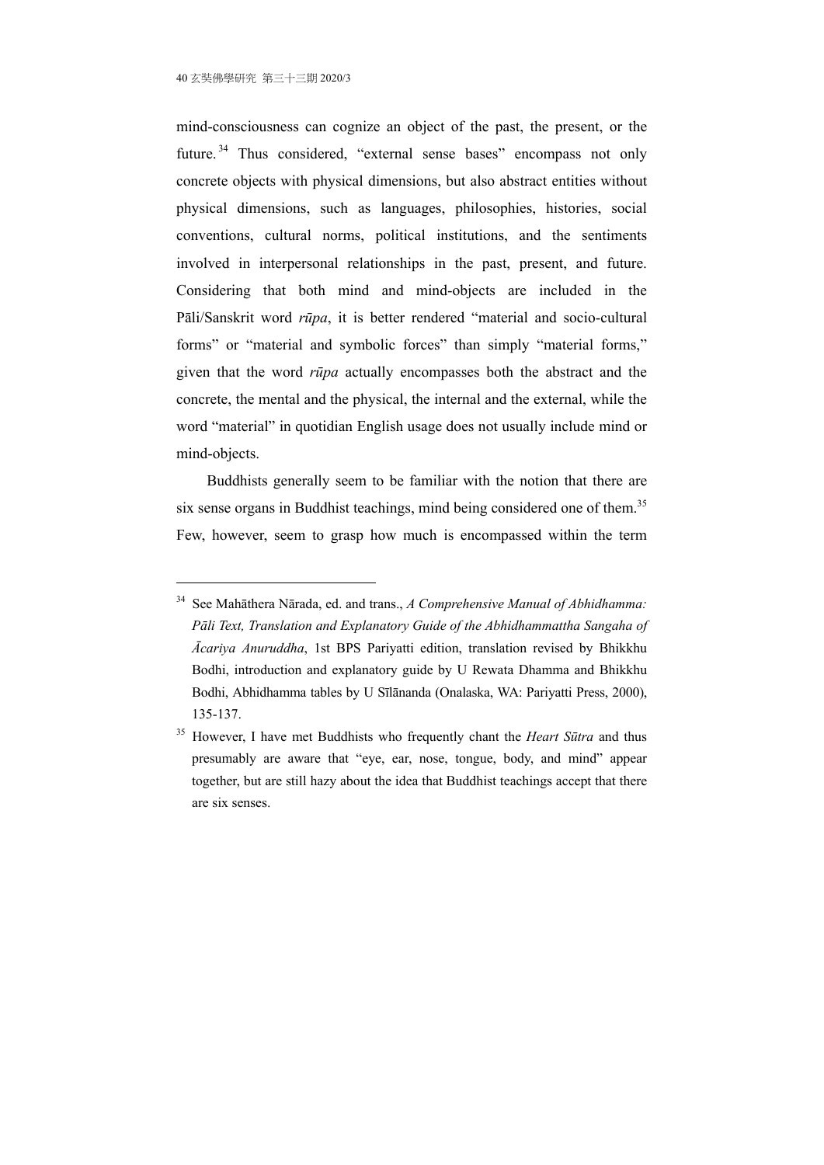1

mind-consciousness can cognize an object of the past, the present, or the future.<sup>34</sup> Thus considered, "external sense bases" encompass not only concrete objects with physical dimensions, but also abstract entities without physical dimensions, such as languages, philosophies, histories, social conventions, cultural norms, political institutions, and the sentiments involved in interpersonal relationships in the past, present, and future. Considering that both mind and mind-objects are included in the Pāli/Sanskrit word *rūpa*, it is better rendered "material and socio-cultural forms" or "material and symbolic forces" than simply "material forms," given that the word *rūpa* actually encompasses both the abstract and the concrete, the mental and the physical, the internal and the external, while the word "material" in quotidian English usage does not usually include mind or mind-objects.

Buddhists generally seem to be familiar with the notion that there are six sense organs in Buddhist teachings, mind being considered one of them.<sup>35</sup> Few, however, seem to grasp how much is encompassed within the term

<sup>34</sup> See Mahāthera Nārada, ed. and trans., *A Comprehensive Manual of Abhidhamma: Pāli Text, Translation and Explanatory Guide of the Abhidhammattha Sangaha of Ācariya Anuruddha*, 1st BPS Pariyatti edition, translation revised by Bhikkhu Bodhi, introduction and explanatory guide by U Rewata Dhamma and Bhikkhu Bodhi, Abhidhamma tables by U Sīlānanda (Onalaska, WA: Pariyatti Press, 2000), 135-137.

<sup>35</sup> However, I have met Buddhists who frequently chant the *Heart Sūtra* and thus presumably are aware that "eye, ear, nose, tongue, body, and mind" appear together, but are still hazy about the idea that Buddhist teachings accept that there are six senses.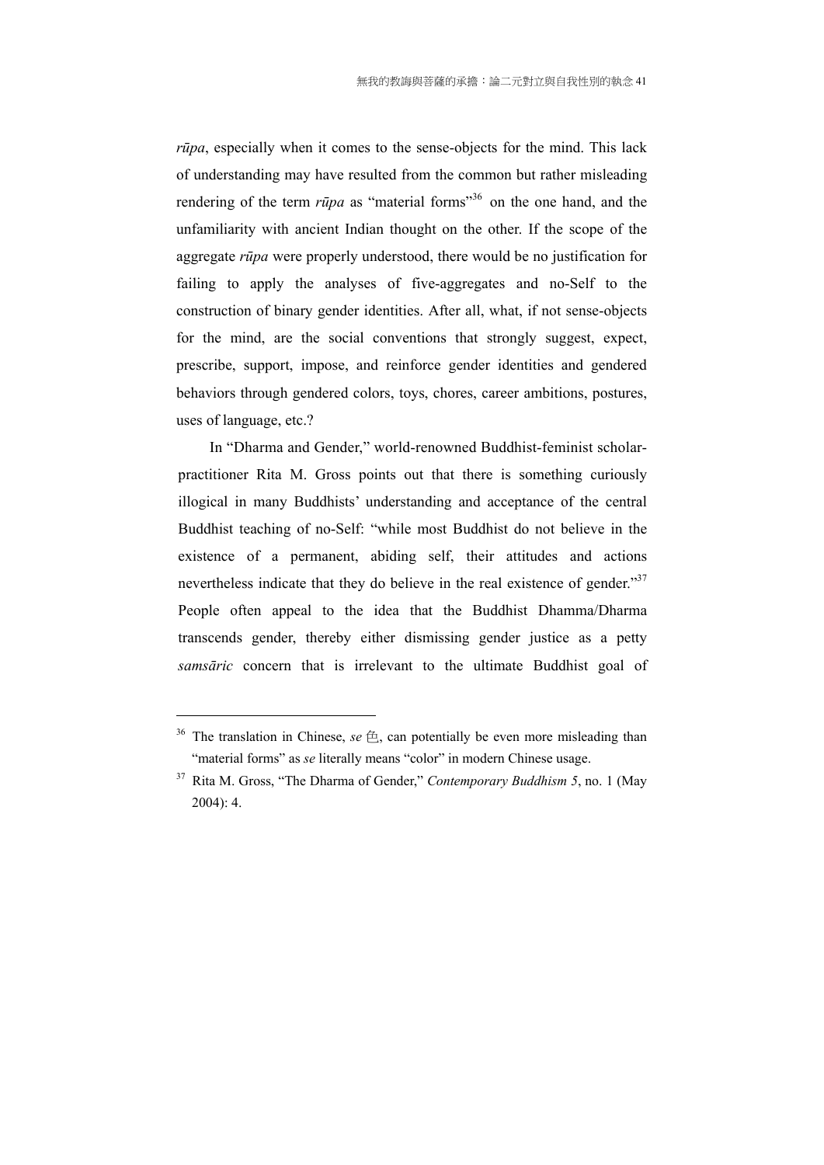*rūpa*, especially when it comes to the sense-objects for the mind. This lack of understanding may have resulted from the common but rather misleading rendering of the term *rūpa* as "material forms"<sup>36</sup> on the one hand, and the unfamiliarity with ancient Indian thought on the other. If the scope of the aggregate *rūpa* were properly understood, there would be no justification for failing to apply the analyses of five-aggregates and no-Self to the construction of binary gender identities. After all, what, if not sense-objects for the mind, are the social conventions that strongly suggest, expect, prescribe, support, impose, and reinforce gender identities and gendered behaviors through gendered colors, toys, chores, career ambitions, postures, uses of language, etc.?

 In "Dharma and Gender," world-renowned Buddhist-feminist scholarpractitioner Rita M. Gross points out that there is something curiously illogical in many Buddhists' understanding and acceptance of the central Buddhist teaching of no-Self: "while most Buddhist do not believe in the existence of a permanent, abiding self, their attitudes and actions nevertheless indicate that they do believe in the real existence of gender."<sup>37</sup> People often appeal to the idea that the Buddhist Dhamma/Dharma transcends gender, thereby either dismissing gender justice as a petty *samsāric* concern that is irrelevant to the ultimate Buddhist goal of

<sup>&</sup>lt;sup>36</sup> The translation in Chinese,  $se \oplus$ , can potentially be even more misleading than "material forms" as *se* literally means "color" in modern Chinese usage.

<sup>37</sup> Rita M. Gross, "The Dharma of Gender," *Contemporary Buddhism 5*, no. 1 (May 2004): 4.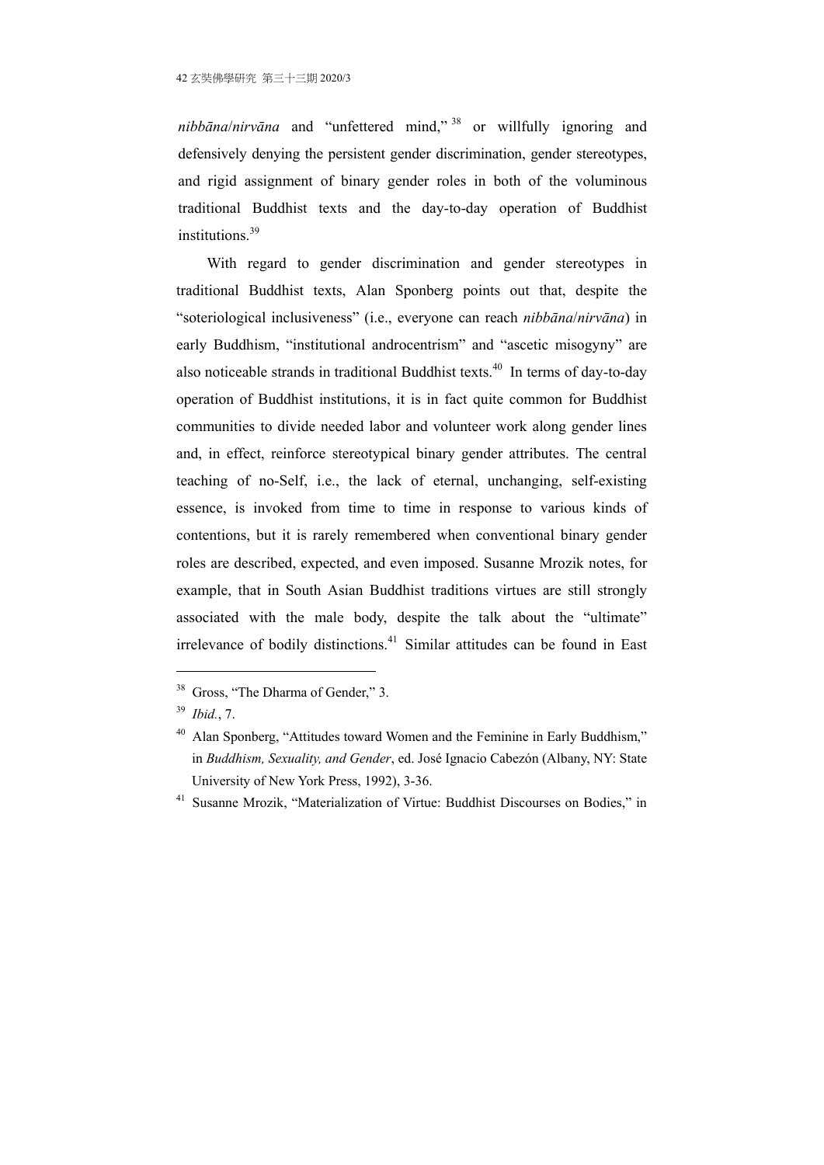*nibbāna*/*nirvāna* and "unfettered mind," 38 or willfully ignoring and defensively denying the persistent gender discrimination, gender stereotypes, and rigid assignment of binary gender roles in both of the voluminous traditional Buddhist texts and the day-to-day operation of Buddhist institutions.<sup>39</sup>

With regard to gender discrimination and gender stereotypes in traditional Buddhist texts, Alan Sponberg points out that, despite the "soteriological inclusiveness" (i.e., everyone can reach *nibbāna*/*nirvāna*) in early Buddhism, "institutional androcentrism" and "ascetic misogyny" are also noticeable strands in traditional Buddhist texts.<sup>40</sup> In terms of day-to-day operation of Buddhist institutions, it is in fact quite common for Buddhist communities to divide needed labor and volunteer work along gender lines and, in effect, reinforce stereotypical binary gender attributes. The central teaching of no-Self, i.e., the lack of eternal, unchanging, self-existing essence, is invoked from time to time in response to various kinds of contentions, but it is rarely remembered when conventional binary gender roles are described, expected, and even imposed. Susanne Mrozik notes, for example, that in South Asian Buddhist traditions virtues are still strongly associated with the male body, despite the talk about the "ultimate" irrelevance of bodily distinctions.<sup>41</sup> Similar attitudes can be found in East

<u>.</u>

<sup>&</sup>lt;sup>38</sup> Gross, "The Dharma of Gender," 3.

<sup>39</sup> *Ibid.*, 7.

<sup>&</sup>lt;sup>40</sup> Alan Sponberg, "Attitudes toward Women and the Feminine in Early Buddhism." in *Buddhism, Sexuality, and Gender*, ed. José Ignacio Cabezón (Albany, NY: State University of New York Press, 1992), 3-36.

<sup>&</sup>lt;sup>41</sup> Susanne Mrozik, "Materialization of Virtue: Buddhist Discourses on Bodies," in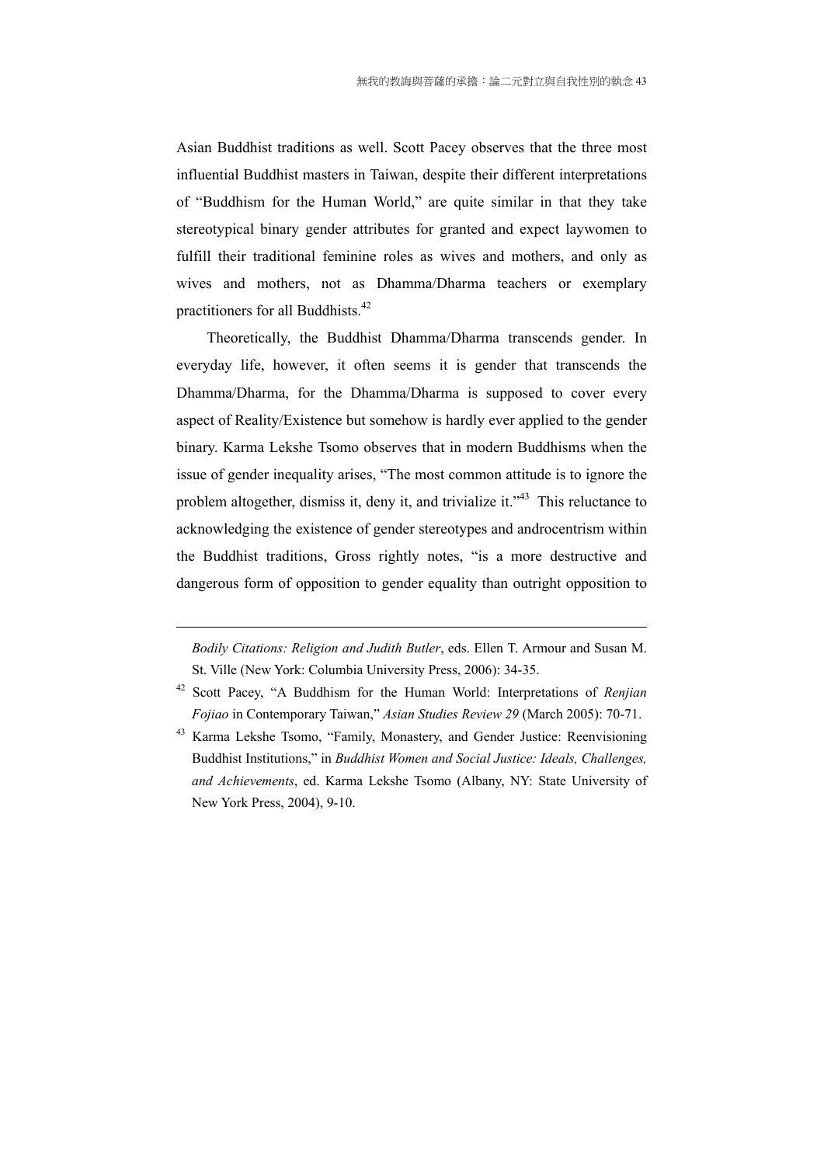Asian Buddhist traditions as well. Scott Pacey observes that the three most influential Buddhist masters in Taiwan, despite their different interpretations of "Buddhism for the Human World," are quite similar in that they take stereotypical binary gender attributes for granted and expect laywomen to fulfill their traditional feminine roles as wives and mothers, and only as wives and mothers, not as Dhamma/Dharma teachers or exemplary practitioners for all Buddhists.<sup>42</sup>

Theoretically, the Buddhist Dhamma/Dharma transcends gender. In everyday life, however, it often seems it is gender that transcends the Dhamma/Dharma, for the Dhamma/Dharma is supposed to cover every aspect of Reality/Existence but somehow is hardly ever applied to the gender binary. Karma Lekshe Tsomo observes that in modern Buddhisms when the issue of gender inequality arises, "The most common attitude is to ignore the problem altogether, dismiss it, deny it, and trivialize it."43 This reluctance to acknowledging the existence of gender stereotypes and androcentrism within the Buddhist traditions, Gross rightly notes, "is a more destructive and dangerous form of opposition to gender equality than outright opposition to

*Bodily Citations: Religion and Judith Butler*, eds. Ellen T. Armour and Susan M. St. Ville (New York: Columbia University Press, 2006): 34-35.

<sup>42</sup> Scott Pacey, "A Buddhism for the Human World: Interpretations of *Renjian Fojiao* in Contemporary Taiwan," *Asian Studies Review 29* (March 2005): 70-71.

<sup>&</sup>lt;sup>43</sup> Karma Lekshe Tsomo, "Family, Monastery, and Gender Justice: Reenvisioning Buddhist Institutions," in *Buddhist Women and Social Justice: Ideals, Challenges, and Achievements*, ed. Karma Lekshe Tsomo (Albany, NY: State University of New York Press, 2004), 9-10.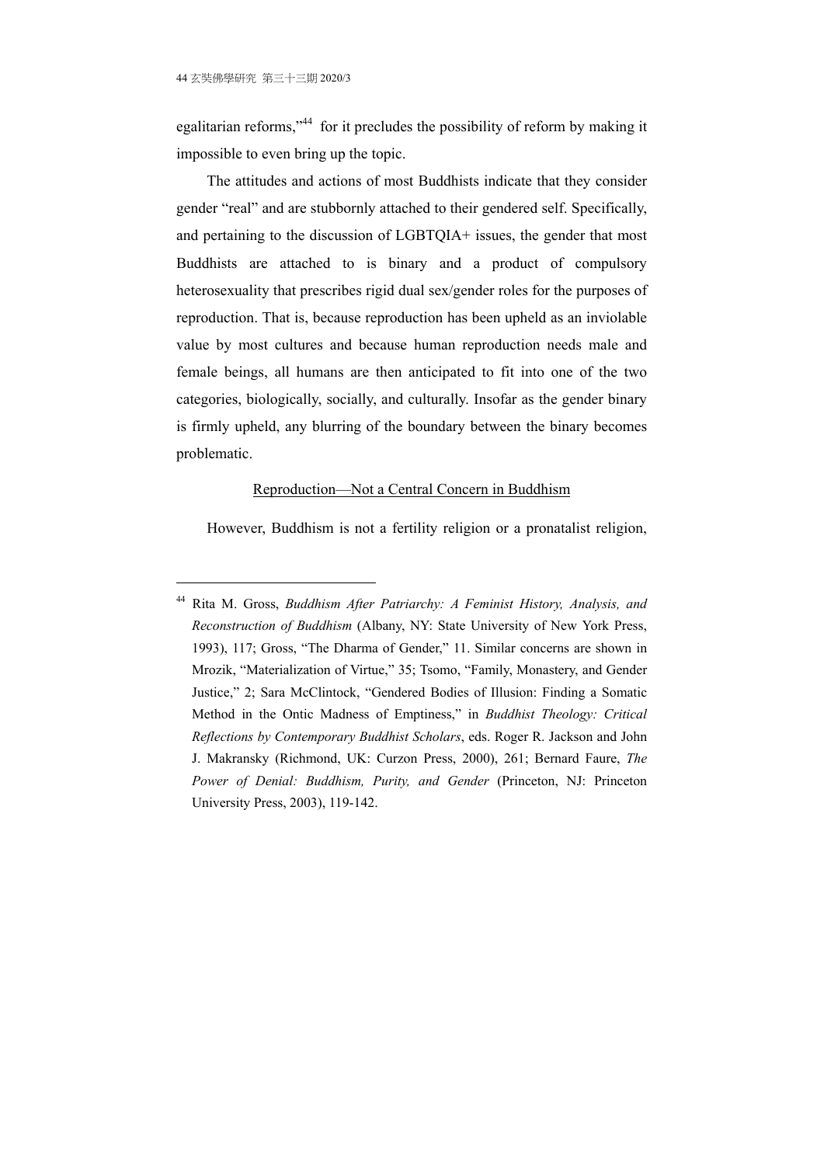1

egalitarian reforms,"44 for it precludes the possibility of reform by making it impossible to even bring up the topic.

The attitudes and actions of most Buddhists indicate that they consider gender "real" and are stubbornly attached to their gendered self. Specifically, and pertaining to the discussion of LGBTQIA+ issues, the gender that most Buddhists are attached to is binary and a product of compulsory heterosexuality that prescribes rigid dual sex/gender roles for the purposes of reproduction. That is, because reproduction has been upheld as an inviolable value by most cultures and because human reproduction needs male and female beings, all humans are then anticipated to fit into one of the two categories, biologically, socially, and culturally. Insofar as the gender binary is firmly upheld, any blurring of the boundary between the binary becomes problematic.

#### Reproduction—Not a Central Concern in Buddhism

However, Buddhism is not a fertility religion or a pronatalist religion,

<sup>44</sup> Rita M. Gross, *Buddhism After Patriarchy: A Feminist History, Analysis, and Reconstruction of Buddhism* (Albany, NY: State University of New York Press, 1993), 117; Gross, "The Dharma of Gender," 11. Similar concerns are shown in Mrozik, "Materialization of Virtue," 35; Tsomo, "Family, Monastery, and Gender Justice," 2; Sara McClintock, "Gendered Bodies of Illusion: Finding a Somatic Method in the Ontic Madness of Emptiness," in *Buddhist Theology: Critical Reflections by Contemporary Buddhist Scholars*, eds. Roger R. Jackson and John J. Makransky (Richmond, UK: Curzon Press, 2000), 261; Bernard Faure, *The Power of Denial: Buddhism, Purity, and Gender* (Princeton, NJ: Princeton University Press, 2003), 119-142.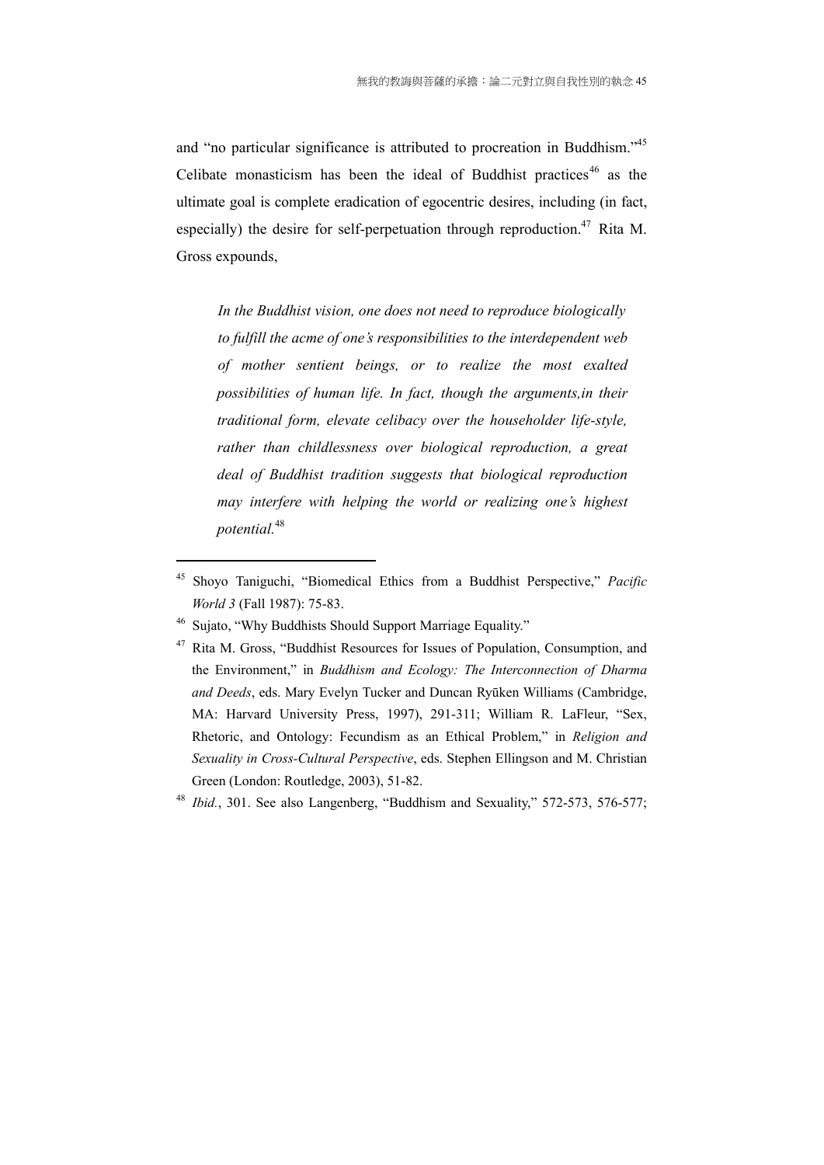and "no particular significance is attributed to procreation in Buddhism."<sup>45</sup> Celibate monasticism has been the ideal of Buddhist practices<sup>46</sup> as the ultimate goal is complete eradication of egocentric desires, including (in fact, especially) the desire for self-perpetuation through reproduction.<sup>47</sup> Rita M. Gross expounds,

*In the Buddhist vision, one does not need to reproduce biologically to fulfill the acme of one's responsibilities to the interdependent web of mother sentient beings, or to realize the most exalted possibilities of human life. In fact, though the arguments,in their traditional form, elevate celibacy over the householder life-style, rather than childlessness over biological reproduction, a great deal of Buddhist tradition suggests that biological reproduction may interfere with helping the world or realizing one's highest potential.*<sup>48</sup>

<sup>45</sup> Shoyo Taniguchi, "Biomedical Ethics from a Buddhist Perspective," *Pacific World 3* (Fall 1987): 75-83.

<sup>46</sup> Sujato, "Why Buddhists Should Support Marriage Equality."

<sup>&</sup>lt;sup>47</sup> Rita M. Gross, "Buddhist Resources for Issues of Population, Consumption, and the Environment," in *Buddhism and Ecology: The Interconnection of Dharma and Deeds*, eds. Mary Evelyn Tucker and Duncan Ryūken Williams (Cambridge, MA: Harvard University Press, 1997), 291-311; William R. LaFleur, "Sex, Rhetoric, and Ontology: Fecundism as an Ethical Problem," in *Religion and Sexuality in Cross-Cultural Perspective*, eds. Stephen Ellingson and M. Christian Green (London: Routledge, 2003), 51-82.

<sup>48</sup> *Ibid.*, 301. See also Langenberg, "Buddhism and Sexuality," 572-573, 576-577;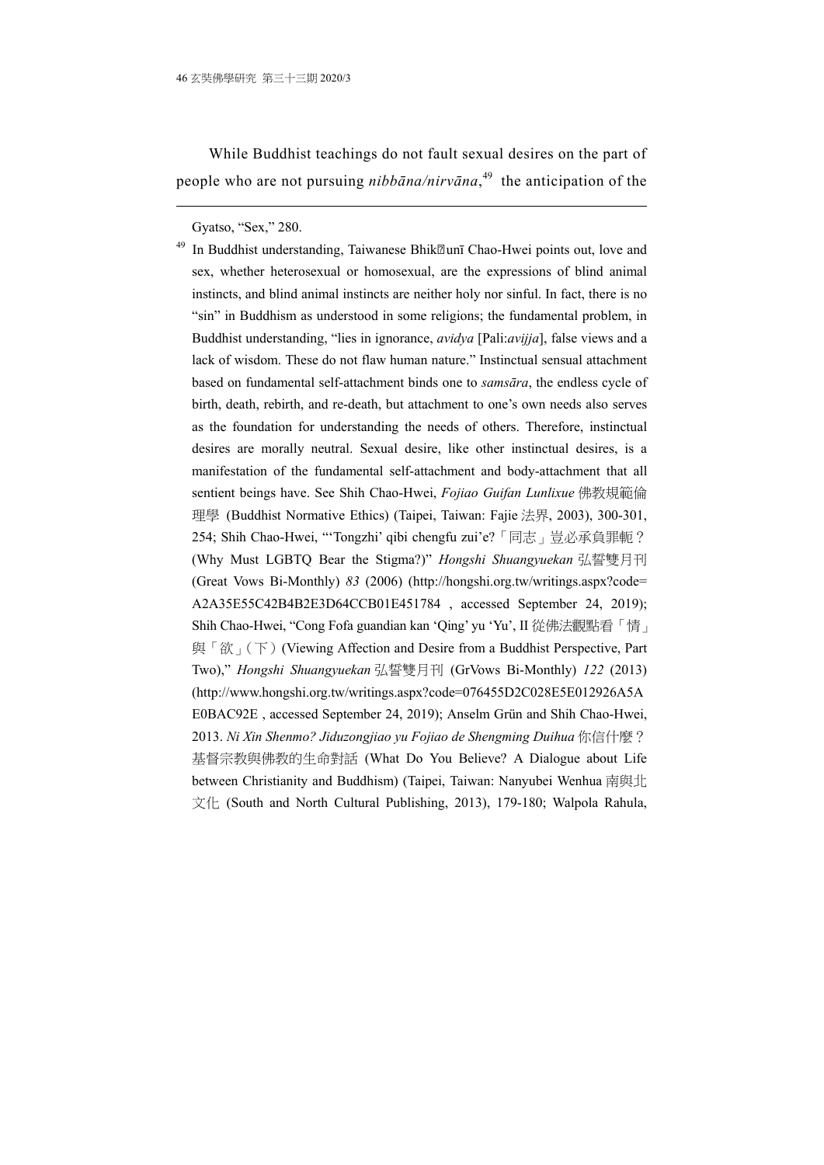While Buddhist teachings do not fault sexual desires on the part of people who are not pursuing *nibbāna/nirvāna*, 49 the anticipation of the

Gyatso, "Sex," 280.

1

<sup>49</sup> In Buddhist understanding, Taiwanese Bhik**zunī Chao-Hwei points out, love and** sex, whether heterosexual or homosexual, are the expressions of blind animal instincts, and blind animal instincts are neither holy nor sinful. In fact, there is no "sin" in Buddhism as understood in some religions; the fundamental problem, in Buddhist understanding, "lies in ignorance, *avidya* [Pali:*avijja*], false views and a lack of wisdom. These do not flaw human nature." Instinctual sensual attachment based on fundamental self-attachment binds one to *samsāra*, the endless cycle of birth, death, rebirth, and re-death, but attachment to one's own needs also serves as the foundation for understanding the needs of others. Therefore, instinctual desires are morally neutral. Sexual desire, like other instinctual desires, is a manifestation of the fundamental self-attachment and body-attachment that all sentient beings have. See Shih Chao-Hwei, *Fojiao Guifan Lunlixue* 佛教規範倫 理學 (Buddhist Normative Ethics) (Taipei, Taiwan: Fajie 法界, 2003), 300-301, 254; Shih Chao-Hwei, "'Tongzhi' qibi chengfu zui'e?「同志」豈必承負罪軛? (Why Must LGBTQ Bear the Stigma?)" *Hongshi Shuangyuekan* 弘誓雙月刊 (Great Vows Bi-Monthly) *83* (2006) (http://hongshi.org.tw/writings.aspx?code= A2A35E55C42B4B2E3D64CCB01E451784 , accessed September 24, 2019); Shih Chao-Hwei, "Cong Fofa guandian kan 'Qing' yu 'Yu', II 從佛法觀點看「情」 與「欲」(下) (Viewing Affection and Desire from a Buddhist Perspective, Part Two)," *Hongshi Shuangyuekan* 弘誓雙月刊 (GrVows Bi-Monthly) *122* (2013) (http://www.hongshi.org.tw/writings.aspx?code=076455D2C028E5E012926A5A E0BAC92E , accessed September 24, 2019); Anselm Grün and Shih Chao-Hwei, 2013. *Ni Xin Shenmo? Jiduzongjiao yu Fojiao de Shengming Duihua* 你信什麼? 基督宗教與佛教的生命對話 (What Do You Believe? A Dialogue about Life between Christianity and Buddhism) (Taipei, Taiwan: Nanyubei Wenhua 南與北 文化 (South and North Cultural Publishing, 2013), 179-180; Walpola Rahula,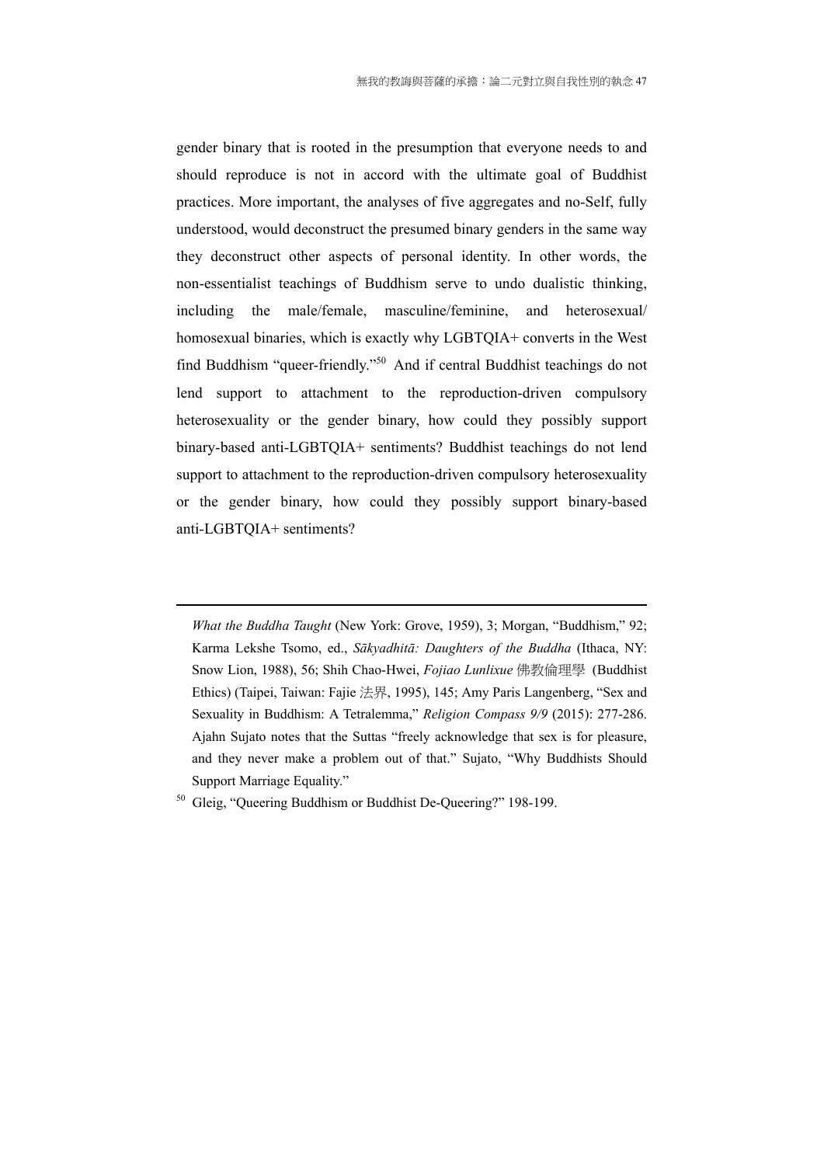gender binary that is rooted in the presumption that everyone needs to and should reproduce is not in accord with the ultimate goal of Buddhist practices. More important, the analyses of five aggregates and no-Self, fully understood, would deconstruct the presumed binary genders in the same way they deconstruct other aspects of personal identity. In other words, the non-essentialist teachings of Buddhism serve to undo dualistic thinking, including the male/female, masculine/feminine, and heterosexual/ homosexual binaries, which is exactly why LGBTQIA+ converts in the West find Buddhism "queer-friendly."50 And if central Buddhist teachings do not lend support to attachment to the reproduction-driven compulsory heterosexuality or the gender binary, how could they possibly support binary-based anti-LGBTQIA+ sentiments? Buddhist teachings do not lend support to attachment to the reproduction-driven compulsory heterosexuality or the gender binary, how could they possibly support binary-based anti-LGBTQIA+ sentiments?

*What the Buddha Taught* (New York: Grove, 1959), 3; Morgan, "Buddhism," 92; Karma Lekshe Tsomo, ed., *Sākyadhitā: Daughters of the Buddha* (Ithaca, NY: Snow Lion, 1988), 56; Shih Chao-Hwei, *Fojiao Lunlixue* 佛教倫理學 (Buddhist Ethics) (Taipei, Taiwan: Fajie 法界, 1995), 145; Amy Paris Langenberg, "Sex and Sexuality in Buddhism: A Tetralemma," *Religion Compass 9/9* (2015): 277-286. Ajahn Sujato notes that the Suttas "freely acknowledge that sex is for pleasure, and they never make a problem out of that." Sujato, "Why Buddhists Should Support Marriage Equality."

<u>.</u>

<sup>50</sup> Gleig, "Queering Buddhism or Buddhist De-Queering?" 198-199.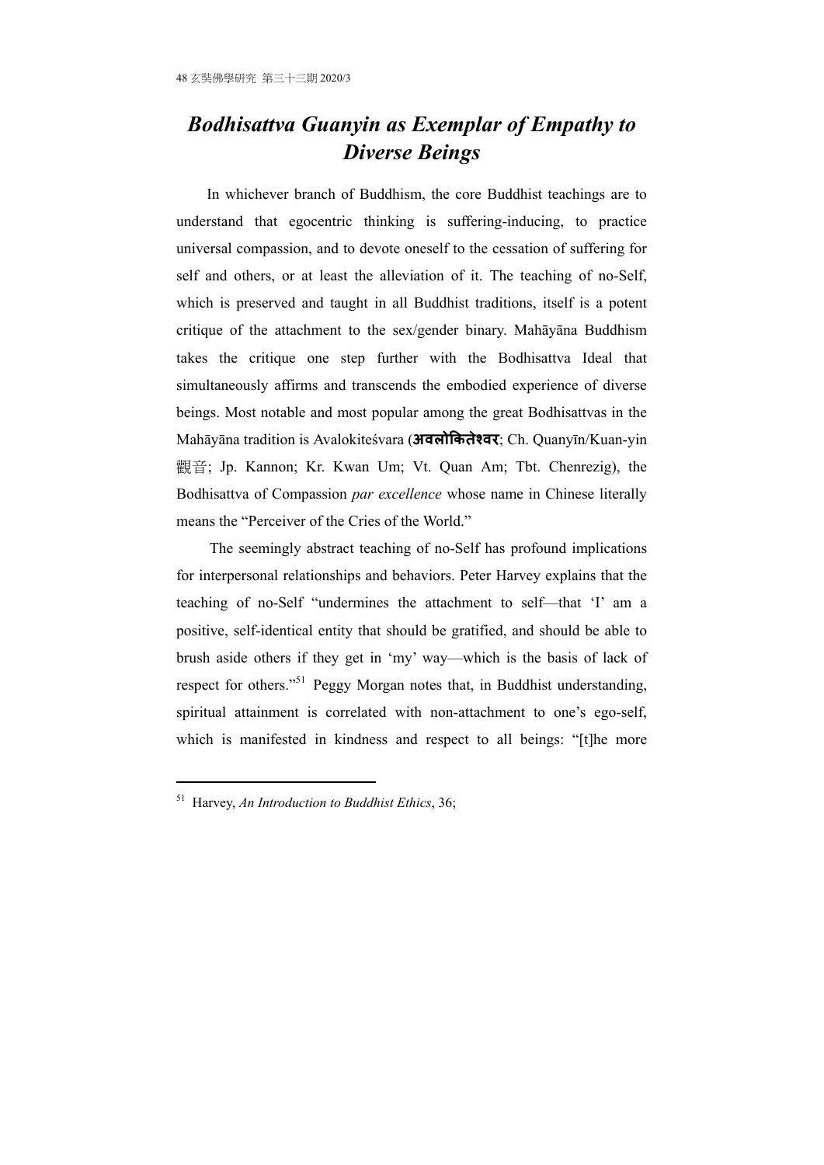# *Bodhisattva Guanyin as Exemplar of Empathy to Diverse Beings*

In whichever branch of Buddhism, the core Buddhist teachings are to understand that egocentric thinking is suffering-inducing, to practice universal compassion, and to devote oneself to the cessation of suffering for self and others, or at least the alleviation of it. The teaching of no-Self, which is preserved and taught in all Buddhist traditions, itself is a potent critique of the attachment to the sex/gender binary. Mahāyāna Buddhism takes the critique one step further with the Bodhisattva Ideal that simultaneously affirms and transcends the embodied experience of diverse beings. Most notable and most popular among the great Bodhisattvas in the Mahāyāna tradition is Avalokiteśvara (**अवलोिकतेæवर**; Ch. Quanyīn/Kuan-yin 觀音; Jp. Kannon; Kr. Kwan Um; Vt. Quan Am; Tbt. Chenrezig), the Bodhisattva of Compassion *par excellence* whose name in Chinese literally means the "Perceiver of the Cries of the World."

 The seemingly abstract teaching of no-Self has profound implications for interpersonal relationships and behaviors. Peter Harvey explains that the teaching of no-Self "undermines the attachment to self—that 'I' am a positive, self-identical entity that should be gratified, and should be able to brush aside others if they get in 'my' way—which is the basis of lack of respect for others."51 Peggy Morgan notes that, in Buddhist understanding, spiritual attainment is correlated with non-attachment to one's ego-self, which is manifested in kindness and respect to all beings: "[t]he more

<sup>51</sup> Harvey, *An Introduction to Buddhist Ethics*, 36;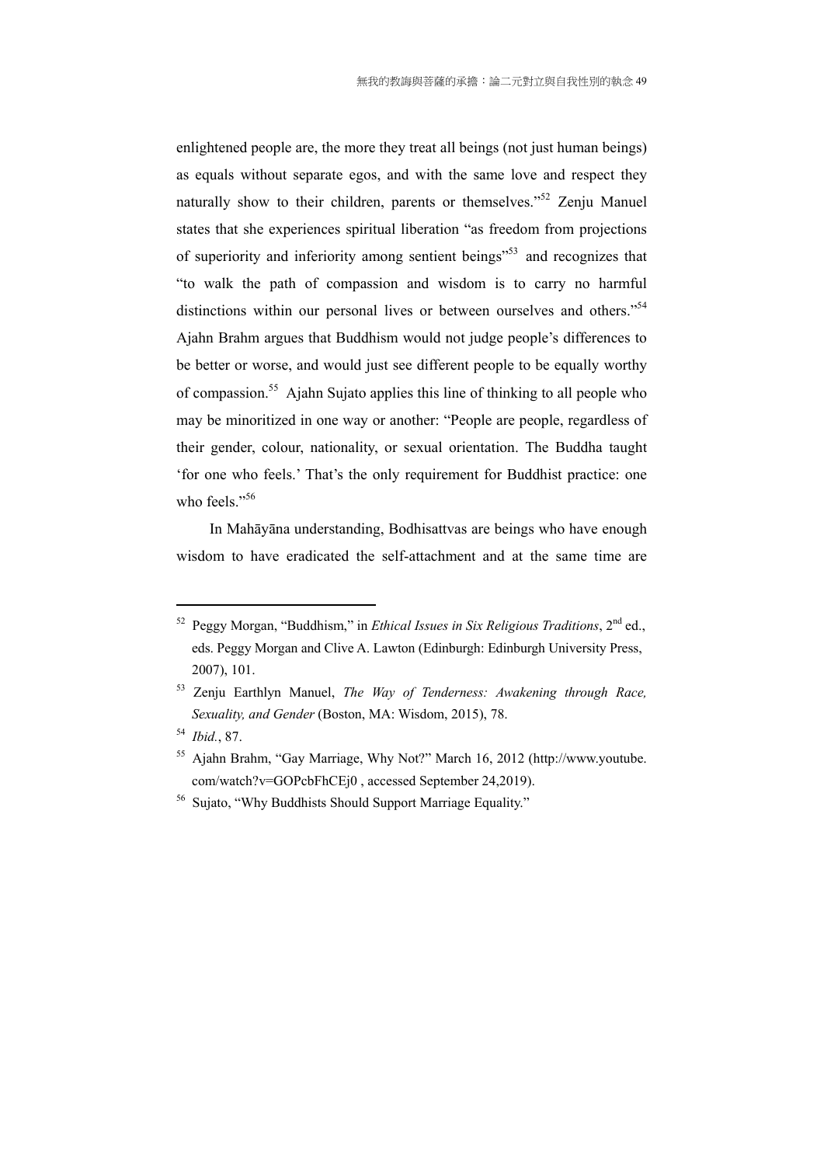enlightened people are, the more they treat all beings (not just human beings) as equals without separate egos, and with the same love and respect they naturally show to their children, parents or themselves."<sup>52</sup> Zenju Manuel states that she experiences spiritual liberation "as freedom from projections of superiority and inferiority among sentient beings"53 and recognizes that "to walk the path of compassion and wisdom is to carry no harmful distinctions within our personal lives or between ourselves and others."<sup>54</sup> Ajahn Brahm argues that Buddhism would not judge people's differences to be better or worse, and would just see different people to be equally worthy of compassion.55 Ajahn Sujato applies this line of thinking to all people who may be minoritized in one way or another: "People are people, regardless of their gender, colour, nationality, or sexual orientation. The Buddha taught 'for one who feels.' That's the only requirement for Buddhist practice: one who feels."<sup>56</sup>

 In Mahāyāna understanding, Bodhisattvas are beings who have enough wisdom to have eradicated the self-attachment and at the same time are

<u>.</u>

<sup>52</sup> Peggy Morgan, "Buddhism," in *Ethical Issues in Six Religious Traditions*, 2nd ed., eds. Peggy Morgan and Clive A. Lawton (Edinburgh: Edinburgh University Press, 2007), 101.

<sup>53</sup> Zenju Earthlyn Manuel, *The Way of Tenderness: Awakening through Race, Sexuality, and Gender* (Boston, MA: Wisdom, 2015), 78.

<sup>54</sup> *Ibid.*, 87.

<sup>55</sup> Ajahn Brahm, "Gay Marriage, Why Not?" March 16, 2012 (http://www.youtube. com/watch?v=GOPcbFhCEj0 , accessed September 24,2019).

<sup>&</sup>lt;sup>56</sup> Sujato, "Why Buddhists Should Support Marriage Equality."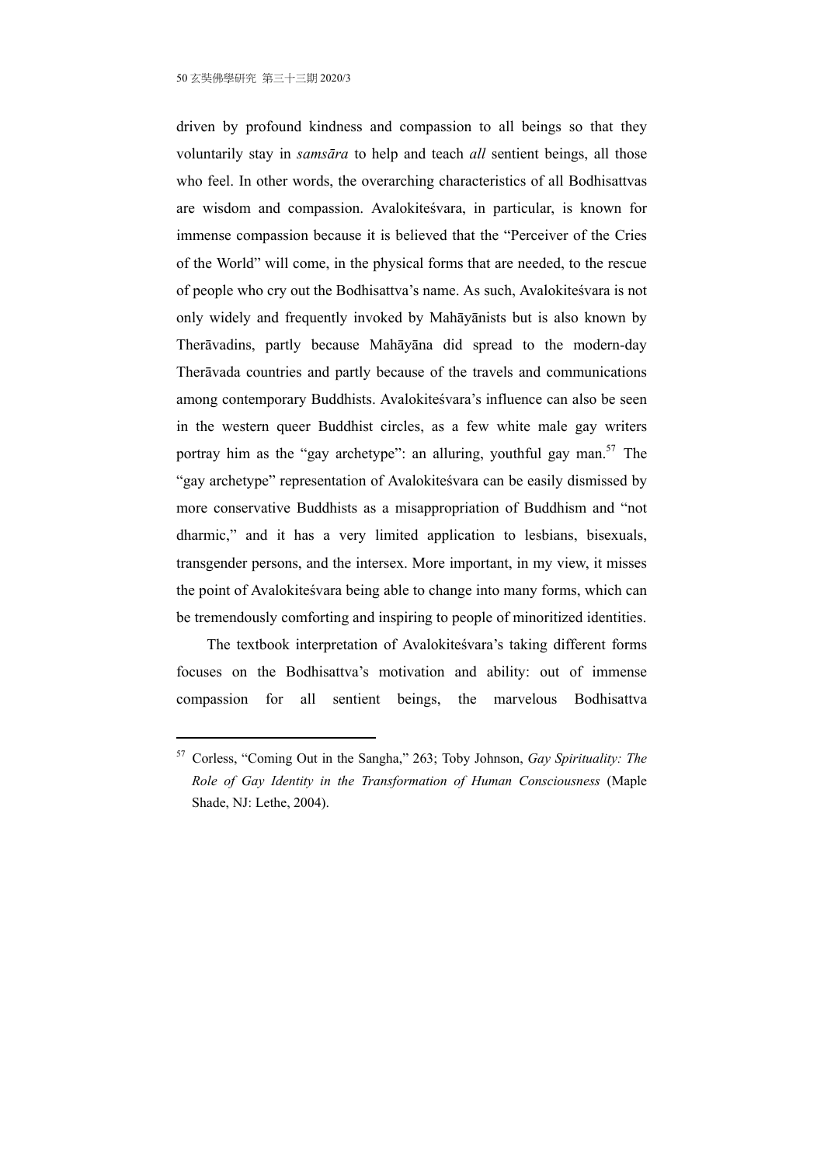1

driven by profound kindness and compassion to all beings so that they voluntarily stay in *samsāra* to help and teach *all* sentient beings, all those who feel. In other words, the overarching characteristics of all Bodhisattvas are wisdom and compassion. Avalokiteśvara, in particular, is known for immense compassion because it is believed that the "Perceiver of the Cries of the World" will come, in the physical forms that are needed, to the rescue of people who cry out the Bodhisattva's name. As such, Avalokiteśvara is not only widely and frequently invoked by Mahāyānists but is also known by Therāvadins, partly because Mahāyāna did spread to the modern-day Therāvada countries and partly because of the travels and communications among contemporary Buddhists. Avalokiteśvara's influence can also be seen in the western queer Buddhist circles, as a few white male gay writers portray him as the "gay archetype": an alluring, youthful gay man.<sup>57</sup> The "gay archetype" representation of Avalokiteśvara can be easily dismissed by more conservative Buddhists as a misappropriation of Buddhism and "not dharmic," and it has a very limited application to lesbians, bisexuals, transgender persons, and the intersex. More important, in my view, it misses the point of Avalokiteśvara being able to change into many forms, which can be tremendously comforting and inspiring to people of minoritized identities.

The textbook interpretation of Avalokiteśvara's taking different forms focuses on the Bodhisattva's motivation and ability: out of immense compassion for all sentient beings, the marvelous Bodhisattva

<sup>57</sup> Corless, "Coming Out in the Sangha," 263; Toby Johnson, *Gay Spirituality: The Role of Gay Identity in the Transformation of Human Consciousness* (Maple Shade, NJ: Lethe, 2004).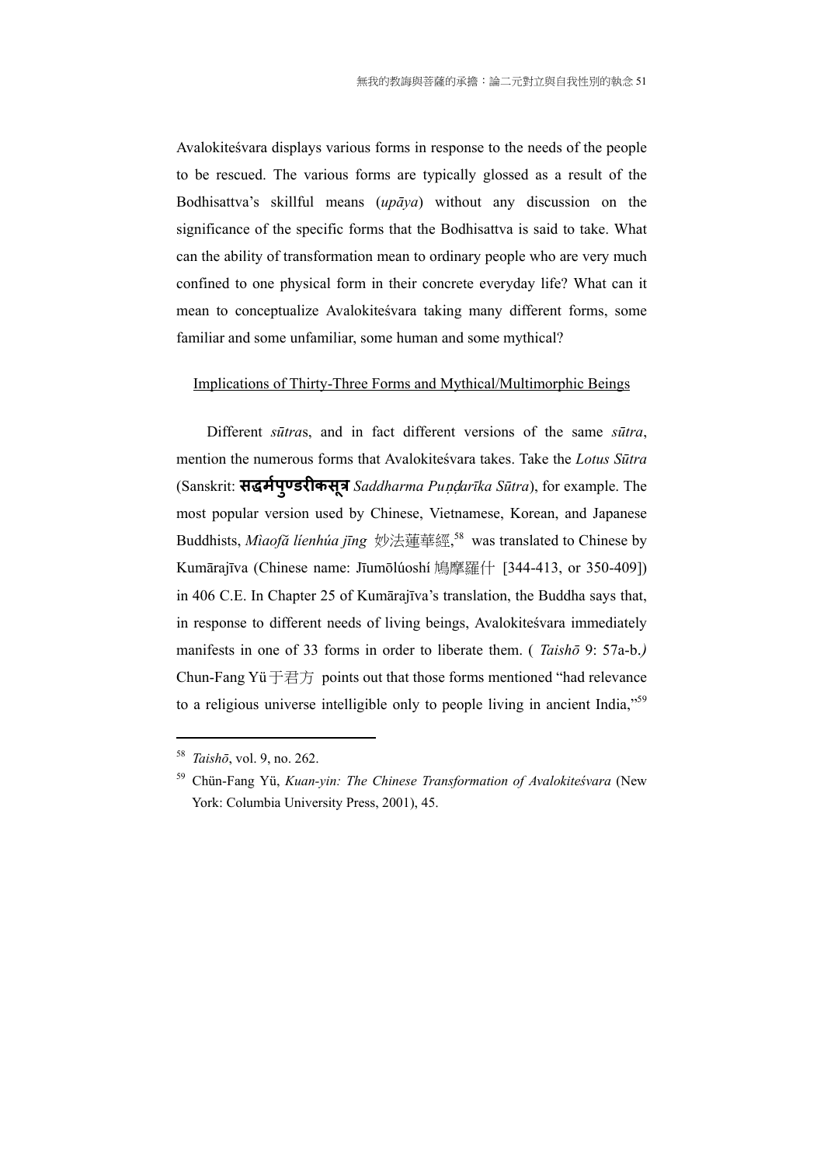Avalokiteśvara displays various forms in response to the needs of the people to be rescued. The various forms are typically glossed as a result of the Bodhisattva's skillful means (*upāya*) without any discussion on the significance of the specific forms that the Bodhisattva is said to take. What can the ability of transformation mean to ordinary people who are very much confined to one physical form in their concrete everyday life? What can it mean to conceptualize Avalokiteśvara taking many different forms, some familiar and some unfamiliar, some human and some mythical?

#### Implications of Thirty-Three Forms and Mythical/Multimorphic Beings

Different *sūtra*s, and in fact different versions of the same *sūtra*, mention the numerous forms that Avalokiteśvara takes. Take the *Lotus Sūtra* (Sanskrit: **सद्धमपर् ु Öडरीकसत्रू** *Saddharma Pu*ND*arīka Sūtra*), for example. The most popular version used by Chinese, Vietnamese, Korean, and Japanese Buddhists, *Mìaofă líenhúa jīng* 妙法蓮華經, 58 was translated to Chinese by Kumārajīva (Chinese name: Jīumōlúoshí 鳩摩羅什 [344-413, or 350-409]) in 406 C.E. In Chapter 25 of Kumārajīva's translation, the Buddha says that, in response to different needs of living beings, Avalokiteśvara immediately manifests in one of 33 forms in order to liberate them. ( *Taishō* 9: 57a-b.*)* Chun-Fang Yü  $\overrightarrow{F}$   $\overrightarrow{E}$   $\overrightarrow{F}$  points out that those forms mentioned "had relevance" to a religious universe intelligible only to people living in ancient India,"<sup>59</sup>

<sup>58</sup> *Taishō*, vol. 9, no. 262.

<sup>59</sup> Chün-Fang Yü, *Kuan-yin: The Chinese Transformation of Avalokiteśvara* (New York: Columbia University Press, 2001), 45.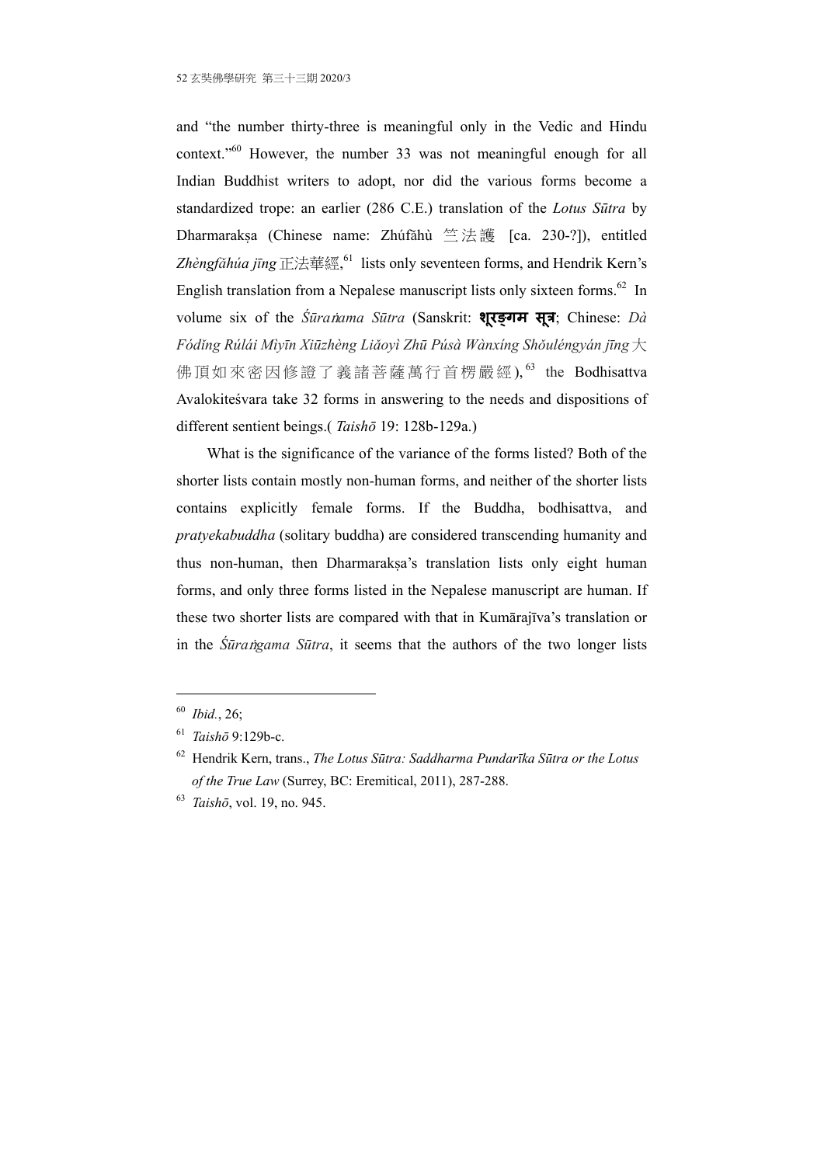and "the number thirty-three is meaningful only in the Vedic and Hindu context."60 However, the number 33 was not meaningful enough for all Indian Buddhist writers to adopt, nor did the various forms become a standardized trope: an earlier (286 C.E.) translation of the *Lotus Sūtra* by Dharmaraksa (Chinese name: Zhúfǎhù 竺法護 [ca. 230-?]), entitled Zhèngfǎhúa jīng正法華經, <sup>61</sup> lists only seventeen forms, and Hendrik Kern's English translation from a Nepalese manuscript lists only sixteen forms.<sup>62</sup> In volume six of the *Śūra*G*ama Sūtra* (Sanskrit: **शरङ्गम ू सू त्र**; Chinese: *Dà Fódǐng Rúlái Mìyīn Xiūzhèng Liǎoyì Zhū Púsà Wànxíng Shǒuléngyán jīng* 大 佛頂如來密因修證了義諸菩薩萬行首楞嚴經),<sup>63</sup> the Bodhisattva Avalokiteśvara take 32 forms in answering to the needs and dispositions of different sentient beings.( *Taishō* 19: 128b-129a.)

What is the significance of the variance of the forms listed? Both of the shorter lists contain mostly non-human forms, and neither of the shorter lists contains explicitly female forms. If the Buddha, bodhisattva, and *pratyekabuddha* (solitary buddha) are considered transcending humanity and thus non-human, then Dharmaraksa's translation lists only eight human forms, and only three forms listed in the Nepalese manuscript are human. If these two shorter lists are compared with that in Kumārajīva's translation or in the *Śūrangama Sūtra*, it seems that the authors of the two longer lists

<sup>60</sup> *Ibid.*, 26;

<sup>61</sup> *Taishō* 9:129b-c.

<sup>62</sup> Hendrik Kern, trans., *The Lotus Sūtra: Saddharma Pundarīka Sūtra or the Lotus of the True Law* (Surrey, BC: Eremitical, 2011), 287-288.

<sup>63</sup> *Taishō*, vol. 19, no. 945.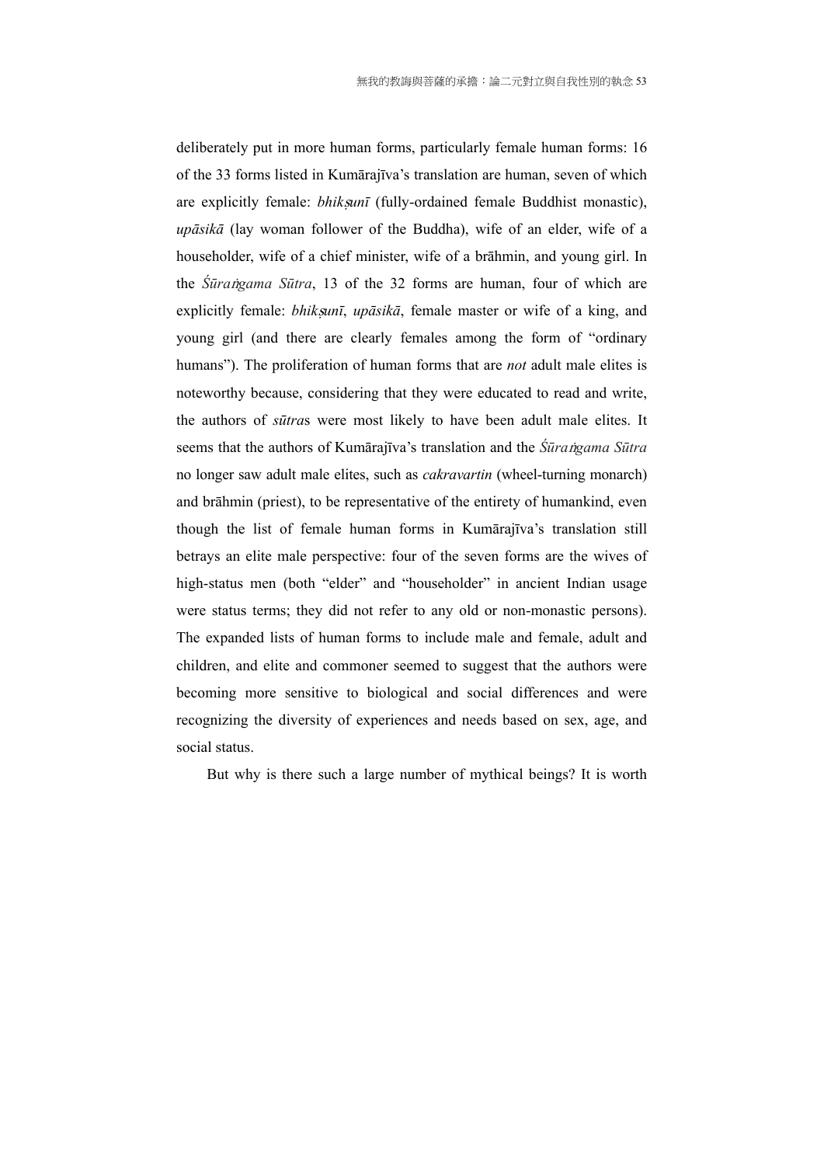deliberately put in more human forms, particularly female human forms: 16 of the 33 forms listed in Kumārajīva's translation are human, seven of which are explicitly female: *bhiksunī* (fully-ordained female Buddhist monastic), *upāsikā* (lay woman follower of the Buddha), wife of an elder, wife of a householder, wife of a chief minister, wife of a brāhmin, and young girl. In the *Śūrangama Sūtra*, 13 of the 32 forms are human, four of which are explicitly female: *bhik*S*unī*, *upāsikā*, female master or wife of a king, and young girl (and there are clearly females among the form of "ordinary humans"). The proliferation of human forms that are *not* adult male elites is noteworthy because, considering that they were educated to read and write, the authors of *sūtra*s were most likely to have been adult male elites. It seems that the authors of Kumārajīva's translation and the *Śūra ngama Sūtra* no longer saw adult male elites, such as *cakravartin* (wheel-turning monarch) and brāhmin (priest), to be representative of the entirety of humankind, even though the list of female human forms in Kumārajīva's translation still betrays an elite male perspective: four of the seven forms are the wives of high-status men (both "elder" and "householder" in ancient Indian usage were status terms; they did not refer to any old or non-monastic persons). The expanded lists of human forms to include male and female, adult and children, and elite and commoner seemed to suggest that the authors were becoming more sensitive to biological and social differences and were recognizing the diversity of experiences and needs based on sex, age, and social status.

But why is there such a large number of mythical beings? It is worth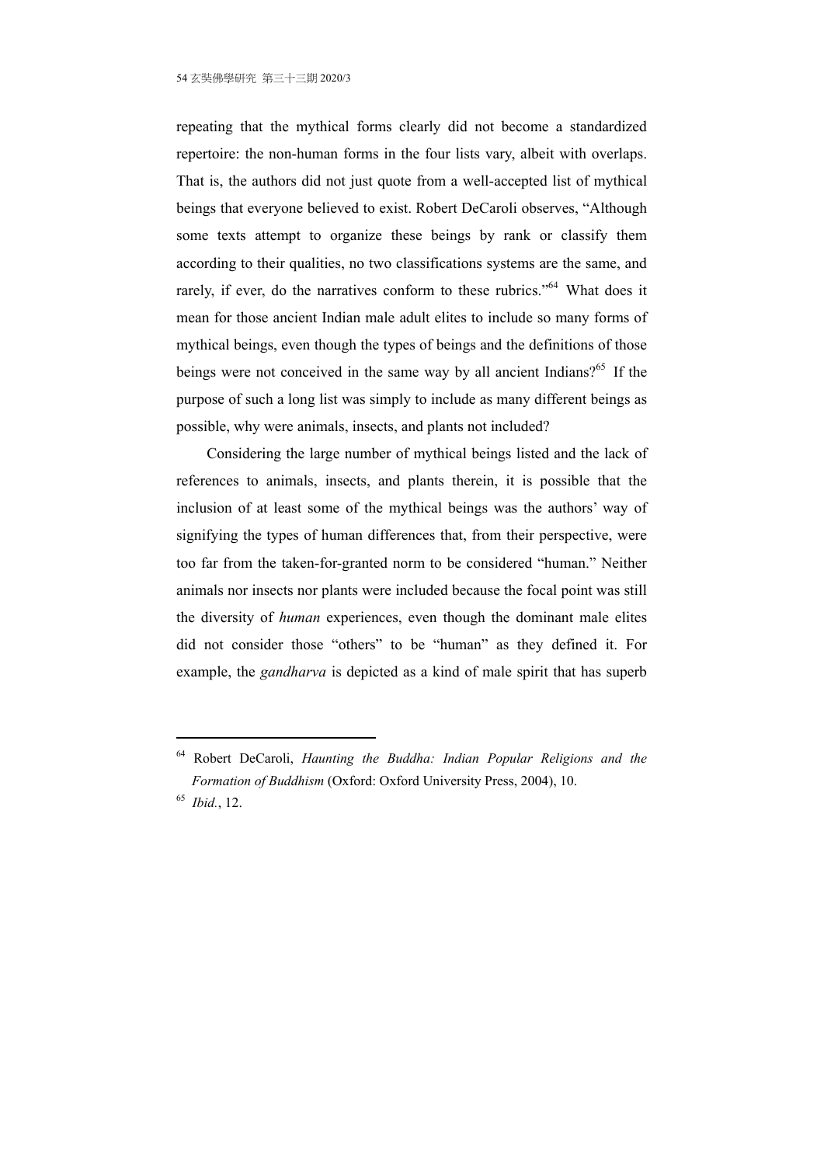repeating that the mythical forms clearly did not become a standardized repertoire: the non-human forms in the four lists vary, albeit with overlaps. That is, the authors did not just quote from a well-accepted list of mythical beings that everyone believed to exist. Robert DeCaroli observes, "Although some texts attempt to organize these beings by rank or classify them according to their qualities, no two classifications systems are the same, and rarely, if ever, do the narratives conform to these rubrics."<sup>64</sup> What does it mean for those ancient Indian male adult elites to include so many forms of mythical beings, even though the types of beings and the definitions of those beings were not conceived in the same way by all ancient Indians?<sup>65</sup> If the purpose of such a long list was simply to include as many different beings as possible, why were animals, insects, and plants not included?

Considering the large number of mythical beings listed and the lack of references to animals, insects, and plants therein, it is possible that the inclusion of at least some of the mythical beings was the authors' way of signifying the types of human differences that, from their perspective, were too far from the taken-for-granted norm to be considered "human." Neither animals nor insects nor plants were included because the focal point was still the diversity of *human* experiences, even though the dominant male elites did not consider those "others" to be "human" as they defined it. For example, the *gandharva* is depicted as a kind of male spirit that has superb

<sup>64</sup> Robert DeCaroli, *Haunting the Buddha: Indian Popular Religions and the Formation of Buddhism* (Oxford: Oxford University Press, 2004), 10.

<sup>65</sup> *Ibid.*, 12.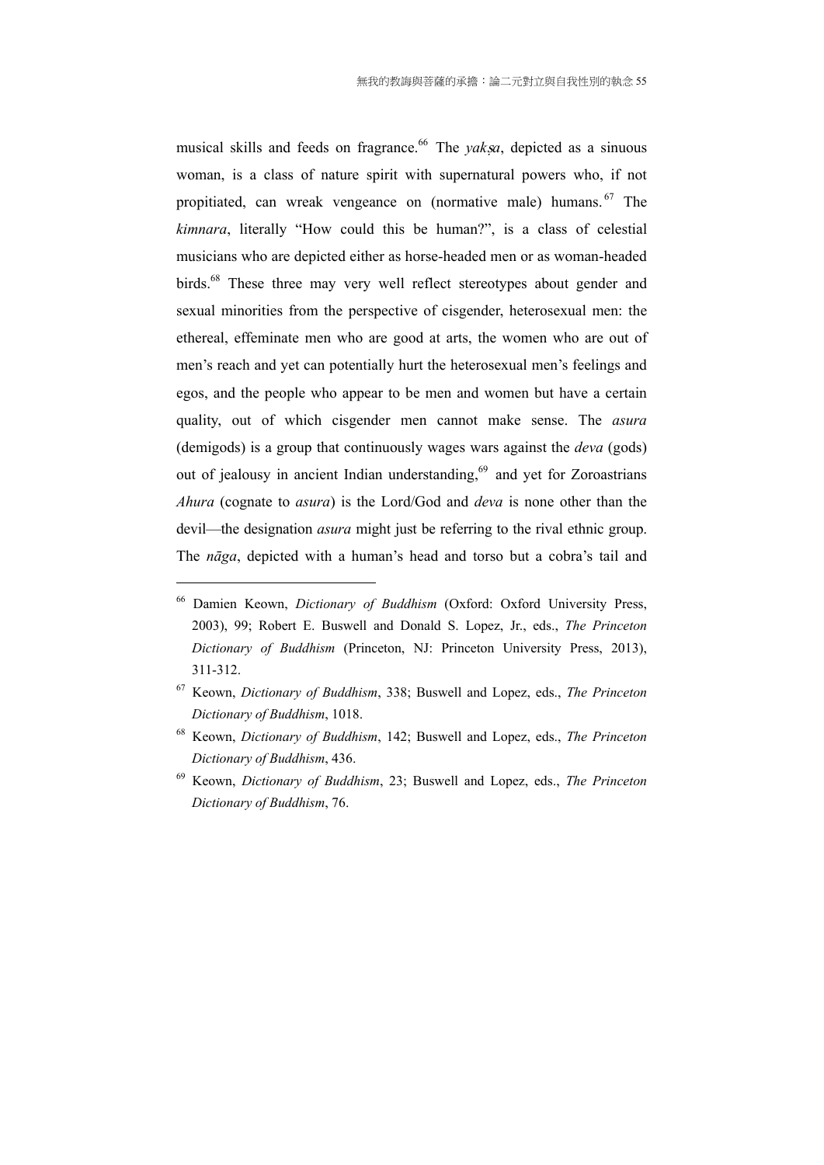musical skills and feeds on fragrance.<sup>66</sup> The *yaksa*, depicted as a sinuous woman, is a class of nature spirit with supernatural powers who, if not propitiated, can wreak vengeance on (normative male) humans. 67 The *kimnara*, literally "How could this be human?", is a class of celestial musicians who are depicted either as horse-headed men or as woman-headed birds.<sup>68</sup> These three may very well reflect stereotypes about gender and sexual minorities from the perspective of cisgender, heterosexual men: the ethereal, effeminate men who are good at arts, the women who are out of men's reach and yet can potentially hurt the heterosexual men's feelings and egos, and the people who appear to be men and women but have a certain quality, out of which cisgender men cannot make sense. The *asura* (demigods) is a group that continuously wages wars against the *deva* (gods) out of jealousy in ancient Indian understanding,<sup>69</sup> and yet for Zoroastrians *Ahura* (cognate to *asura*) is the Lord/God and *deva* is none other than the devil—the designation *asura* might just be referring to the rival ethnic group. The *nāga*, depicted with a human's head and torso but a cobra's tail and

<sup>66</sup> Damien Keown, *Dictionary of Buddhism* (Oxford: Oxford University Press, 2003), 99; Robert E. Buswell and Donald S. Lopez, Jr., eds., *The Princeton Dictionary of Buddhism* (Princeton, NJ: Princeton University Press, 2013), 311-312.

<sup>67</sup> Keown, *Dictionary of Buddhism*, 338; Buswell and Lopez, eds., *The Princeton Dictionary of Buddhism*, 1018.

<sup>68</sup> Keown, *Dictionary of Buddhism*, 142; Buswell and Lopez, eds., *The Princeton Dictionary of Buddhism*, 436.

<sup>69</sup> Keown, *Dictionary of Buddhism*, 23; Buswell and Lopez, eds., *The Princeton Dictionary of Buddhism*, 76.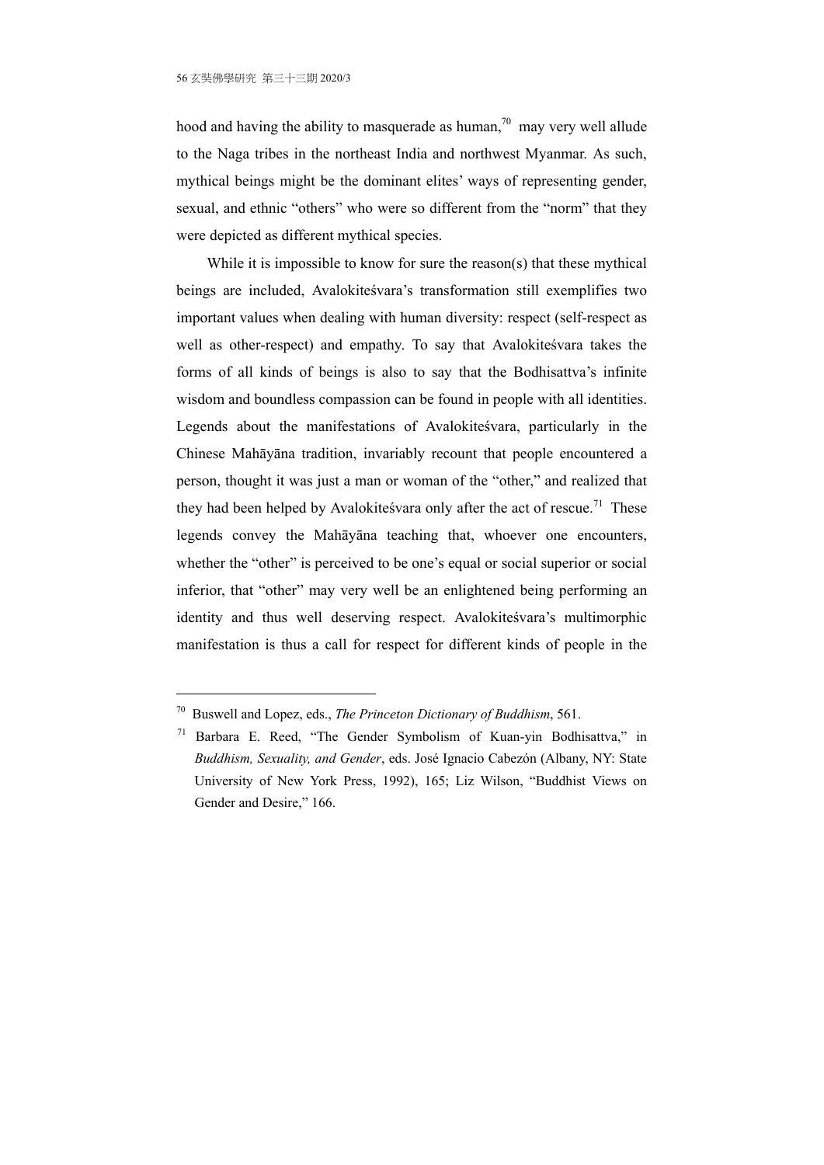hood and having the ability to masquerade as human,<sup>70</sup> may very well allude to the Naga tribes in the northeast India and northwest Myanmar. As such, mythical beings might be the dominant elites' ways of representing gender, sexual, and ethnic "others" who were so different from the "norm" that they were depicted as different mythical species.

While it is impossible to know for sure the reason(s) that these mythical beings are included, Avalokiteśvara's transformation still exemplifies two important values when dealing with human diversity: respect (self-respect as well as other-respect) and empathy. To say that Avalokiteśvara takes the forms of all kinds of beings is also to say that the Bodhisattva's infinite wisdom and boundless compassion can be found in people with all identities. Legends about the manifestations of Avalokiteśvara, particularly in the Chinese Mahāyāna tradition, invariably recount that people encountered a person, thought it was just a man or woman of the "other," and realized that they had been helped by Avalokites vara only after the act of rescue.<sup>71</sup> These legends convey the Mahāyāna teaching that, whoever one encounters, whether the "other" is perceived to be one's equal or social superior or social inferior, that "other" may very well be an enlightened being performing an identity and thus well deserving respect. Avalokiteśvara's multimorphic manifestation is thus a call for respect for different kinds of people in the

<sup>70</sup> Buswell and Lopez, eds., *The Princeton Dictionary of Buddhism*, 561.

<sup>71</sup> Barbara E. Reed, "The Gender Symbolism of Kuan-yin Bodhisattva," in *Buddhism, Sexuality, and Gender*, eds. José Ignacio Cabezón (Albany, NY: State University of New York Press, 1992), 165; Liz Wilson, "Buddhist Views on Gender and Desire," 166.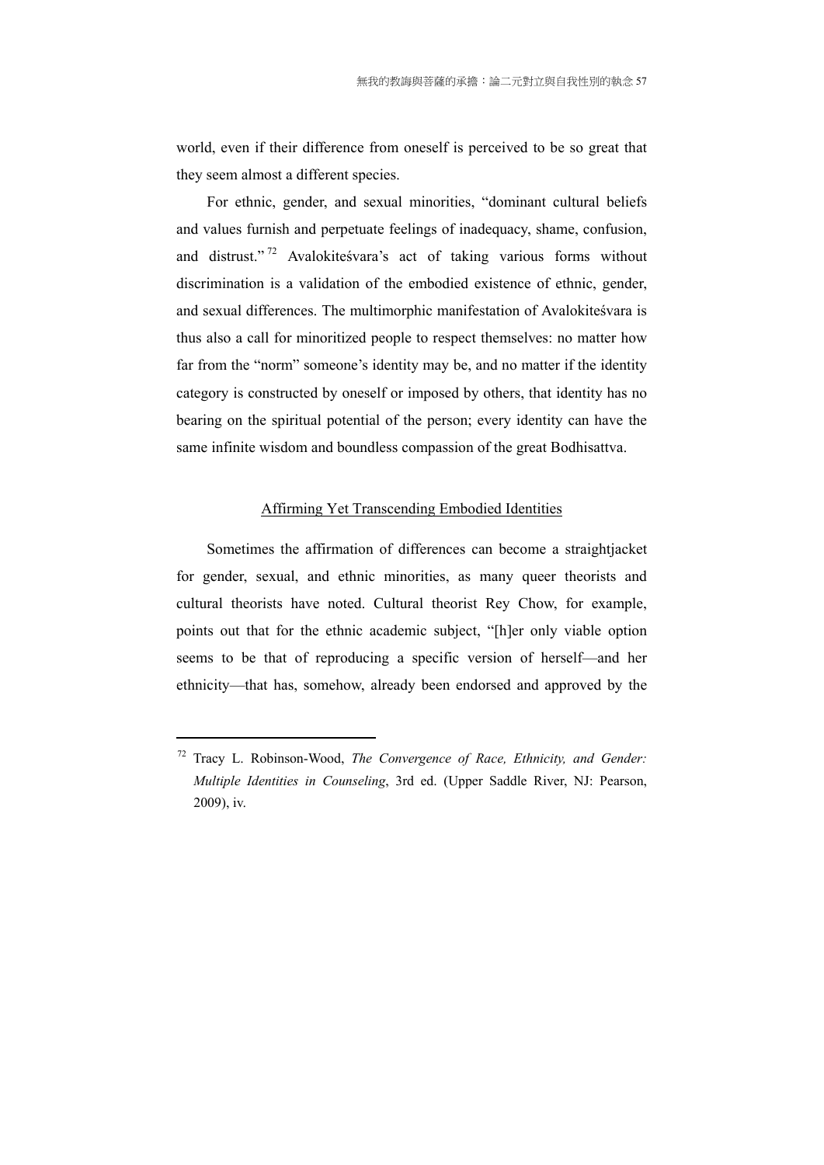world, even if their difference from oneself is perceived to be so great that they seem almost a different species.

For ethnic, gender, and sexual minorities, "dominant cultural beliefs and values furnish and perpetuate feelings of inadequacy, shame, confusion, and distrust." 72 Avalokiteśvara's act of taking various forms without discrimination is a validation of the embodied existence of ethnic, gender, and sexual differences. The multimorphic manifestation of Avalokiteśvara is thus also a call for minoritized people to respect themselves: no matter how far from the "norm" someone's identity may be, and no matter if the identity category is constructed by oneself or imposed by others, that identity has no bearing on the spiritual potential of the person; every identity can have the same infinite wisdom and boundless compassion of the great Bodhisattva.

#### Affirming Yet Transcending Embodied Identities

Sometimes the affirmation of differences can become a straightjacket for gender, sexual, and ethnic minorities, as many queer theorists and cultural theorists have noted. Cultural theorist Rey Chow, for example, points out that for the ethnic academic subject, "[h]er only viable option seems to be that of reproducing a specific version of herself—and her ethnicity—that has, somehow, already been endorsed and approved by the

<sup>72</sup> Tracy L. Robinson-Wood, *The Convergence of Race, Ethnicity, and Gender: Multiple Identities in Counseling*, 3rd ed. (Upper Saddle River, NJ: Pearson, 2009), iv.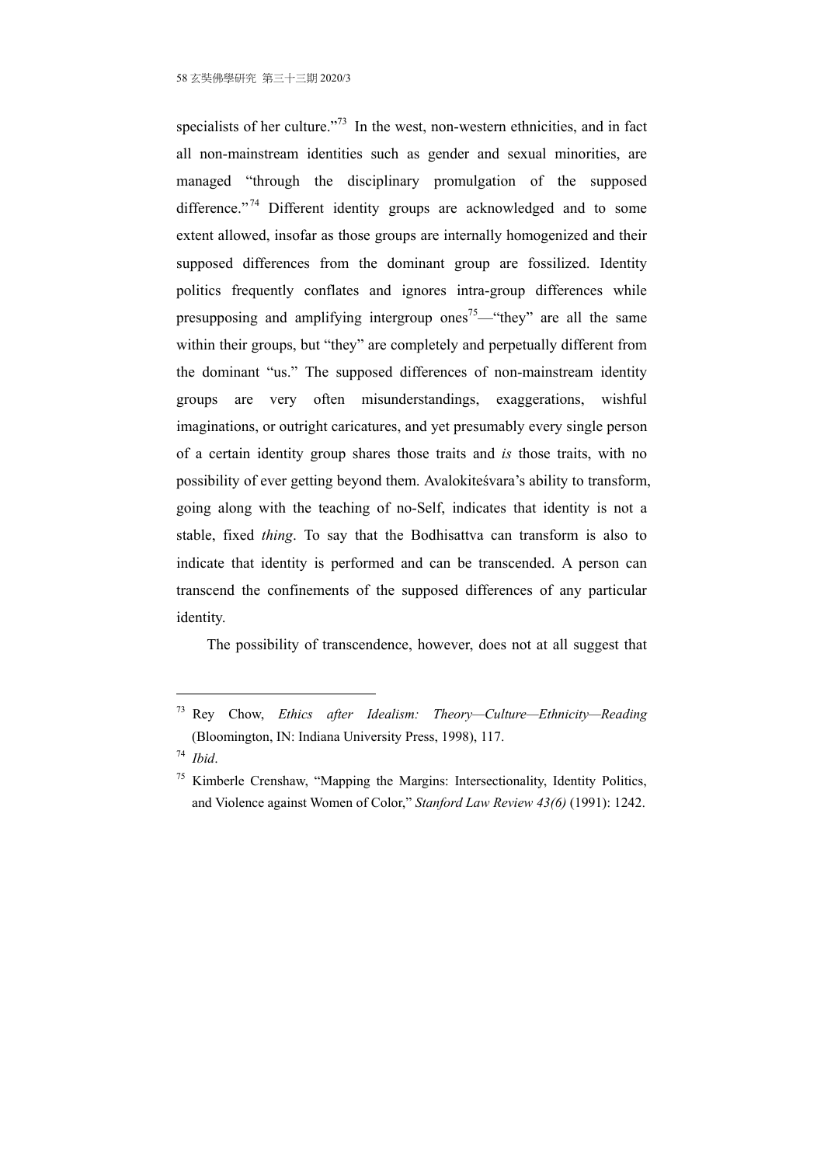specialists of her culture."<sup>73</sup> In the west, non-western ethnicities, and in fact all non-mainstream identities such as gender and sexual minorities, are managed "through the disciplinary promulgation of the supposed difference."<sup>74</sup> Different identity groups are acknowledged and to some extent allowed, insofar as those groups are internally homogenized and their supposed differences from the dominant group are fossilized. Identity politics frequently conflates and ignores intra-group differences while presupposing and amplifying intergroup ones<sup>75</sup>—"they" are all the same within their groups, but "they" are completely and perpetually different from the dominant "us." The supposed differences of non-mainstream identity groups are very often misunderstandings, exaggerations, wishful imaginations, or outright caricatures, and yet presumably every single person of a certain identity group shares those traits and *is* those traits, with no possibility of ever getting beyond them. Avalokiteśvara's ability to transform, going along with the teaching of no-Self, indicates that identity is not a stable, fixed *thing*. To say that the Bodhisattva can transform is also to indicate that identity is performed and can be transcended. A person can transcend the confinements of the supposed differences of any particular identity.

The possibility of transcendence, however, does not at all suggest that

<sup>73</sup> Rey Chow, *Ethics after Idealism: Theory—Culture—Ethnicity—Reading* (Bloomington, IN: Indiana University Press, 1998), 117.

<sup>74</sup> *Ibid*.

 $75$  Kimberle Crenshaw, "Mapping the Margins: Intersectionality, Identity Politics, and Violence against Women of Color," *Stanford Law Review 43(6)* (1991): 1242.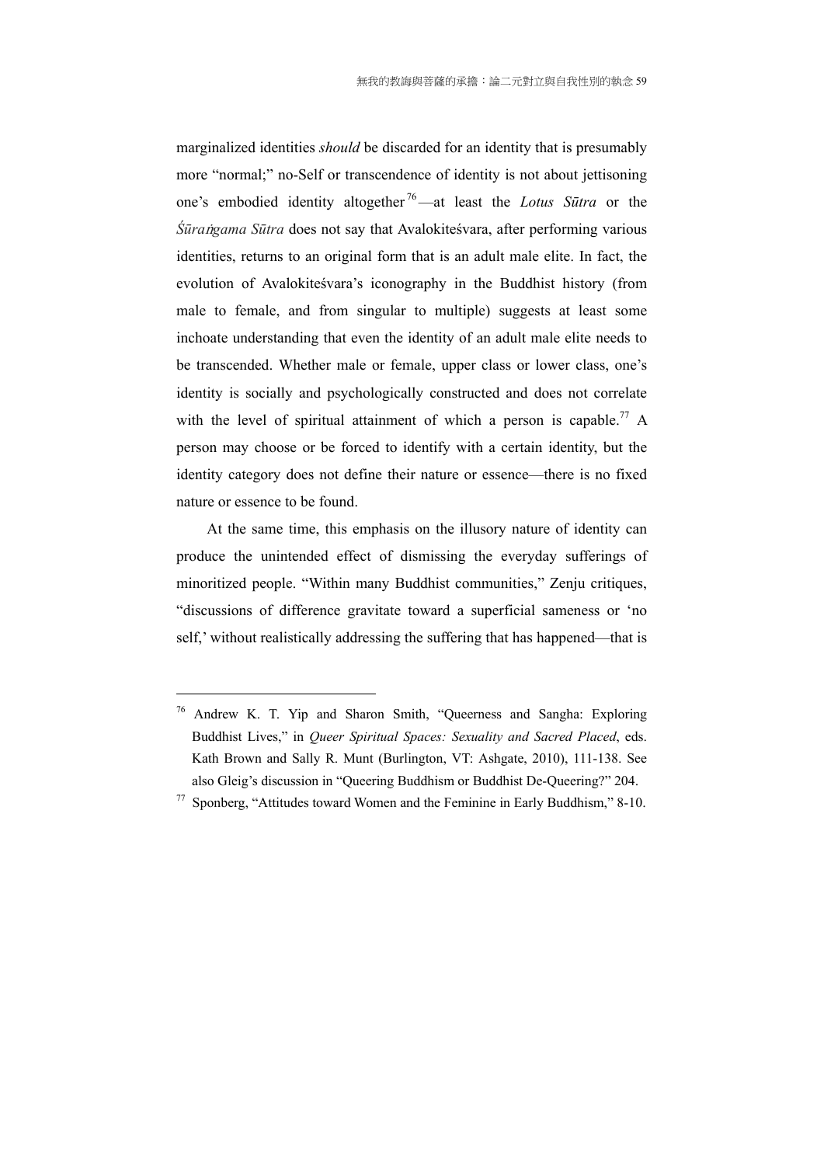marginalized identities *should* be discarded for an identity that is presumably more "normal;" no-Self or transcendence of identity is not about jettisoning one's embodied identity altogether 76—at least the *Lotus Sūtra* or the  $\hat{S}$ *ūra ngama Sūtra* does not say that Avalokiteśvara, after performing various identities, returns to an original form that is an adult male elite. In fact, the evolution of Avalokiteśvara's iconography in the Buddhist history (from male to female, and from singular to multiple) suggests at least some inchoate understanding that even the identity of an adult male elite needs to be transcended. Whether male or female, upper class or lower class, one's identity is socially and psychologically constructed and does not correlate with the level of spiritual attainment of which a person is capable.<sup>77</sup> A person may choose or be forced to identify with a certain identity, but the identity category does not define their nature or essence—there is no fixed nature or essence to be found.

At the same time, this emphasis on the illusory nature of identity can produce the unintended effect of dismissing the everyday sufferings of minoritized people. "Within many Buddhist communities," Zenju critiques, "discussions of difference gravitate toward a superficial sameness or 'no self,' without realistically addressing the suffering that has happened—that is

<sup>76</sup> Andrew K. T. Yip and Sharon Smith, "Queerness and Sangha: Exploring Buddhist Lives," in *Queer Spiritual Spaces: Sexuality and Sacred Placed*, eds. Kath Brown and Sally R. Munt (Burlington, VT: Ashgate, 2010), 111-138. See also Gleig's discussion in "Queering Buddhism or Buddhist De-Queering?" 204.

<sup>77</sup> Sponberg, "Attitudes toward Women and the Feminine in Early Buddhism," 8-10.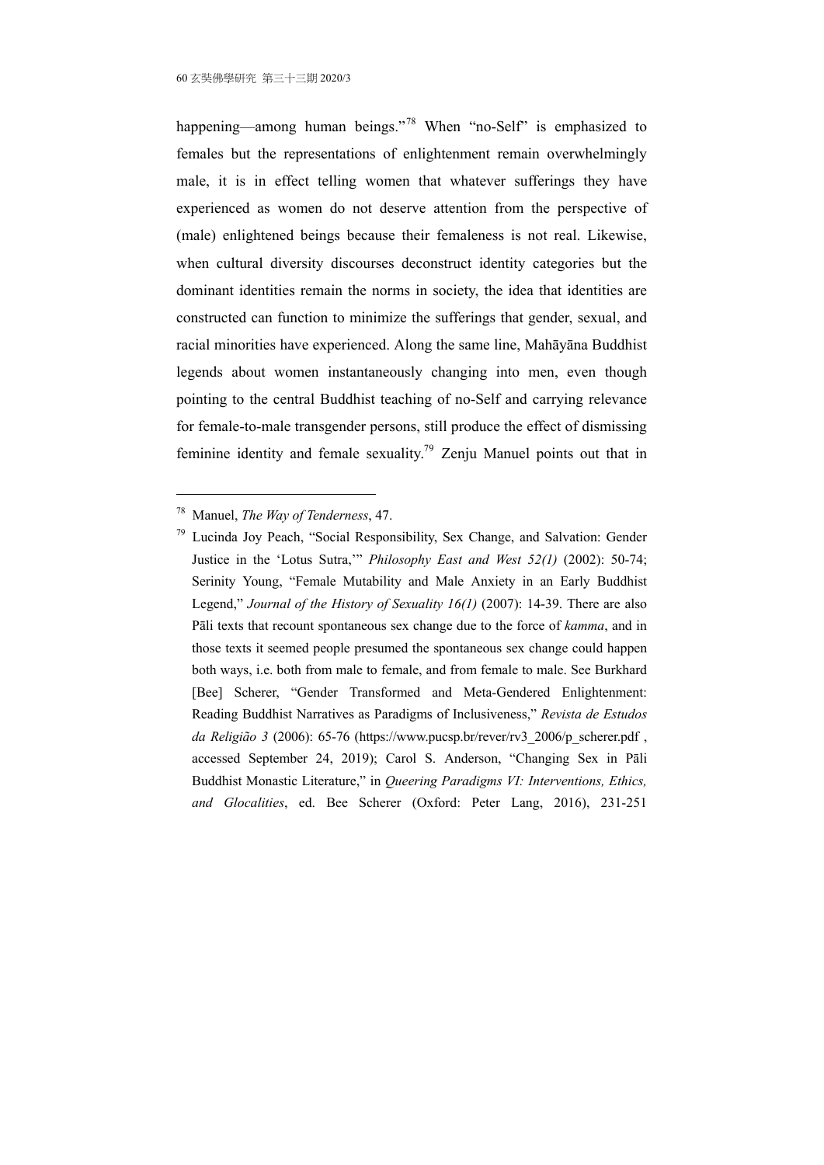happening—among human beings."<sup>78</sup> When "no-Self" is emphasized to females but the representations of enlightenment remain overwhelmingly male, it is in effect telling women that whatever sufferings they have experienced as women do not deserve attention from the perspective of (male) enlightened beings because their femaleness is not real. Likewise, when cultural diversity discourses deconstruct identity categories but the dominant identities remain the norms in society, the idea that identities are constructed can function to minimize the sufferings that gender, sexual, and racial minorities have experienced. Along the same line, Mahāyāna Buddhist legends about women instantaneously changing into men, even though pointing to the central Buddhist teaching of no-Self and carrying relevance for female-to-male transgender persons, still produce the effect of dismissing feminine identity and female sexuality.79 Zenju Manuel points out that in

<sup>78</sup> Manuel, *The Way of Tenderness*, 47.

<sup>79</sup> Lucinda Joy Peach, "Social Responsibility, Sex Change, and Salvation: Gender Justice in the 'Lotus Sutra,'" *Philosophy East and West 52(1)* (2002): 50-74; Serinity Young, "Female Mutability and Male Anxiety in an Early Buddhist Legend," *Journal of the History of Sexuality 16(1)* (2007): 14-39. There are also Pāli texts that recount spontaneous sex change due to the force of *kamma*, and in those texts it seemed people presumed the spontaneous sex change could happen both ways, i.e. both from male to female, and from female to male. See Burkhard [Bee] Scherer, "Gender Transformed and Meta-Gendered Enlightenment: Reading Buddhist Narratives as Paradigms of Inclusiveness," *Revista de Estudos da Religião 3* (2006): 65-76 (https://www.pucsp.br/rever/rv3\_2006/p\_scherer.pdf , accessed September 24, 2019); Carol S. Anderson, "Changing Sex in Pāli Buddhist Monastic Literature," in *Queering Paradigms VI: Interventions, Ethics, and Glocalities*, ed. Bee Scherer (Oxford: Peter Lang, 2016), 231-251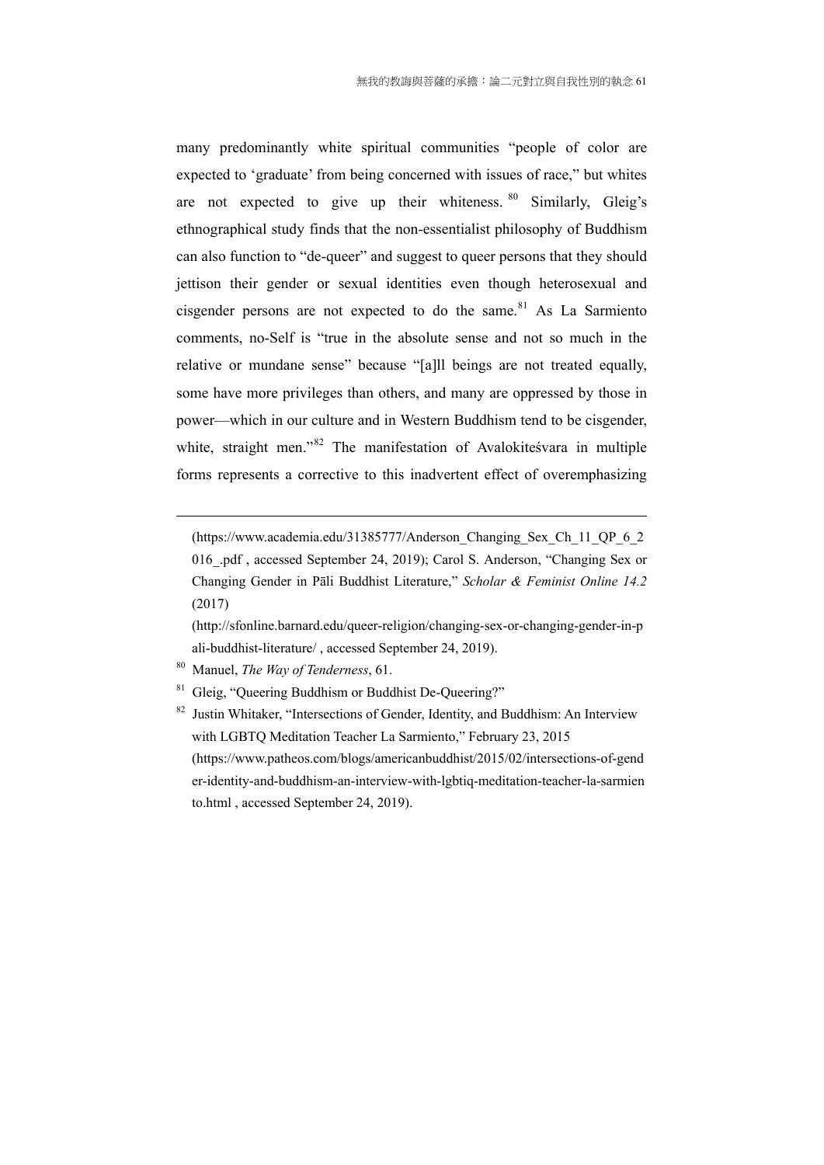many predominantly white spiritual communities "people of color are expected to 'graduate' from being concerned with issues of race," but whites are not expected to give up their whiteness.  $80$  Similarly, Gleig's ethnographical study finds that the non-essentialist philosophy of Buddhism can also function to "de-queer" and suggest to queer persons that they should jettison their gender or sexual identities even though heterosexual and cisgender persons are not expected to do the same.<sup>81</sup> As La Sarmiento comments, no-Self is "true in the absolute sense and not so much in the relative or mundane sense" because "[a]ll beings are not treated equally, some have more privileges than others, and many are oppressed by those in power—which in our culture and in Western Buddhism tend to be cisgender, white, straight men."<sup>82</sup> The manifestation of Avalokites vara in multiple forms represents a corrective to this inadvertent effect of overemphasizing

(https://www.academia.edu/31385777/Anderson\_Changing\_Sex\_Ch\_11\_QP\_6\_2 016\_.pdf , accessed September 24, 2019); Carol S. Anderson, "Changing Sex or Changing Gender in Pāli Buddhist Literature," *Scholar & Feminist Online 14.2* (2017)

(http://sfonline.barnard.edu/queer-religion/changing-sex-or-changing-gender-in-p ali-buddhist-literature/ , accessed September 24, 2019).

80 Manuel, *The Way of Tenderness*, 61.

- Gleig, "Queering Buddhism or Buddhist De-Queering?"
- $82$  Justin Whitaker, "Intersections of Gender, Identity, and Buddhism: An Interview with LGBTO Meditation Teacher La Sarmiento," February 23, 2015 (https://www.patheos.com/blogs/americanbuddhist/2015/02/intersections-of-gend er-identity-and-buddhism-an-interview-with-lgbtiq-meditation-teacher-la-sarmien to.html , accessed September 24, 2019).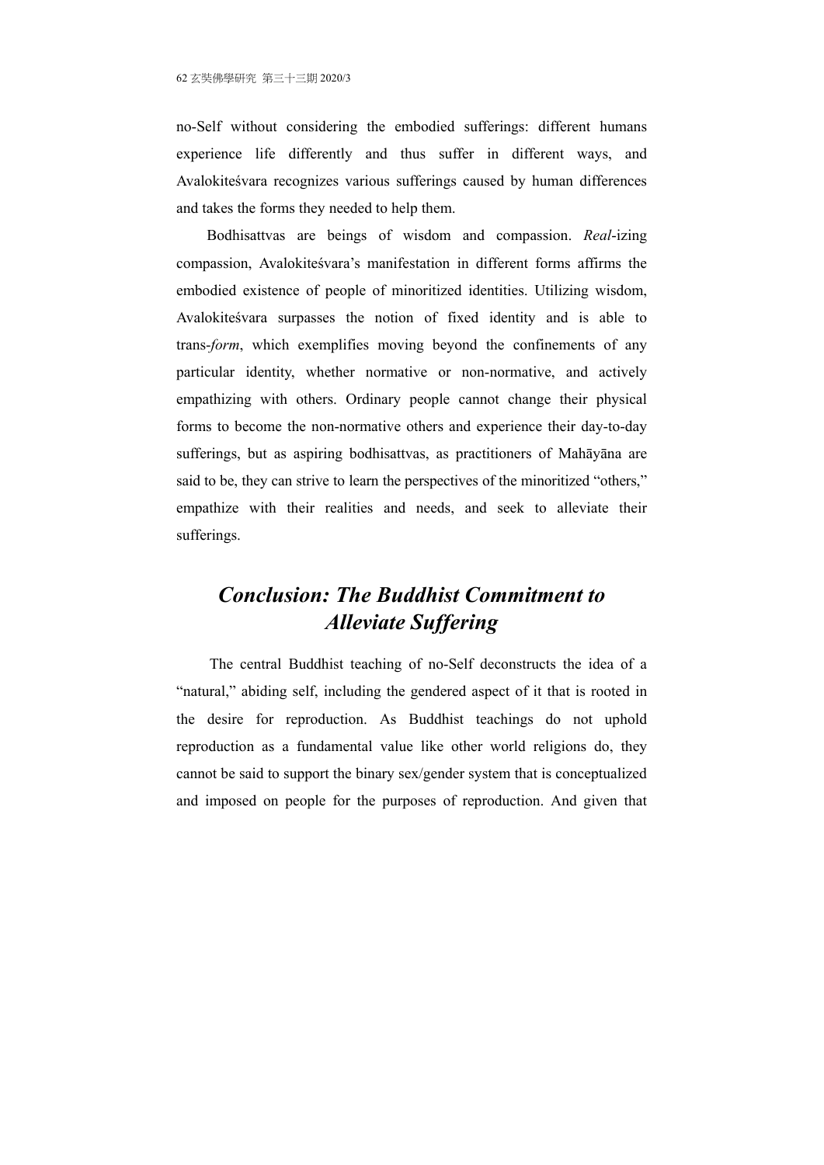no-Self without considering the embodied sufferings: different humans experience life differently and thus suffer in different ways, and Avalokiteśvara recognizes various sufferings caused by human differences and takes the forms they needed to help them.

Bodhisattvas are beings of wisdom and compassion. *Real*-izing compassion, Avalokiteśvara's manifestation in different forms affirms the embodied existence of people of minoritized identities. Utilizing wisdom, Avalokiteśvara surpasses the notion of fixed identity and is able to trans-*form*, which exemplifies moving beyond the confinements of any particular identity, whether normative or non-normative, and actively empathizing with others. Ordinary people cannot change their physical forms to become the non-normative others and experience their day-to-day sufferings, but as aspiring bodhisattvas, as practitioners of Mahāyāna are said to be, they can strive to learn the perspectives of the minoritized "others," empathize with their realities and needs, and seek to alleviate their sufferings.

# *Conclusion: The Buddhist Commitment to Alleviate Suffering*

 The central Buddhist teaching of no-Self deconstructs the idea of a "natural," abiding self, including the gendered aspect of it that is rooted in the desire for reproduction. As Buddhist teachings do not uphold reproduction as a fundamental value like other world religions do, they cannot be said to support the binary sex/gender system that is conceptualized and imposed on people for the purposes of reproduction. And given that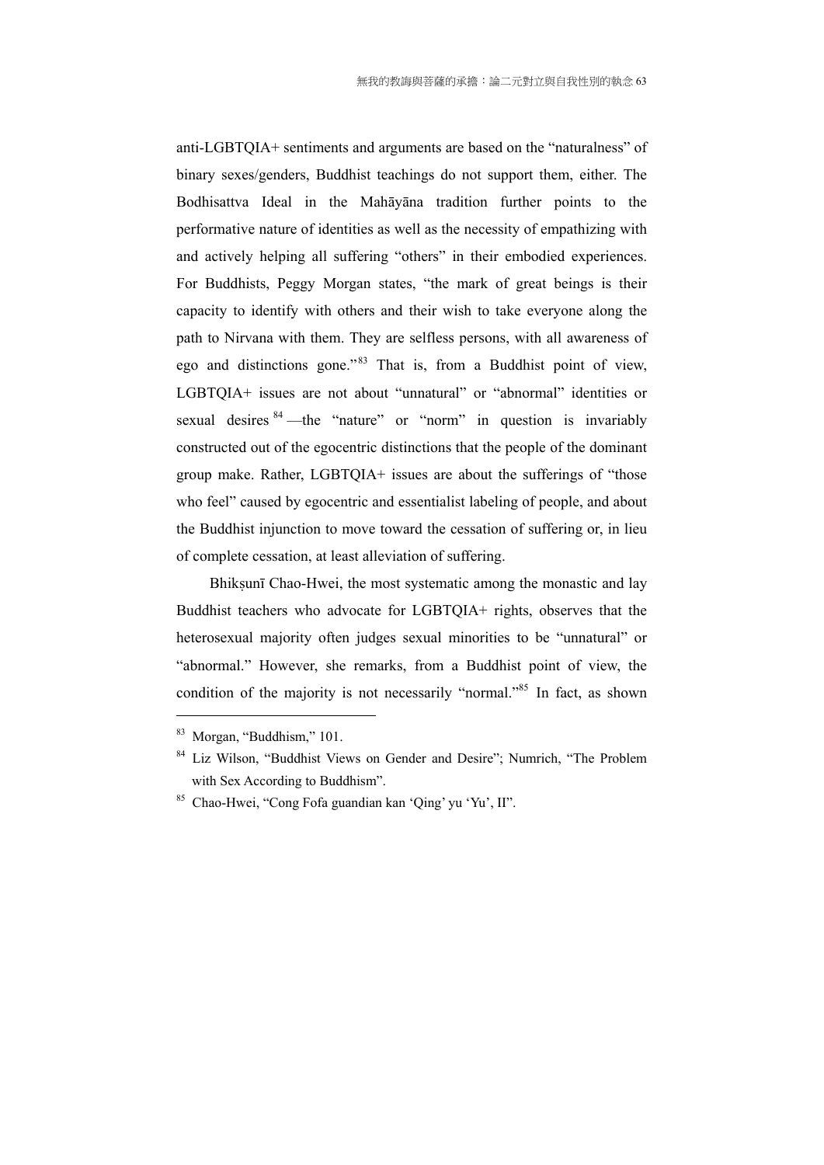anti-LGBTQIA+ sentiments and arguments are based on the "naturalness" of binary sexes/genders, Buddhist teachings do not support them, either. The Bodhisattva Ideal in the Mahāyāna tradition further points to the performative nature of identities as well as the necessity of empathizing with and actively helping all suffering "others" in their embodied experiences. For Buddhists, Peggy Morgan states, "the mark of great beings is their capacity to identify with others and their wish to take everyone along the path to Nirvana with them. They are selfless persons, with all awareness of ego and distinctions gone."83 That is, from a Buddhist point of view, LGBTQIA+ issues are not about "unnatural" or "abnormal" identities or sexual desires <sup>84</sup> —the "nature" or "norm" in question is invariably constructed out of the egocentric distinctions that the people of the dominant group make. Rather, LGBTQIA+ issues are about the sufferings of "those who feel" caused by egocentric and essentialist labeling of people, and about the Buddhist injunction to move toward the cessation of suffering or, in lieu of complete cessation, at least alleviation of suffering.

Bhiksunī Chao-Hwei, the most systematic among the monastic and lay Buddhist teachers who advocate for LGBTQIA+ rights, observes that the heterosexual majority often judges sexual minorities to be "unnatural" or "abnormal." However, she remarks, from a Buddhist point of view, the condition of the majority is not necessarily "normal."<sup>85</sup> In fact, as shown

<sup>83</sup> Morgan, "Buddhism," 101.

<sup>&</sup>lt;sup>84</sup> Liz Wilson, "Buddhist Views on Gender and Desire"; Numrich, "The Problem with Sex According to Buddhism".

<sup>85</sup> Chao-Hwei, "Cong Fofa guandian kan 'Qing' yu 'Yu', II".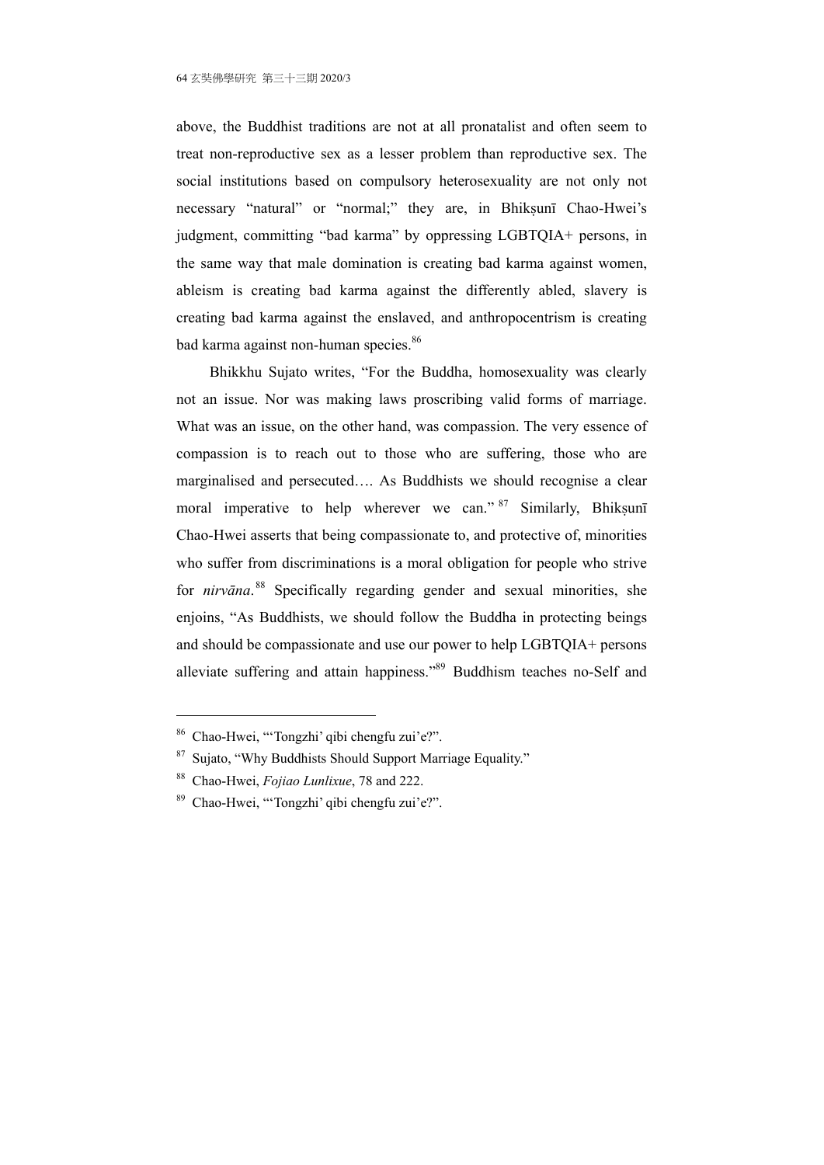above, the Buddhist traditions are not at all pronatalist and often seem to treat non-reproductive sex as a lesser problem than reproductive sex. The social institutions based on compulsory heterosexuality are not only not necessary "natural" or "normal;" they are, in Bhiksunī Chao-Hwei's judgment, committing "bad karma" by oppressing LGBTQIA+ persons, in the same way that male domination is creating bad karma against women, ableism is creating bad karma against the differently abled, slavery is creating bad karma against the enslaved, and anthropocentrism is creating bad karma against non-human species.<sup>86</sup>

 Bhikkhu Sujato writes, "For the Buddha, homosexuality was clearly not an issue. Nor was making laws proscribing valid forms of marriage. What was an issue, on the other hand, was compassion. The very essence of compassion is to reach out to those who are suffering, those who are marginalised and persecuted…. As Buddhists we should recognise a clear moral imperative to help wherever we can."  $87$  Similarly, Bhiksunī Chao-Hwei asserts that being compassionate to, and protective of, minorities who suffer from discriminations is a moral obligation for people who strive for *nirvāna*. 88 Specifically regarding gender and sexual minorities, she enjoins, "As Buddhists, we should follow the Buddha in protecting beings and should be compassionate and use our power to help LGBTQIA+ persons alleviate suffering and attain happiness."89 Buddhism teaches no-Self and

<sup>86</sup> Chao-Hwei, "'Tongzhi' qibi chengfu zui'e?".

<sup>87</sup> Sujato, "Why Buddhists Should Support Marriage Equality."

<sup>88</sup> Chao-Hwei, *Fojiao Lunlixue*, 78 and 222.

<sup>89</sup> Chao-Hwei, "'Tongzhi' qibi chengfu zui'e?".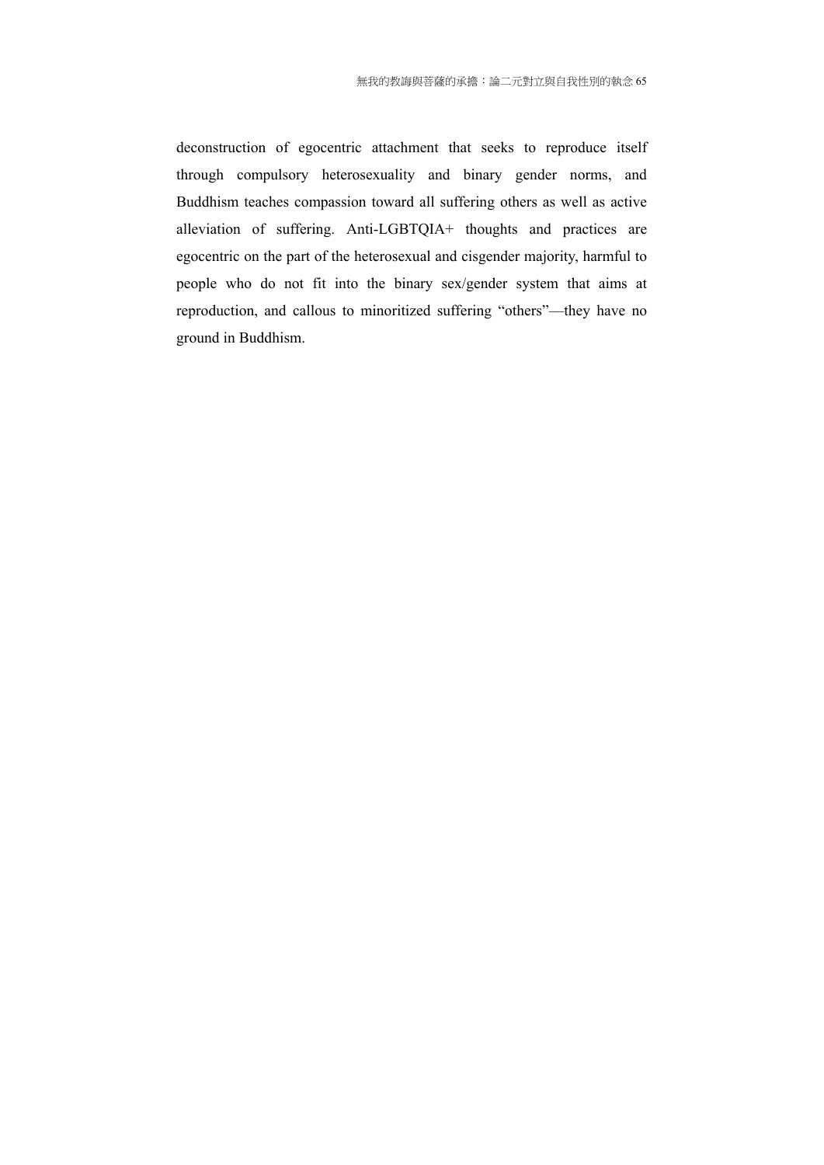deconstruction of egocentric attachment that seeks to reproduce itself through compulsory heterosexuality and binary gender norms, and Buddhism teaches compassion toward all suffering others as well as active alleviation of suffering. Anti-LGBTQIA+ thoughts and practices are egocentric on the part of the heterosexual and cisgender majority, harmful to people who do not fit into the binary sex/gender system that aims at reproduction, and callous to minoritized suffering "others"—they have no ground in Buddhism.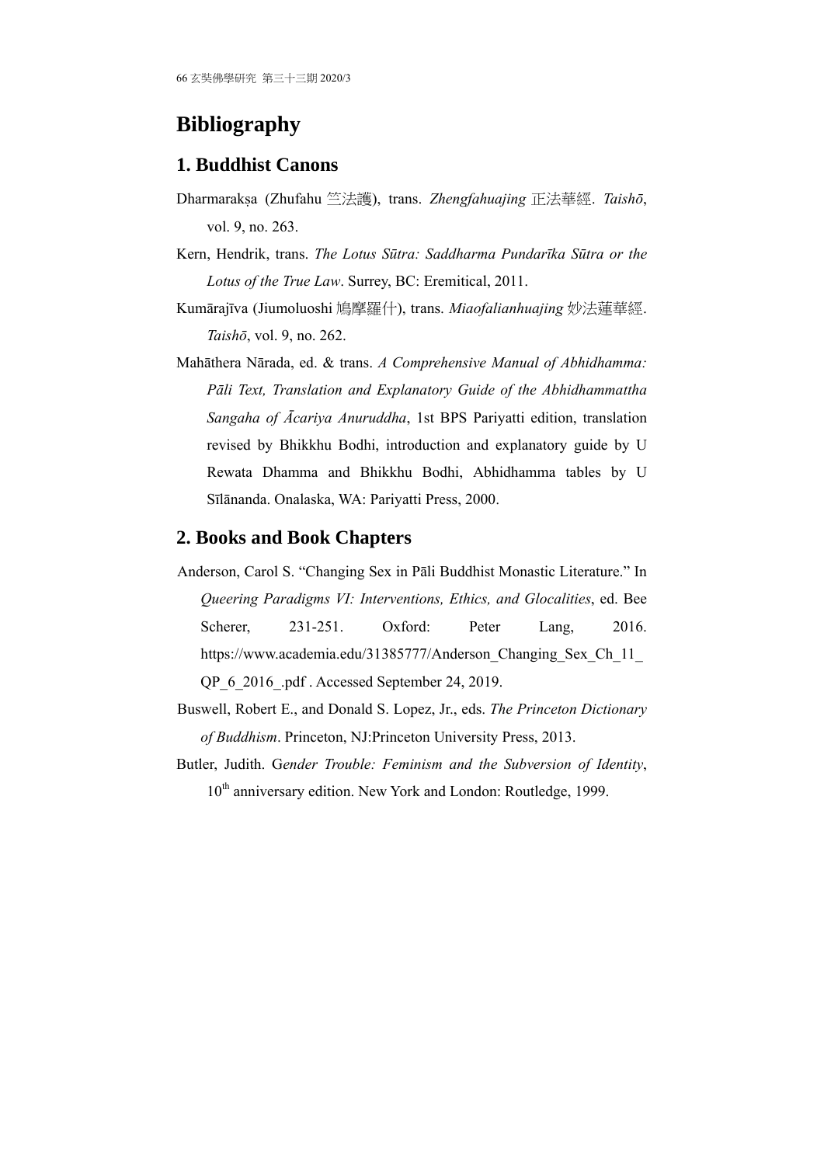# **Bibliography**

### **1. Buddhist Canons**

- Dharmarakṣa (Zhufahu 竺法護), trans. Zhengfahuajing 正法華經. Taishō, vol. 9, no. 263.
- Kern, Hendrik, trans. *The Lotus Sūtra: Saddharma Pundarīka Sūtra or the Lotus of the True Law*. Surrey, BC: Eremitical, 2011.
- Kumārajīva (Jiumoluoshi 鳩摩羅什), trans. *Miaofalianhuajing* 妙法蓮華經. *Taishō*, vol. 9, no. 262.
- Mahāthera Nārada, ed. & trans. *A Comprehensive Manual of Abhidhamma: Pāli Text, Translation and Explanatory Guide of the Abhidhammattha Sangaha of Ācariya Anuruddha*, 1st BPS Pariyatti edition, translation revised by Bhikkhu Bodhi, introduction and explanatory guide by U Rewata Dhamma and Bhikkhu Bodhi, Abhidhamma tables by U Sīlānanda. Onalaska, WA: Pariyatti Press, 2000.

### **2. Books and Book Chapters**

- Anderson, Carol S. "Changing Sex in Pāli Buddhist Monastic Literature." In *Queering Paradigms VI: Interventions, Ethics, and Glocalities*, ed. Bee Scherer, 231-251. Oxford: Peter Lang, 2016. https://www.academia.edu/31385777/Anderson\_Changing\_Sex\_Ch\_11\_ QP\_6\_2016\_.pdf . Accessed September 24, 2019.
- Buswell, Robert E., and Donald S. Lopez, Jr., eds. *The Princeton Dictionary of Buddhism*. Princeton, NJ:Princeton University Press, 2013.
- Butler, Judith. G*ender Trouble: Feminism and the Subversion of Identity*, 10<sup>th</sup> anniversary edition. New York and London: Routledge, 1999.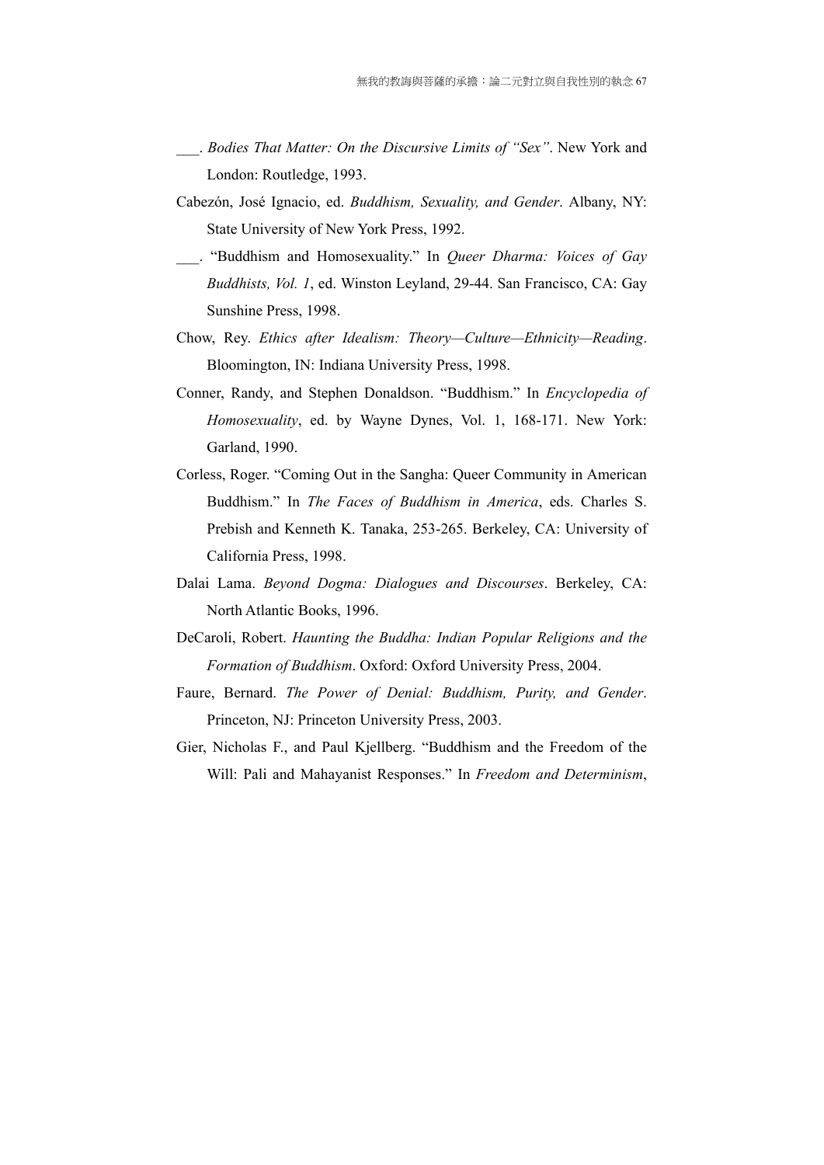- \_\_\_. *Bodies That Matter: On the Discursive Limits of "Sex"*. New York and London: Routledge, 1993.
- Cabezón, José Ignacio, ed. *Buddhism, Sexuality, and Gender*. Albany, NY: State University of New York Press, 1992.
- \_\_\_. "Buddhism and Homosexuality." In *Queer Dharma: Voices of Gay Buddhists, Vol. 1*, ed. Winston Leyland, 29-44. San Francisco, CA: Gay Sunshine Press, 1998.
- Chow, Rey. *Ethics after Idealism: Theory—Culture—Ethnicity—Reading*. Bloomington, IN: Indiana University Press, 1998.
- Conner, Randy, and Stephen Donaldson. "Buddhism." In *Encyclopedia of Homosexuality*, ed. by Wayne Dynes, Vol. 1, 168-171. New York: Garland, 1990.
- Corless, Roger. "Coming Out in the Sangha: Queer Community in American Buddhism." In *The Faces of Buddhism in America*, eds. Charles S. Prebish and Kenneth K. Tanaka, 253-265. Berkeley, CA: University of California Press, 1998.
- Dalai Lama. *Beyond Dogma: Dialogues and Discourses*. Berkeley, CA: North Atlantic Books, 1996.
- DeCaroli, Robert. *Haunting the Buddha: Indian Popular Religions and the Formation of Buddhism*. Oxford: Oxford University Press, 2004.
- Faure, Bernard. *The Power of Denial: Buddhism, Purity, and Gender*. Princeton, NJ: Princeton University Press, 2003.
- Gier, Nicholas F., and Paul Kjellberg. "Buddhism and the Freedom of the Will: Pali and Mahayanist Responses." In *Freedom and Determinism*,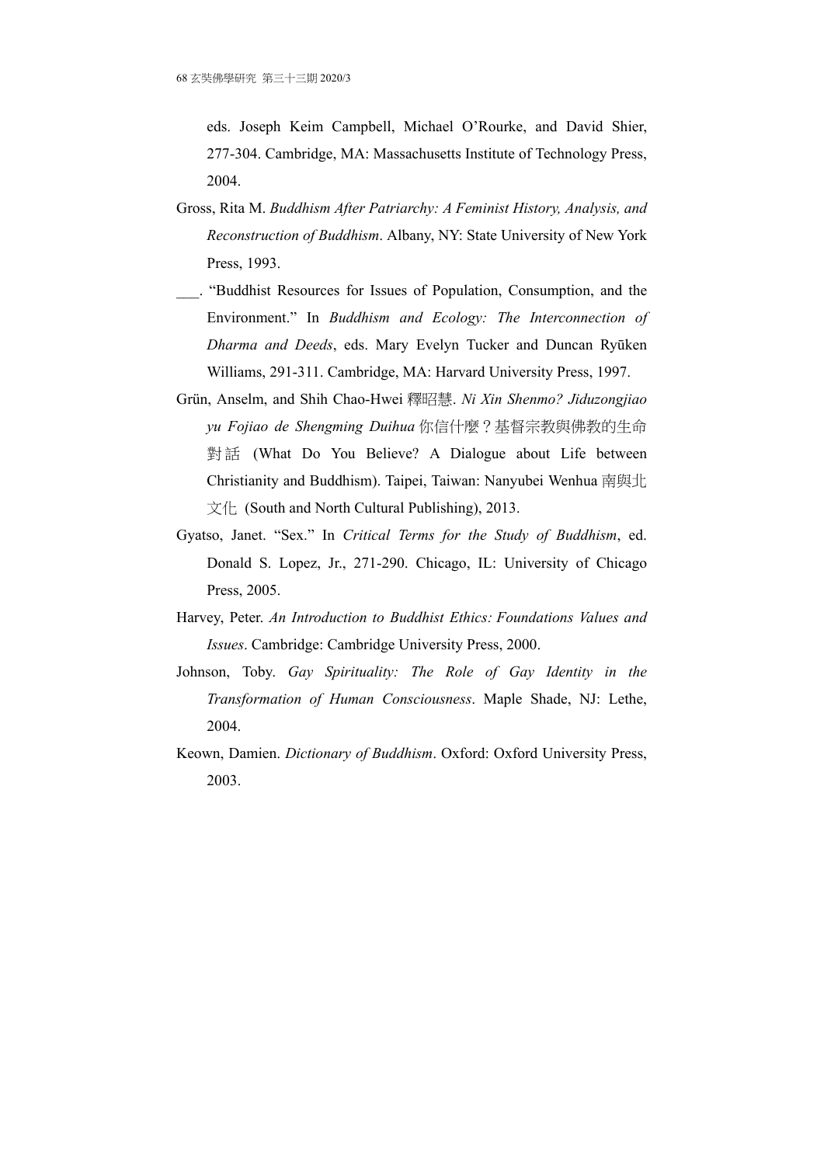eds. Joseph Keim Campbell, Michael O'Rourke, and David Shier, 277-304. Cambridge, MA: Massachusetts Institute of Technology Press, 2004.

- Gross, Rita M. *Buddhism After Patriarchy: A Feminist History, Analysis, and Reconstruction of Buddhism*. Albany, NY: State University of New York Press, 1993.
- \_\_\_. "Buddhist Resources for Issues of Population, Consumption, and the Environment." In *Buddhism and Ecology: The Interconnection of Dharma and Deeds*, eds. Mary Evelyn Tucker and Duncan Ryūken Williams, 291-311. Cambridge, MA: Harvard University Press, 1997.
- Grün, Anselm, and Shih Chao-Hwei 釋昭慧. *Ni Xin Shenmo? Jiduzongjiao yu Fojiao de Shengming Duihua* 你信什麼?基督宗教與佛教的生命 對話 (What Do You Believe? A Dialogue about Life between Christianity and Buddhism). Taipei, Taiwan: Nanyubei Wenhua 南與北 文化 (South and North Cultural Publishing), 2013.
- Gyatso, Janet. "Sex." In *Critical Terms for the Study of Buddhism*, ed. Donald S. Lopez, Jr., 271-290. Chicago, IL: University of Chicago Press, 2005.
- Harvey, Peter. *An Introduction to Buddhist Ethics: Foundations Values and Issues*. Cambridge: Cambridge University Press, 2000.
- Johnson, Toby. *Gay Spirituality: The Role of Gay Identity in the Transformation of Human Consciousness*. Maple Shade, NJ: Lethe, 2004.
- Keown, Damien. *Dictionary of Buddhism*. Oxford: Oxford University Press, 2003.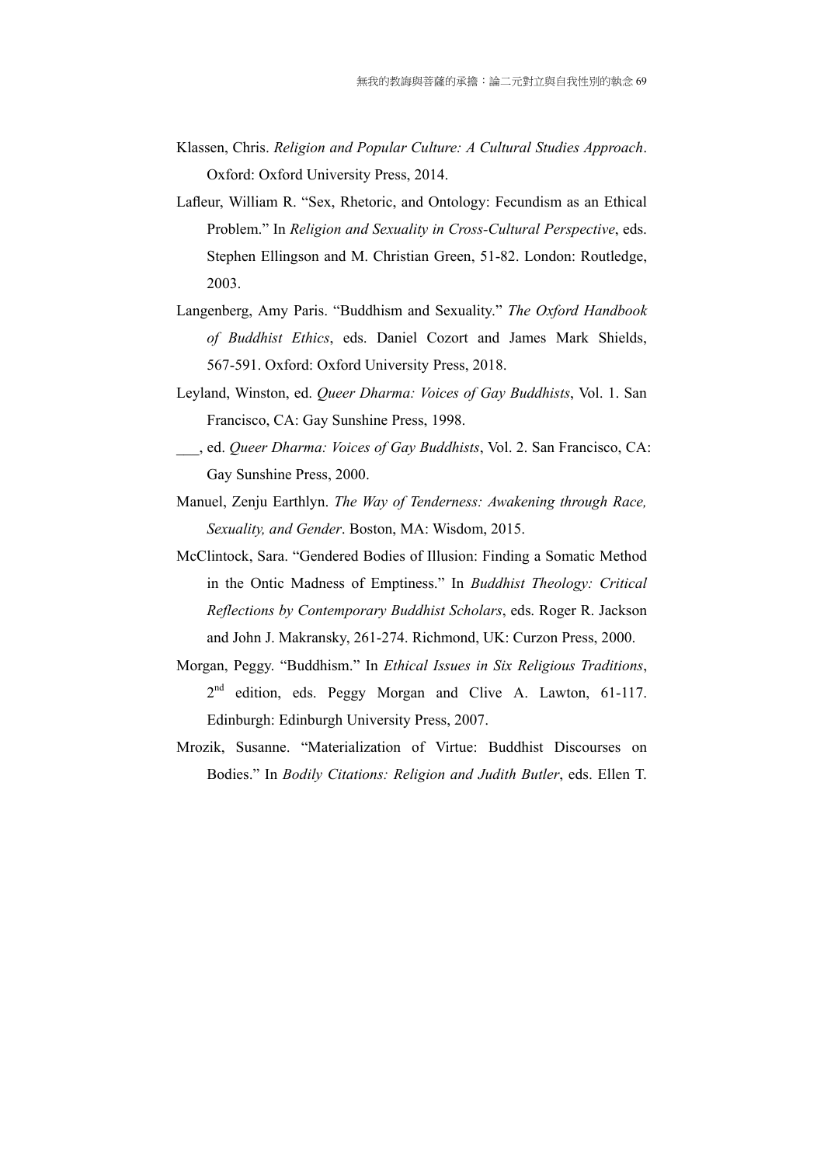- Klassen, Chris. *Religion and Popular Culture: A Cultural Studies Approach*. Oxford: Oxford University Press, 2014.
- Lafleur, William R. "Sex, Rhetoric, and Ontology: Fecundism as an Ethical Problem." In *Religion and Sexuality in Cross-Cultural Perspective*, eds. Stephen Ellingson and M. Christian Green, 51-82. London: Routledge, 2003.
- Langenberg, Amy Paris. "Buddhism and Sexuality." *The Oxford Handbook of Buddhist Ethics*, eds. Daniel Cozort and James Mark Shields, 567-591. Oxford: Oxford University Press, 2018.
- Leyland, Winston, ed. *Queer Dharma: Voices of Gay Buddhists*, Vol. 1. San Francisco, CA: Gay Sunshine Press, 1998.
- \_\_\_, ed. *Queer Dharma: Voices of Gay Buddhists*, Vol. 2. San Francisco, CA: Gay Sunshine Press, 2000.
- Manuel, Zenju Earthlyn. *The Way of Tenderness: Awakening through Race, Sexuality, and Gender*. Boston, MA: Wisdom, 2015.
- McClintock, Sara. "Gendered Bodies of Illusion: Finding a Somatic Method in the Ontic Madness of Emptiness." In *Buddhist Theology: Critical Reflections by Contemporary Buddhist Scholars*, eds. Roger R. Jackson and John J. Makransky, 261-274. Richmond, UK: Curzon Press, 2000.
- Morgan, Peggy. "Buddhism." In *Ethical Issues in Six Religious Traditions*, 2<sup>nd</sup> edition, eds. Peggy Morgan and Clive A. Lawton, 61-117. Edinburgh: Edinburgh University Press, 2007.
- Mrozik, Susanne. "Materialization of Virtue: Buddhist Discourses on Bodies." In *Bodily Citations: Religion and Judith Butler*, eds. Ellen T.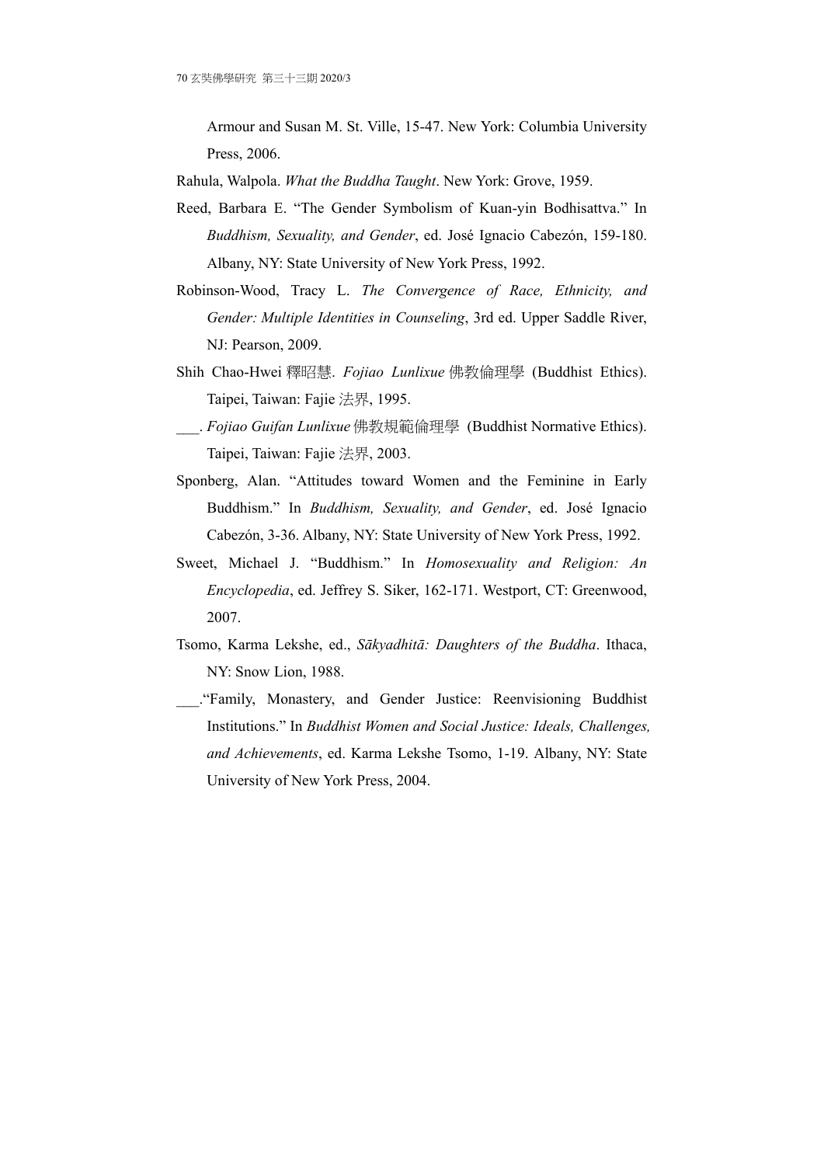Armour and Susan M. St. Ville, 15-47. New York: Columbia University Press, 2006.

- Rahula, Walpola. *What the Buddha Taught*. New York: Grove, 1959.
- Reed, Barbara E. "The Gender Symbolism of Kuan-yin Bodhisattva." In *Buddhism, Sexuality, and Gender*, ed. José Ignacio Cabezón, 159-180. Albany, NY: State University of New York Press, 1992.
- Robinson-Wood, Tracy L. *The Convergence of Race, Ethnicity, and Gender: Multiple Identities in Counseling*, 3rd ed. Upper Saddle River, NJ: Pearson, 2009.
- Shih Chao-Hwei 釋昭慧. *Fojiao Lunlixue* 佛教倫理學 (Buddhist Ethics). Taipei, Taiwan: Fajie 法界, 1995.
- \_\_\_. *Fojiao Guifan Lunlixue* 佛教規範倫理學 (Buddhist Normative Ethics). Taipei, Taiwan: Fajie 法界, 2003.
- Sponberg, Alan. "Attitudes toward Women and the Feminine in Early Buddhism." In *Buddhism, Sexuality, and Gender*, ed. José Ignacio Cabezón, 3-36. Albany, NY: State University of New York Press, 1992.
- Sweet, Michael J. "Buddhism." In *Homosexuality and Religion: An Encyclopedia*, ed. Jeffrey S. Siker, 162-171. Westport, CT: Greenwood, 2007.
- Tsomo, Karma Lekshe, ed., *Sākyadhitā: Daughters of the Buddha*. Ithaca, NY: Snow Lion, 1988.
- \_\_\_."Family, Monastery, and Gender Justice: Reenvisioning Buddhist Institutions." In *Buddhist Women and Social Justice: Ideals, Challenges, and Achievements*, ed. Karma Lekshe Tsomo, 1-19. Albany, NY: State University of New York Press, 2004.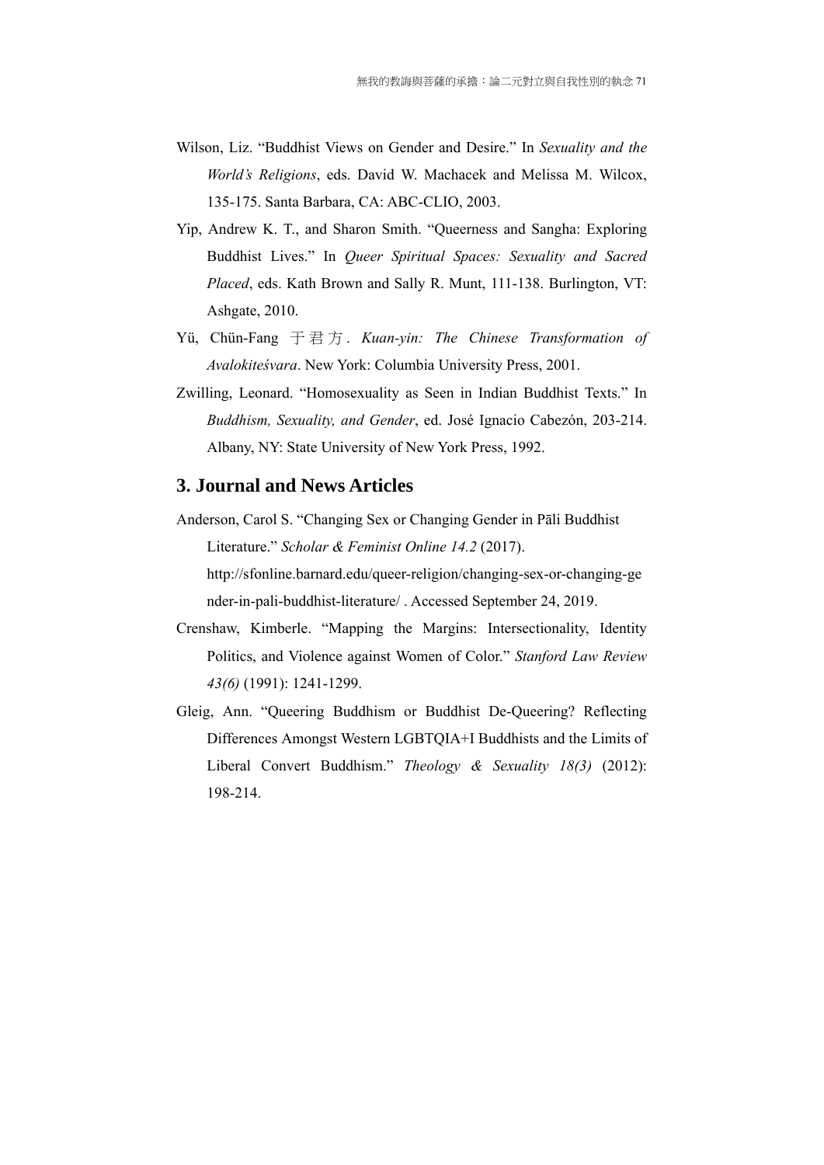- Wilson, Liz. "Buddhist Views on Gender and Desire." In *Sexuality and the World's Religions*, eds. David W. Machacek and Melissa M. Wilcox, 135-175. Santa Barbara, CA: ABC-CLIO, 2003.
- Yip, Andrew K. T., and Sharon Smith. "Queerness and Sangha: Exploring Buddhist Lives." In *Queer Spiritual Spaces: Sexuality and Sacred Placed*, eds. Kath Brown and Sally R. Munt, 111-138. Burlington, VT: Ashgate, 2010.
- Yü, Chün-Fang 于君方 . *Kuan-yin: The Chinese Transformation of Avalokiteśvara*. New York: Columbia University Press, 2001.
- Zwilling, Leonard. "Homosexuality as Seen in Indian Buddhist Texts." In *Buddhism, Sexuality, and Gender*, ed. José Ignacio Cabezón, 203-214. Albany, NY: State University of New York Press, 1992.

### **3. Journal and News Articles**

- Anderson, Carol S. "Changing Sex or Changing Gender in Pāli Buddhist Literature." *Scholar & Feminist Online 14.2* (2017). http://sfonline.barnard.edu/queer-religion/changing-sex-or-changing-ge nder-in-pali-buddhist-literature/ . Accessed September 24, 2019.
- Crenshaw, Kimberle. "Mapping the Margins: Intersectionality, Identity Politics, and Violence against Women of Color." *Stanford Law Review 43(6)* (1991): 1241-1299.
- Gleig, Ann. "Queering Buddhism or Buddhist De-Queering? Reflecting Differences Amongst Western LGBTQIA+I Buddhists and the Limits of Liberal Convert Buddhism." *Theology & Sexuality 18(3)* (2012): 198-214.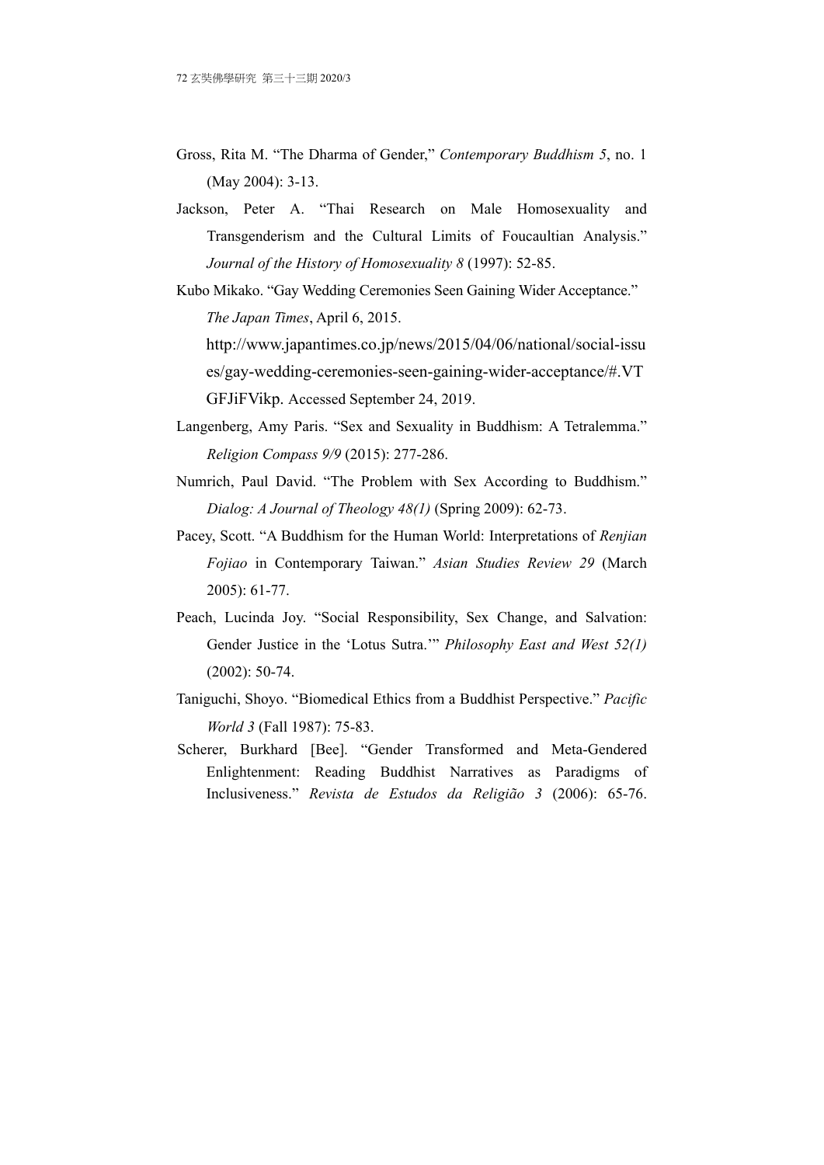- Gross, Rita M. "The Dharma of Gender," *Contemporary Buddhism 5*, no. 1 (May 2004): 3-13.
- Jackson, Peter A. "Thai Research on Male Homosexuality and Transgenderism and the Cultural Limits of Foucaultian Analysis." *Journal of the History of Homosexuality 8* (1997): 52-85.
- Kubo Mikako. "Gay Wedding Ceremonies Seen Gaining Wider Acceptance." *The Japan Times*, April 6, 2015. http://www.japantimes.co.jp/news/2015/04/06/national/social-issu

es/gay-wedding-ceremonies-seen-gaining-wider-acceptance/#.VT GFJiFVikp. Accessed September 24, 2019.

- Langenberg, Amy Paris. "Sex and Sexuality in Buddhism: A Tetralemma." *Religion Compass 9/9* (2015): 277-286.
- Numrich, Paul David. "The Problem with Sex According to Buddhism." *Dialog: A Journal of Theology 48(1)* (Spring 2009): 62-73.
- Pacey, Scott. "A Buddhism for the Human World: Interpretations of *Renjian Fojiao* in Contemporary Taiwan." *Asian Studies Review 29* (March 2005): 61-77.
- Peach, Lucinda Joy. "Social Responsibility, Sex Change, and Salvation: Gender Justice in the 'Lotus Sutra.'" *Philosophy East and West 52(1)* (2002): 50-74.
- Taniguchi, Shoyo. "Biomedical Ethics from a Buddhist Perspective." *Pacific World 3* (Fall 1987): 75-83.
- Scherer, Burkhard [Bee]. "Gender Transformed and Meta-Gendered Enlightenment: Reading Buddhist Narratives as Paradigms of Inclusiveness." *Revista de Estudos da Religião 3* (2006): 65-76.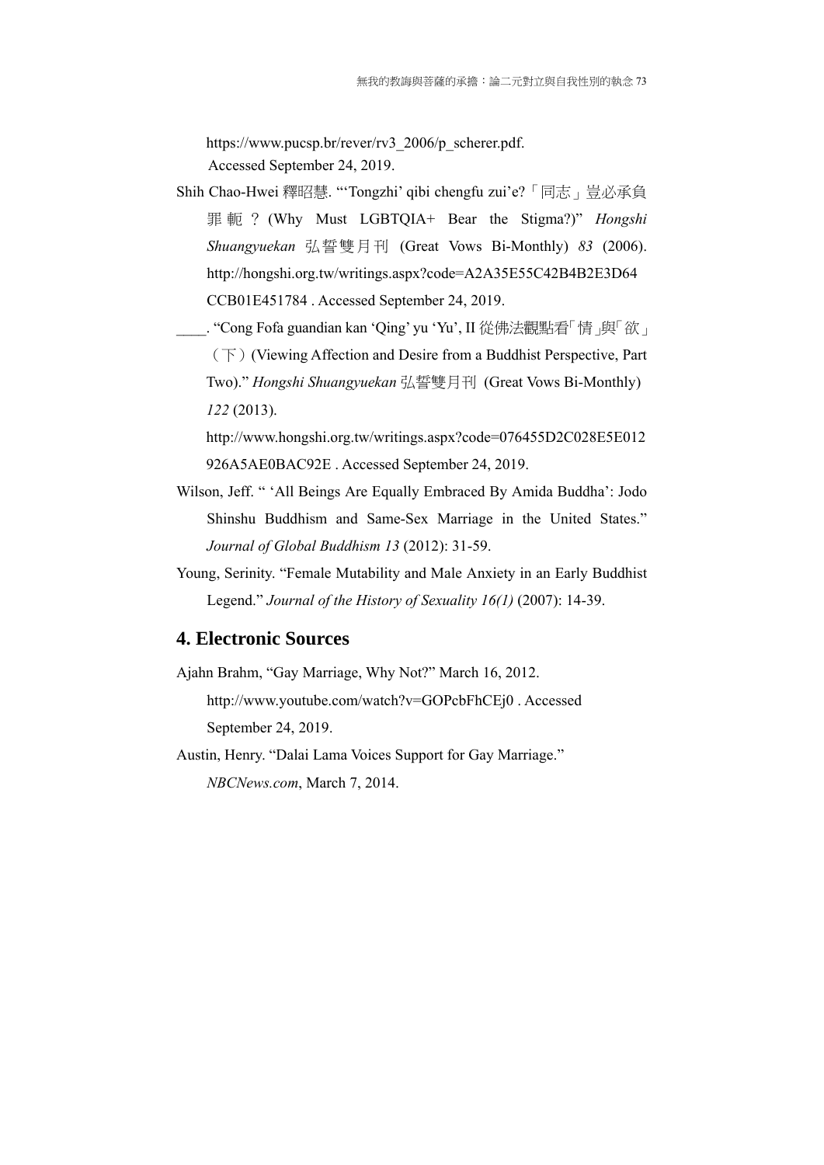https://www.pucsp.br/rever/rv3\_2006/p\_scherer.pdf. Accessed September 24, 2019.

- Shih Chao-Hwei 釋昭慧. "'Tongzhi' qibi chengfu zui'e?「同志」豈必承負 罪軛? (Why Must LGBTQIA+ Bear the Stigma?)" *Hongshi Shuangyuekan* 弘誓雙月刊 (Great Vows Bi-Monthly) *83* (2006). http://hongshi.org.tw/writings.aspx?code=A2A35E55C42B4B2E3D64 CCB01E451784 . Accessed September 24, 2019.
	- . "Cong Fofa guandian kan 'Qing' yu 'Yu', II 從佛法觀點看「情」與「欲」 (下)(Viewing Affection and Desire from a Buddhist Perspective, Part Two)." *Hongshi Shuangyuekan* 弘誓雙月刊 (Great Vows Bi-Monthly) *122* (2013).

http://www.hongshi.org.tw/writings.aspx?code=076455D2C028E5E012 926A5AE0BAC92E . Accessed September 24, 2019.

- Wilson, Jeff. " 'All Beings Are Equally Embraced By Amida Buddha': Jodo Shinshu Buddhism and Same-Sex Marriage in the United States." *Journal of Global Buddhism 13* (2012): 31-59.
- Young, Serinity. "Female Mutability and Male Anxiety in an Early Buddhist Legend." *Journal of the History of Sexuality 16(1)* (2007): 14-39.

### **4. Electronic Sources**

Ajahn Brahm, "Gay Marriage, Why Not?" March 16, 2012. http://www.youtube.com/watch?v=GOPcbFhCEj0 . Accessed September 24, 2019.

Austin, Henry. "Dalai Lama Voices Support for Gay Marriage." *NBCNews.com*, March 7, 2014.